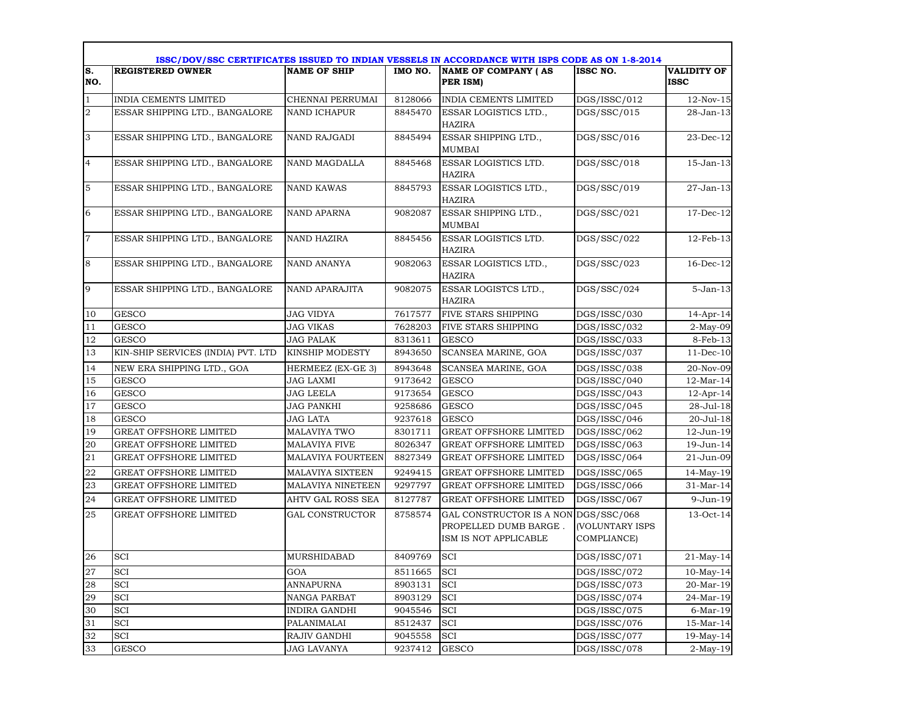|                  | ISSC/DOV/SSC CERTIFICATES ISSUED TO INDIAN VESSELS IN ACCORDANCE WITH ISPS CODE AS ON 1-8-2014 |                          |         |                                                                            |                                                      |                                   |  |  |  |
|------------------|------------------------------------------------------------------------------------------------|--------------------------|---------|----------------------------------------------------------------------------|------------------------------------------------------|-----------------------------------|--|--|--|
| S.<br>NO.        | <b>REGISTERED OWNER</b>                                                                        | <b>NAME OF SHIP</b>      | IMO NO. | <b>NAME OF COMPANY (AS</b><br>PER ISM)                                     | ISSC NO.                                             | <b>VALIDITY OF</b><br><b>ISSC</b> |  |  |  |
| $\mathbf{1}$     | <b>INDIA CEMENTS LIMITED</b>                                                                   | CHENNAI PERRUMAI         | 8128066 | <b>INDIA CEMENTS LIMITED</b>                                               | $\overline{DGS}/ISSC/012$                            | $12-Nov-15$                       |  |  |  |
| $\boldsymbol{2}$ | ESSAR SHIPPING LTD., BANGALORE                                                                 | NAND ICHAPUR             | 8845470 | ESSAR LOGISTICS LTD.,<br>HAZIRA                                            | DGS/SSC/015                                          | 28-Jan-13                         |  |  |  |
| 3                | ESSAR SHIPPING LTD., BANGALORE                                                                 | NAND RAJGADI             | 8845494 | ESSAR SHIPPING LTD.,<br>MUMBAI                                             | DGS/SSC/016                                          | $23$ -Dec-12                      |  |  |  |
| $\overline{4}$   | ESSAR SHIPPING LTD., BANGALORE                                                                 | NAND MAGDALLA            | 8845468 | ESSAR LOGISTICS LTD.<br><b>HAZIRA</b>                                      | DGS/SSC/018                                          | 15-Jan-13                         |  |  |  |
| 5                | ESSAR SHIPPING LTD., BANGALORE                                                                 | <b>NAND KAWAS</b>        | 8845793 | ESSAR LOGISTICS LTD.,<br><b>HAZIRA</b>                                     | DGS/SSC/019                                          | 27-Jan-13                         |  |  |  |
| 6                | ESSAR SHIPPING LTD., BANGALORE                                                                 | NAND APARNA              | 9082087 | ESSAR SHIPPING LTD.,<br><b>MUMBAI</b>                                      | DGS/SSC/021                                          | $17$ -Dec- $12$                   |  |  |  |
| $\overline{7}$   | ESSAR SHIPPING LTD., BANGALORE                                                                 | <b>NAND HAZIRA</b>       | 8845456 | <b>ESSAR LOGISTICS LTD.</b><br><b>HAZIRA</b>                               | DGS/SSC/022                                          | 12-Feb-13                         |  |  |  |
| $\,8\,$          | ESSAR SHIPPING LTD., BANGALORE                                                                 | NAND ANANYA              | 9082063 | ESSAR LOGISTICS LTD.,<br><b>HAZIRA</b>                                     | DGS/SSC/023                                          | $16$ -Dec- $12$                   |  |  |  |
| 9                | ESSAR SHIPPING LTD., BANGALORE                                                                 | <b>NAND APARAJITA</b>    | 9082075 | ESSAR LOGISTCS LTD.,<br><b>HAZIRA</b>                                      | DGS/SSC/024                                          | $5 - Jan-13$                      |  |  |  |
| 10               | <b>GESCO</b>                                                                                   | <b>JAG VIDYA</b>         | 7617577 | FIVE STARS SHIPPING                                                        | DGS/ISSC/030                                         | 14-Apr-14                         |  |  |  |
| 11               | <b>GESCO</b>                                                                                   | <b>JAG VIKAS</b>         | 7628203 | FIVE STARS SHIPPING                                                        | DGS/ISSC/032                                         | $2-May-09$                        |  |  |  |
| 12               | <b>GESCO</b>                                                                                   | JAG PALAK                | 8313611 | <b>GESCO</b>                                                               | DGS/ISSC/033                                         | 8-Feb-13                          |  |  |  |
| 13               | KIN-SHIP SERVICES (INDIA) PVT. LTD                                                             | KINSHIP MODESTY          | 8943650 | SCANSEA MARINE, GOA                                                        | DGS/ISSC/037                                         | $11-Dec-10$                       |  |  |  |
| 14               | NEW ERA SHIPPING LTD., GOA                                                                     | HERMEEZ (EX-GE 3)        | 8943648 | SCANSEA MARINE, GOA                                                        | DGS/ISSC/038                                         | 20-Nov-09                         |  |  |  |
| 15               | <b>GESCO</b>                                                                                   | <b>JAG LAXMI</b>         | 9173642 | <b>GESCO</b>                                                               | DGS/ISSC/040                                         | 12-Mar-14                         |  |  |  |
| 16               | <b>GESCO</b>                                                                                   | JAG LEELA                | 9173654 | <b>GESCO</b>                                                               | DGS/ISSC/043                                         | $12$ -Apr-14                      |  |  |  |
| 17               | <b>GESCO</b>                                                                                   | JAG PANKHI               | 9258686 | <b>GESCO</b>                                                               | DGS/ISSC/045                                         | 28-Jul-18                         |  |  |  |
| 18               | <b>GESCO</b>                                                                                   | JAG LATA                 | 9237618 | <b>GESCO</b>                                                               | DGS/ISSC/046                                         | 20-Jul-18                         |  |  |  |
| 19               | <b>GREAT OFFSHORE LIMITED</b>                                                                  | <b>MALAVIYA TWO</b>      | 8301711 | <b>GREAT OFFSHORE LIMITED</b>                                              | DGS/ISSC/062                                         | 12-Jun-19                         |  |  |  |
| 20               | <b>GREAT OFFSHORE LIMITED</b>                                                                  | <b>MALAVIYA FIVE</b>     | 8026347 | <b>GREAT OFFSHORE LIMITED</b>                                              | DGS/ISSC/063                                         | 19-Jun-14                         |  |  |  |
| $2\sqrt{1}$      | <b>GREAT OFFSHORE LIMITED</b>                                                                  | <b>MALAVIYA FOURTEEN</b> | 8827349 | <b>GREAT OFFSHORE LIMITED</b>                                              | DGS/ISSC/064                                         | 21-Jun-09                         |  |  |  |
| 22               | <b>GREAT OFFSHORE LIMITED</b>                                                                  | MALAVIYA SIXTEEN         | 9249415 | <b>GREAT OFFSHORE LIMITED</b>                                              | DGS/ISSC/065                                         | 14-May-19                         |  |  |  |
| 23               | <b>GREAT OFFSHORE LIMITED</b>                                                                  | MALAVIYA NINETEEN        | 9297797 | <b>GREAT OFFSHORE LIMITED</b>                                              | DGS/ISSC/066                                         | 31-Mar-14                         |  |  |  |
| 24               | <b>GREAT OFFSHORE LIMITED</b>                                                                  | AHTV GAL ROSS SEA        | 8127787 | <b>GREAT OFFSHORE LIMITED</b>                                              | DGS/ISSC/067                                         | 9-Jun-19                          |  |  |  |
| 25               | <b>GREAT OFFSHORE LIMITED</b>                                                                  | <b>GAL CONSTRUCTOR</b>   | 8758574 | GAL CONSTRUCTOR IS A NON<br>PROPELLED DUMB BARGE.<br>ISM IS NOT APPLICABLE | DGS/SSC/068<br><b>(VOLUNTARY ISPS</b><br>COMPLIANCE) | 13-Oct-14                         |  |  |  |
| 26               | SCI                                                                                            | <b>MURSHIDABAD</b>       | 8409769 | <b>SCI</b>                                                                 | DGS/ISSC/071                                         | $21$ -May-14                      |  |  |  |
| 27               | SCI                                                                                            | GOA                      | 8511665 | <b>SCI</b>                                                                 | DGS/ISSC/072                                         | $10-May-14$                       |  |  |  |
| 28               | SCI                                                                                            | <b>ANNAPURNA</b>         | 8903131 | <b>SCI</b>                                                                 | DGS/ISSC/073                                         | 20-Mar-19                         |  |  |  |
| 29               | <b>SCI</b>                                                                                     | NANGA PARBAT             | 8903129 | <b>SCI</b>                                                                 | DGS/ISSC/074                                         | 24-Mar-19                         |  |  |  |
| 30               | <b>SCI</b>                                                                                     | <b>INDIRA GANDHI</b>     | 9045546 | <b>SCI</b>                                                                 | DGS/ISSC/075                                         | $6$ -Mar-19                       |  |  |  |
| 31               | SCI                                                                                            | PALANIMALAI              | 8512437 | <b>SCI</b>                                                                 | DGS/ISSC/076                                         | 15-Mar-14                         |  |  |  |
| 32               | SCI                                                                                            | RAJIV GANDHI             | 9045558 | SCI                                                                        | DGS/ISSC/077                                         | $19$ -May-14                      |  |  |  |
| 33               | <b>GESCO</b>                                                                                   | JAG LAVANYA              | 9237412 | <b>GESCO</b>                                                               | DGS/ISSC/078                                         | $2-May-19$                        |  |  |  |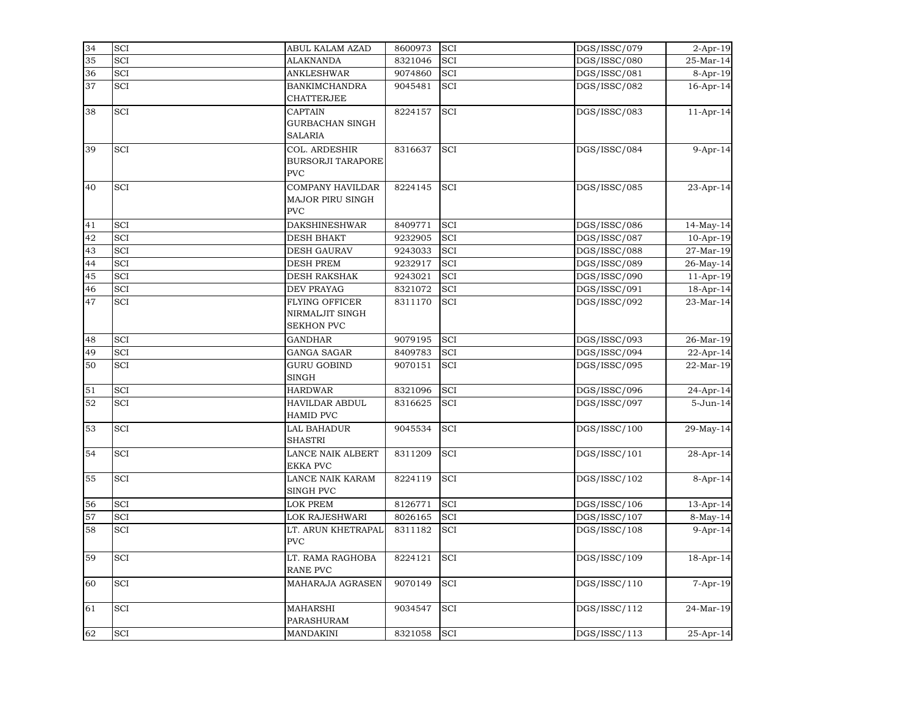| 34 | SCI        | ABUL KALAM AZAD                                               | 8600973 | <b>SCI</b> | DGS/ISSC/079              | 2-Apr-19       |
|----|------------|---------------------------------------------------------------|---------|------------|---------------------------|----------------|
| 35 | <b>SCI</b> | <b>ALAKNANDA</b>                                              | 8321046 | <b>SCI</b> | DGS/ISSC/080              | 25-Mar-14      |
| 36 | SCI        | <b>ANKLESHWAR</b>                                             | 9074860 | SCI        | $\overline{DGS}/ISSC/081$ | 8-Apr-19       |
| 37 | SCI        | <b>BANKIMCHANDRA</b><br><b>CHATTERJEE</b>                     | 9045481 | <b>SCI</b> | DGS/ISSC/082              | 16-Apr-14      |
| 38 | SCI        | <b>CAPTAIN</b><br><b>GURBACHAN SINGH</b><br><b>SALARIA</b>    | 8224157 | SCI        | DGS/ISSC/083              | $11-Apr-14$    |
| 39 | SCI        | COL. ARDESHIR<br><b>BURSORJI TARAPORE</b><br><b>PVC</b>       | 8316637 | <b>SCI</b> | DGS/ISSC/084              | $9-Apr-14$     |
| 40 | SCI        | <b>COMPANY HAVILDAR</b><br>MAJOR PIRU SINGH<br><b>PVC</b>     | 8224145 | SCI        | DGS/ISSC/085              | 23-Apr-14      |
| 41 | SCI        | <b>DAKSHINESHWAR</b>                                          | 8409771 | <b>SCI</b> | DGS/ISSC/086              | $14$ -May-14   |
| 42 | SCI        | <b>DESH BHAKT</b>                                             | 9232905 | <b>SCI</b> | DGS/ISSC/087              | $10-Apr-19$    |
| 43 | SCI        | <b>DESH GAURAV</b>                                            | 9243033 | SCI        | DGS/ISSC/088              | 27-Mar-19      |
| 44 | SCI        | <b>DESH PREM</b>                                              | 9232917 | <b>SCI</b> | DGS/ISSC/089              | 26-May-14      |
| 45 | SCI        | <b>DESH RAKSHAK</b>                                           | 9243021 | <b>SCI</b> | DGS/ISSC/090              | $11-Apr-19$    |
| 46 | SCI        | <b>DEV PRAYAG</b>                                             | 8321072 | SCI        | DGS/ISSC/091              | 18-Apr-14      |
| 47 | <b>SCI</b> | <b>FLYING OFFICER</b><br>NIRMALJIT SINGH<br><b>SEKHON PVC</b> | 8311170 | <b>SCI</b> | DGS/ISSC/092              | 23-Mar-14      |
| 48 | SCI        | <b>GANDHAR</b>                                                | 9079195 | SCI        | DGS/ISSC/093              | 26-Mar-19      |
| 49 | SCI        | <b>GANGA SAGAR</b>                                            | 8409783 | <b>SCI</b> | DGS/ISSC/094              | 22-Apr-14      |
| 50 | SCI        | <b>GURU GOBIND</b><br><b>SINGH</b>                            | 9070151 | <b>SCI</b> | DGS/ISSC/095              | 22-Mar-19      |
| 51 | SCI        | <b>HARDWAR</b>                                                | 8321096 | SCI        | DGS/ISSC/096              | 24-Apr-14      |
| 52 | <b>SCI</b> | HAVILDAR ABDUL<br><b>HAMID PVC</b>                            | 8316625 | <b>SCI</b> | DGS/ISSC/097              | 5-Jun-14       |
| 53 | <b>SCI</b> | LAL BAHADUR<br><b>SHASTRI</b>                                 | 9045534 | <b>SCI</b> | DGS/ISSC/100              | 29-May-14      |
| 54 | <b>SCI</b> | LANCE NAIK ALBERT<br><b>EKKA PVC</b>                          | 8311209 | SCI        | DGS/ISSC/101              | 28-Apr-14      |
| 55 | <b>SCI</b> | LANCE NAIK KARAM<br><b>SINGH PVC</b>                          | 8224119 | SCI        | DGS/ISSC/102              | 8-Apr-14       |
| 56 | SCI        | LOK PREM                                                      | 8126771 | <b>SCI</b> | DGS/ISSC/106              | 13-Apr-14      |
| 57 | SCI        | LOK RAJESHWARI                                                | 8026165 | <b>SCI</b> | DGS/ISSC/107              | $8-May-14$     |
| 58 | SCI        | LT. ARUN KHETRAPAL<br><b>PVC</b>                              | 8311182 | SCI        | DGS/ISSC/108              | $9-Apr-14$     |
| 59 | SCI        | LT. RAMA RAGHOBA<br>RANE PVC                                  | 8224121 | SCI        | DGS/ISSC/109              | $18$ -Apr-14   |
| 60 | SCI        | MAHARAJA AGRASEN                                              | 9070149 | <b>SCI</b> | DGS/ISSC/110              | $7 - Apr - 19$ |
| 61 | SCI        | <b>MAHARSHI</b><br>PARASHURAM                                 | 9034547 | <b>SCI</b> | DGS/ISSC/112              | 24-Mar-19      |
| 62 | SCI        | MANDAKINI                                                     | 8321058 | <b>SCI</b> | DGS/ISSC/113              | 25-Apr-14      |
|    |            |                                                               |         |            |                           |                |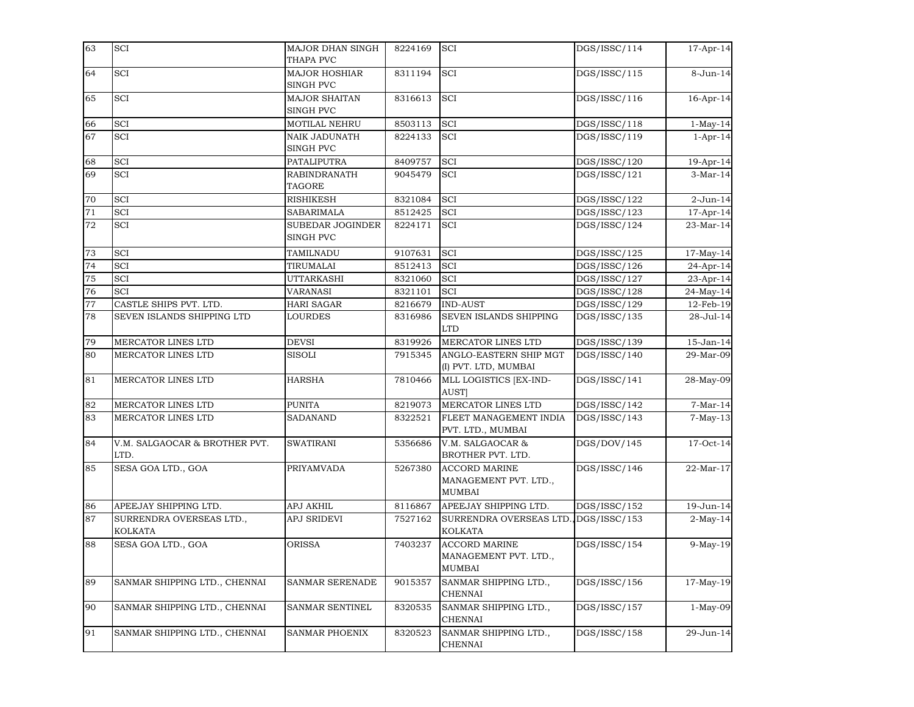| 63 | <b>SCI</b>                                 | MAJOR DHAN SINGH              | 8224169 | <b>SCI</b>                                                     | DGS/ISSC/114 | 17-Apr-14    |
|----|--------------------------------------------|-------------------------------|---------|----------------------------------------------------------------|--------------|--------------|
|    |                                            | THAPA PVC                     |         |                                                                |              |              |
| 64 | SCI                                        | <b>MAJOR HOSHIAR</b>          | 8311194 | <b>SCI</b>                                                     | DGS/ISSC/115 | 8-Jun-14     |
|    |                                            | SINGH PVC                     |         |                                                                |              |              |
| 65 | SCI                                        | MAJOR SHAITAN                 | 8316613 | SCI                                                            | DGS/ISSC/116 | $16$ -Apr-14 |
|    |                                            | SINGH PVC                     |         |                                                                |              |              |
| 66 | SCI                                        | MOTILAL NEHRU                 | 8503113 | SCI                                                            | DGS/ISSC/118 | $1-May-14$   |
| 67 | SCI                                        | NAIK JADUNATH                 | 8224133 | <b>SCI</b>                                                     | DGS/ISSC/119 | $1-Apr-14$   |
|    |                                            | SINGH PVC                     |         |                                                                |              |              |
| 68 | SCI                                        | PATALIPUTRA                   | 8409757 | <b>SCI</b>                                                     | DGS/ISSC/120 | 19-Apr-14    |
| 69 | SCI                                        | RABINDRANATH                  | 9045479 | <b>SCI</b>                                                     | DGS/ISSC/121 | $3-Mar-14$   |
|    |                                            | <b>TAGORE</b>                 |         |                                                                |              |              |
| 70 | <b>SCI</b>                                 | <b>RISHIKESH</b>              | 8321084 | <b>SCI</b>                                                     | DGS/ISSC/122 | $2$ -Jun-14  |
| 71 | <b>SCI</b>                                 | SABARIMALA                    | 8512425 | <b>SCI</b>                                                     | DGS/ISSC/123 | 17-Apr-14    |
| 72 | SCI                                        | SUBEDAR JOGINDER<br>SINGH PVC | 8224171 | <b>SCI</b>                                                     | DGS/ISSC/124 | 23-Mar-14    |
| 73 | SCI                                        | TAMILNADU                     | 9107631 | <b>SCI</b>                                                     | DGS/ISSC/125 | $17-May-14$  |
| 74 | SCI                                        | TIRUMALAI                     | 8512413 | <b>SCI</b>                                                     | DGS/ISSC/126 | 24-Apr-14    |
| 75 | SCI                                        | UTTARKASHI                    | 8321060 | SCI                                                            | DGS/ISSC/127 | 23-Apr-14    |
| 76 | SCI                                        | VARANASI                      | 8321101 | <b>SCI</b>                                                     | DGS/ISSC/128 | 24-May-14    |
| 77 | CASTLE SHIPS PVT. LTD.                     | <b>HARI SAGAR</b>             | 8216679 | <b>IND-AUST</b>                                                | DGS/ISSC/129 | 12-Feb-19    |
| 78 | SEVEN ISLANDS SHIPPING LTD                 | <b>LOURDES</b>                | 8316986 | <b>SEVEN ISLANDS SHIPPING</b><br><b>LTD</b>                    | DGS/ISSC/135 | 28-Jul-14    |
| 79 | MERCATOR LINES LTD                         | DEVSI                         | 8319926 | MERCATOR LINES LTD                                             | DGS/ISSC/139 | 15-Jan-14    |
| 80 | MERCATOR LINES LTD                         | <b>SISOLI</b>                 | 7915345 | ANGLO-EASTERN SHIP MGT<br>(I) PVT. LTD, MUMBAI                 | DGS/ISSC/140 | 29-Mar-09    |
| 81 | MERCATOR LINES LTD                         | HARSHA                        | 7810466 | MLL LOGISTICS [EX-IND-<br>AUST]                                | DGS/ISSC/141 | 28-May-09    |
| 82 | MERCATOR LINES LTD                         | PUNITA                        | 8219073 | MERCATOR LINES LTD                                             | DGS/ISSC/142 | $7-Mar-14$   |
| 83 | MERCATOR LINES LTD                         | <b>SADANAND</b>               | 8322521 | FLEET MANAGEMENT INDIA<br>PVT. LTD., MUMBAI                    | DGS/ISSC/143 | $7-May-13$   |
| 84 | V.M. SALGAOCAR & BROTHER PVT.              | SWATIRANI                     | 5356686 | V.M. SALGAOCAR &                                               | DGS/DOV/145  | 17-Oct-14    |
|    | LTD.                                       |                               |         | BROTHER PVT. LTD.                                              |              |              |
| 85 | SESA GOA LTD., GOA                         | PRIYAMVADA                    | 5267380 | <b>ACCORD MARINE</b><br>MANAGEMENT PVT. LTD.,<br><b>MUMBAI</b> | DGS/ISSC/146 | 22-Mar-17    |
| 86 | APEEJAY SHIPPING LTD.                      | APJ AKHIL                     | 8116867 | APEEJAY SHIPPING LTD.                                          | DGS/ISSC/152 | 19-Jun-14    |
| 87 | SURRENDRA OVERSEAS LTD.,<br><b>KOLKATA</b> | APJ SRIDEVI                   | 7527162 | SURRENDRA OVERSEAS LTD., DGS/ISSC/153<br><b>KOLKATA</b>        |              | $2$ -May-14  |
| 88 | SESA GOA LTD., GOA                         | <b>ORISSA</b>                 | 7403237 | <b>ACCORD MARINE</b><br>MANAGEMENT PVT. LTD.,<br><b>MUMBAI</b> | DGS/ISSC/154 | $9-May-19$   |
| 89 | SANMAR SHIPPING LTD., CHENNAI              | SANMAR SERENADE               | 9015357 | SANMAR SHIPPING LTD.,<br><b>CHENNAI</b>                        | DGS/ISSC/156 | 17-May-19    |
| 90 | SANMAR SHIPPING LTD., CHENNAI              | SANMAR SENTINEL               | 8320535 | SANMAR SHIPPING LTD.,<br><b>CHENNAI</b>                        | DGS/ISSC/157 | $1-May-09$   |
| 91 | SANMAR SHIPPING LTD., CHENNAI              | SANMAR PHOENIX                | 8320523 | SANMAR SHIPPING LTD.,<br><b>CHENNAI</b>                        | DGS/ISSC/158 | 29-Jun-14    |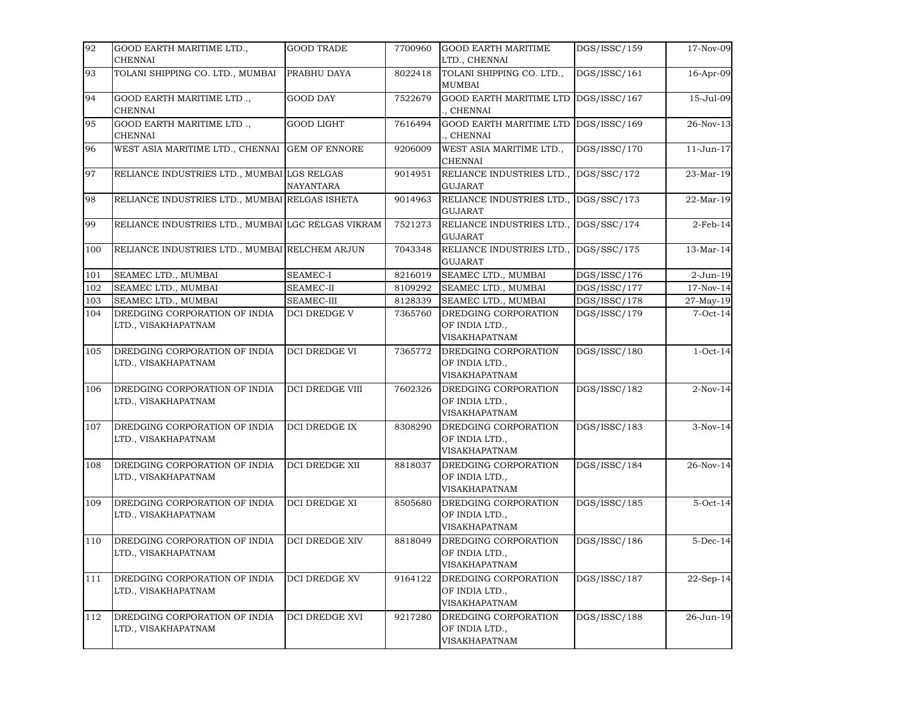| 92  | GOOD EARTH MARITIME LTD.,                            | <b>GOOD TRADE</b>    | 7700960 | <b>GOOD EARTH MARITIME</b>                                     | DGS/ISSC/159 | 17-Nov-09   |
|-----|------------------------------------------------------|----------------------|---------|----------------------------------------------------------------|--------------|-------------|
|     | <b>CHENNAI</b>                                       |                      |         | LTD., CHENNAI                                                  |              |             |
| 93  | TOLANI SHIPPING CO. LTD., MUMBAI                     | PRABHU DAYA          | 8022418 | TOLANI SHIPPING CO. LTD.,<br><b>MUMBAI</b>                     | DGS/ISSC/161 | 16-Apr-09   |
| 94  | GOOD EARTH MARITIME LTD.,<br><b>CHENNAI</b>          | <b>GOOD DAY</b>      | 7522679 | <b>GOOD EARTH MARITIME LTD</b><br>., CHENNAI                   | DGS/ISSC/167 | 15-Jul-09   |
| 95  | GOOD EARTH MARITIME LTD.,<br><b>CHENNAI</b>          | <b>GOOD LIGHT</b>    | 7616494 | GOOD EARTH MARITIME LTD<br>, CHENNAI                           | DGS/ISSC/169 | 26-Nov-13   |
| 96  | WEST ASIA MARITIME LTD., CHENNAI                     | <b>GEM OF ENNORE</b> | 9206009 | WEST ASIA MARITIME LTD.,<br><b>CHENNAI</b>                     | DGS/ISSC/170 | 11-Jun-17   |
| 97  | RELIANCE INDUSTRIES LTD., MUMBAI LGS RELGAS          | NAYANTARA            | 9014951 | RELIANCE INDUSTRIES LTD.,<br><b>GUJARAT</b>                    | DGS/SSC/172  | 23-Mar-19   |
| 98  | RELIANCE INDUSTRIES LTD., MUMBAI RELGAS ISHETA       |                      | 9014963 | RELIANCE INDUSTRIES LTD.,<br><b>GUJARAT</b>                    | DGS/SSC/173  | 22-Mar-19   |
| 99  | RELIANCE INDUSTRIES LTD., MUMBAI LGC RELGAS VIKRAM   |                      | 7521273 | RELIANCE INDUSTRIES LTD.,<br><b>GUJARAT</b>                    | DGS/SSC/174  | $2-Feb-14$  |
| 100 | RELIANCE INDUSTRIES LTD., MUMBAI RELCHEM ARJUN       |                      | 7043348 | RELIANCE INDUSTRIES LTD.,<br><b>GUJARAT</b>                    | DGS/SSC/175  | 13-Mar-14   |
| 101 | SEAMEC LTD., MUMBAI                                  | <b>SEAMEC-I</b>      | 8216019 | SEAMEC LTD., MUMBAI                                            | DGS/ISSC/176 | 2-Jun-19    |
| 102 | SEAMEC LTD., MUMBAI                                  | SEAMEC-II            | 8109292 | SEAMEC LTD., MUMBAI                                            | DGS/ISSC/177 | $17-Nov-14$ |
| 103 | SEAMEC LTD., MUMBAI                                  | SEAMEC-III           | 8128339 | SEAMEC LTD., MUMBAI                                            | DGS/ISSC/178 | 27-May-19   |
| 104 | DREDGING CORPORATION OF INDIA<br>LTD., VISAKHAPATNAM | DCI DREDGE V         | 7365760 | DREDGING CORPORATION<br>OF INDIA LTD.,<br>VISAKHAPATNAM        | DGS/ISSC/179 | $7$ -Oct-14 |
| 105 | DREDGING CORPORATION OF INDIA<br>LTD., VISAKHAPATNAM | <b>DCI DREDGE VI</b> | 7365772 | DREDGING CORPORATION<br>OF INDIA LTD.,<br>VISAKHAPATNAM        | DGS/ISSC/180 | $1-Oct-14$  |
| 106 | DREDGING CORPORATION OF INDIA<br>LTD., VISAKHAPATNAM | DCI DREDGE VIII      | 7602326 | DREDGING CORPORATION<br>OF INDIA LTD.,<br>VISAKHAPATNAM        | DGS/ISSC/182 | $2-Nov-14$  |
| 107 | DREDGING CORPORATION OF INDIA<br>LTD., VISAKHAPATNAM | DCI DREDGE IX        | 8308290 | DREDGING CORPORATION<br>OF INDIA LTD.,<br>VISAKHAPATNAM        | DGS/ISSC/183 | $3-Nov-14$  |
| 108 | DREDGING CORPORATION OF INDIA<br>LTD., VISAKHAPATNAM | DCI DREDGE XII       | 8818037 | DREDGING CORPORATION<br>OF INDIA LTD.,<br>VISAKHAPATNAM        | DGS/ISSC/184 | 26-Nov-14   |
| 109 | DREDGING CORPORATION OF INDIA<br>LTD., VISAKHAPATNAM | <b>DCI DREDGE XI</b> | 8505680 | DREDGING CORPORATION<br>OF INDIA LTD.,<br>VISAKHAPATNAM        | DGS/ISSC/185 | $5-Oct-14$  |
| 110 | DREDGING CORPORATION OF INDIA<br>LTD., VISAKHAPATNAM | DCI DREDGE XIV       | 8818049 | DREDGING CORPORATION<br>OF INDIA LTD.,<br>VISAKHAPATNAM        | DGS/ISSC/186 | $5$ -Dec-14 |
| 111 | DREDGING CORPORATION OF INDIA<br>LTD., VISAKHAPATNAM | DCI DREDGE XV        | 9164122 | DREDGING CORPORATION<br>OF INDIA LTD.,<br>VISAKHAPATNAM        | DGS/ISSC/187 | 22-Sep-14   |
| 112 | DREDGING CORPORATION OF INDIA<br>LTD., VISAKHAPATNAM | DCI DREDGE XVI       | 9217280 | DREDGING CORPORATION<br>OF INDIA LTD.,<br><b>VISAKHAPATNAM</b> | DGS/ISSC/188 | 26-Jun-19   |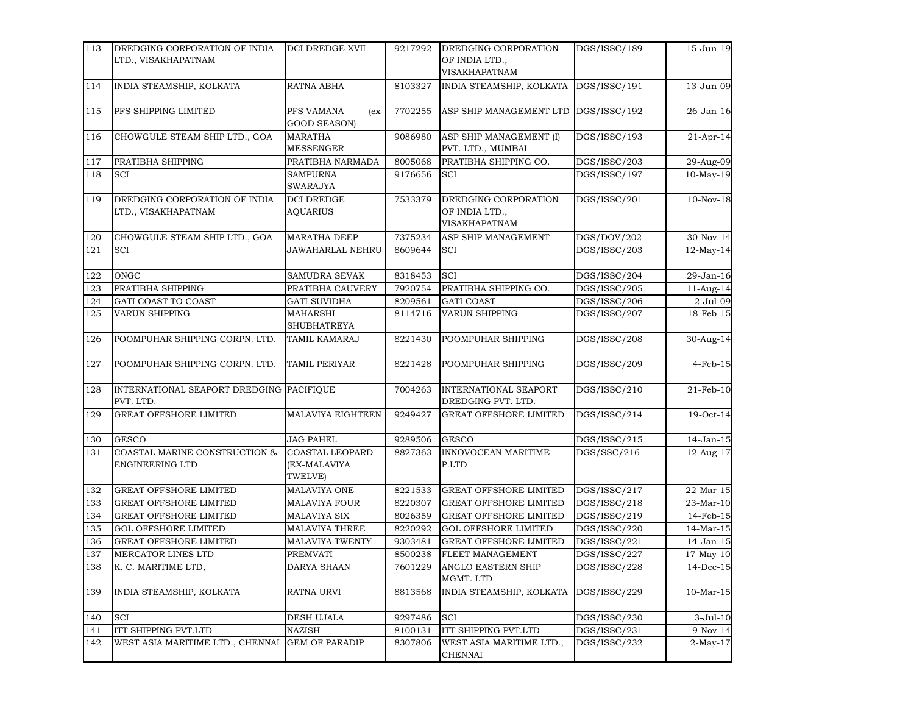| 113 | DREDGING CORPORATION OF INDIA                         | DCI DREDGE XVII                                   | 9217292 | DREDGING CORPORATION                                    | DGS/ISSC/189 | 15-Jun-19       |
|-----|-------------------------------------------------------|---------------------------------------------------|---------|---------------------------------------------------------|--------------|-----------------|
|     | LTD., VISAKHAPATNAM                                   |                                                   |         | OF INDIA LTD.,<br>VISAKHAPATNAM                         |              |                 |
| 114 | INDIA STEAMSHIP, KOLKATA                              | RATNA ABHA                                        | 8103327 | INDIA STEAMSHIP, KOLKATA                                | DGS/ISSC/191 | 13-Jun-09       |
| 115 | PFS SHIPPING LIMITED                                  | PFS VAMANA<br>$(ex-$<br><b>GOOD SEASON)</b>       | 7702255 | ASP SHIP MANAGEMENT LTD                                 | DGS/ISSC/192 | 26-Jan-16       |
| 116 | CHOWGULE STEAM SHIP LTD., GOA                         | <b>MARATHA</b><br><b>MESSENGER</b>                | 9086980 | ASP SHIP MANAGEMENT (I)<br>PVT. LTD., MUMBAI            | DGS/ISSC/193 | $21-Apr-14$     |
| 117 | PRATIBHA SHIPPING                                     | PRATIBHA NARMADA                                  | 8005068 | PRATIBHA SHIPPING CO.                                   | DGS/ISSC/203 | 29-Aug-09       |
| 118 | SCI                                                   | SAMPURNA<br><b>SWARAJYA</b>                       | 9176656 | <b>SCI</b>                                              | DGS/ISSC/197 | $10-May-19$     |
| 119 | DREDGING CORPORATION OF INDIA<br>LTD., VISAKHAPATNAM  | <b>DCI DREDGE</b><br><b>AQUARIUS</b>              | 7533379 | DREDGING CORPORATION<br>OF INDIA LTD.,<br>VISAKHAPATNAM | DGS/ISSC/201 | $10-Nov-18$     |
| 120 | CHOWGULE STEAM SHIP LTD., GOA                         | <b>MARATHA DEEP</b>                               | 7375234 | ASP SHIP MANAGEMENT                                     | DGS/DOV/202  | 30-Nov-14       |
| 121 | SCI                                                   | JAWAHARLAL NEHRU                                  | 8609644 | <b>SCI</b>                                              | DGS/ISSC/203 | $12$ -May-14    |
| 122 | ONGC                                                  | SAMUDRA SEVAK                                     | 8318453 | SCI                                                     | DGS/ISSC/204 | 29-Jan-16       |
| 123 | PRATIBHA SHIPPING                                     | PRATIBHA CAUVERY                                  | 7920754 | PRATIBHA SHIPPING CO.                                   | DGS/ISSC/205 | 11-Aug-14       |
| 124 | GATI COAST TO COAST                                   | <b>GATI SUVIDHA</b>                               | 8209561 | <b>GATI COAST</b>                                       | DGS/ISSC/206 | 2-Jul-09        |
| 125 | VARUN SHIPPING                                        | MAHARSHI<br>SHUBHATREYA                           | 8114716 | <b>VARUN SHIPPING</b>                                   | DGS/ISSC/207 | 18-Feb-15       |
| 126 | POOMPUHAR SHIPPING CORPN. LTD.                        | <b>TAMIL KAMARAJ</b>                              | 8221430 | POOMPUHAR SHIPPING                                      | DGS/ISSC/208 | 30-Aug-14       |
| 127 | POOMPUHAR SHIPPING CORPN. LTD.                        | TAMIL PERIYAR                                     | 8221428 | POOMPUHAR SHIPPING                                      | DGS/ISSC/209 | $4-Feb-15$      |
| 128 | INTERNATIONAL SEAPORT DREDGING PACIFIQUE<br>PVT. LTD. |                                                   | 7004263 | INTERNATIONAL SEAPORT<br>DREDGING PVT. LTD.             | DGS/ISSC/210 | $21$ -Feb- $10$ |
| 129 | <b>GREAT OFFSHORE LIMITED</b>                         | MALAVIYA EIGHTEEN                                 | 9249427 | <b>GREAT OFFSHORE LIMITED</b>                           | DGS/ISSC/214 | 19-Oct-14       |
| 130 | <b>GESCO</b>                                          | <b>JAG PAHEL</b>                                  | 9289506 | <b>GESCO</b>                                            | DGS/ISSC/215 | 14-Jan-15       |
| 131 | COASTAL MARINE CONSTRUCTION &<br>ENGINEERING LTD      | <b>COASTAL LEOPARD</b><br>(EX-MALAVIYA<br>TWELVE) | 8827363 | INNOVOCEAN MARITIME<br>P.LTD                            | DGS/SSC/216  | 12-Aug-17       |
| 132 | <b>GREAT OFFSHORE LIMITED</b>                         | MALAVIYA ONE                                      | 8221533 | <b>GREAT OFFSHORE LIMITED</b>                           | DGS/ISSC/217 | 22-Mar-15       |
| 133 | <b>GREAT OFFSHORE LIMITED</b>                         | MALAVIYA FOUR                                     | 8220307 | <b>GREAT OFFSHORE LIMITED</b>                           | DGS/ISSC/218 | 23-Mar-10       |
| 134 | <b>GREAT OFFSHORE LIMITED</b>                         | <b>MALAVIYA SIX</b>                               | 8026359 | <b>GREAT OFFSHORE LIMITED</b>                           | DGS/ISSC/219 | 14-Feb-15       |
| 135 | <b>GOL OFFSHORE LIMITED</b>                           | MALAVIYA THREE                                    | 8220292 | <b>GOL OFFSHORE LIMITED</b>                             | DGS/ISSC/220 | 14-Mar-15       |
| 136 | <b>GREAT OFFSHORE LIMITED</b>                         | MALAVIYA TWENTY                                   | 9303481 | <b>GREAT OFFSHORE LIMITED</b>                           | DGS/ISSC/221 | 14-Jan-15       |
| 137 | MERCATOR LINES LTD                                    | PREMVATI                                          | 8500238 | FLEET MANAGEMENT                                        | DGS/ISSC/227 | $17-May-10$     |
| 138 | K. C. MARITIME LTD,                                   | DARYA SHAAN                                       | 7601229 | <b>ANGLO EASTERN SHIP</b><br>MGMT. LTD                  | DGS/ISSC/228 | $14$ -Dec-15    |
| 139 | INDIA STEAMSHIP, KOLKATA                              | RATNA URVI                                        | 8813568 | INDIA STEAMSHIP, KOLKATA                                | DGS/ISSC/229 | $10$ -Mar- $15$ |
| 140 | <b>SCI</b>                                            | DESH UJALA                                        | 9297486 | SCI                                                     | DGS/ISSC/230 | $3-Jul-10$      |
| 141 | ITT SHIPPING PVT.LTD                                  | <b>NAZISH</b>                                     | 8100131 | ITT SHIPPING PVT.LTD                                    | DGS/ISSC/231 | 9-Nov-14        |
| 142 | WEST ASIA MARITIME LTD., CHENNAI                      | <b>GEM OF PARADIP</b>                             | 8307806 | WEST ASIA MARITIME LTD.,<br><b>CHENNAI</b>              | DGS/ISSC/232 | $2-May-17$      |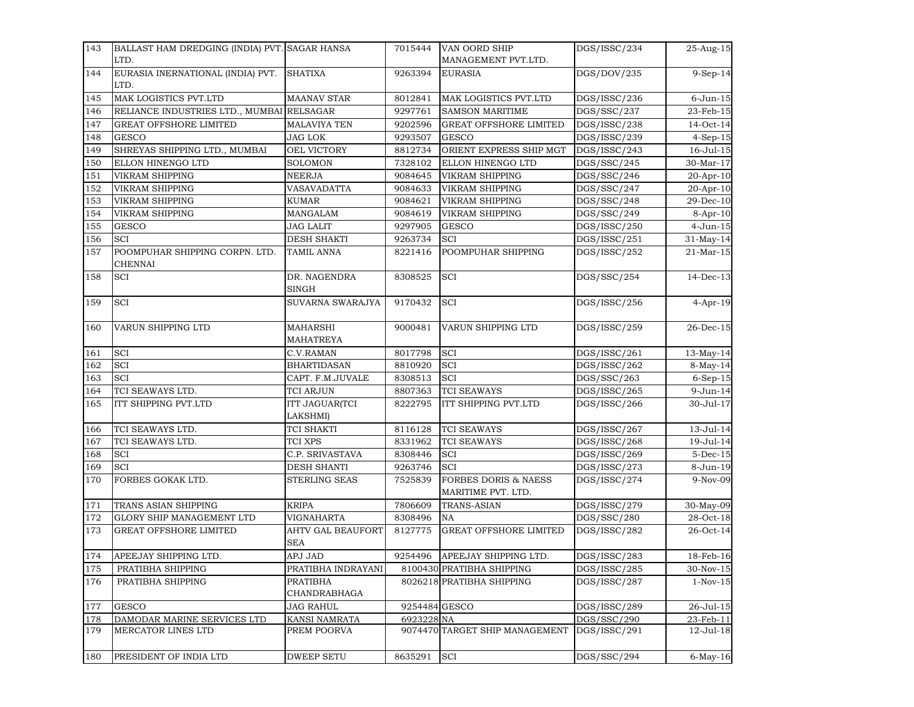| 143 | BALLAST HAM DREDGING (INDIA) PVT. SAGAR HANSA    |                                        | 7015444       | VAN OORD SHIP                                         | DGS/ISSC/234 | 25-Aug-15         |
|-----|--------------------------------------------------|----------------------------------------|---------------|-------------------------------------------------------|--------------|-------------------|
|     | LTD.                                             |                                        |               | MANAGEMENT PVT.LTD.                                   |              |                   |
| 144 | EURASIA INERNATIONAL (INDIA) PVT.<br>LTD.        | <b>SHATIXA</b>                         | 9263394       | <b>EURASIA</b>                                        | DGS/DOV/235  | 9-Sep-14          |
| 145 | MAK LOGISTICS PVT.LTD                            | <b>MAANAV STAR</b>                     | 8012841       | MAK LOGISTICS PVT.LTD                                 | DGS/ISSC/236 | $6$ -Jun- $15$    |
| 146 | RELIANCE INDUSTRIES LTD., MUMBAI RELSAGAR        |                                        | 9297761       | <b>SAMSON MARITIME</b>                                | DGS/SSC/237  | 23-Feb-15         |
| 147 | <b>GREAT OFFSHORE LIMITED</b>                    | <b>MALAVIYA TEN</b>                    | 9202596       | <b>GREAT OFFSHORE LIMITED</b>                         | DGS/ISSC/238 | 14-Oct-14         |
| 148 | <b>GESCO</b>                                     | JAG LOK                                | 9293507       | <b>GESCO</b>                                          | DGS/ISSC/239 | $4-Sep-15$        |
| 149 | SHREYAS SHIPPING LTD., MUMBAI                    | OEL VICTORY                            | 8812734       | ORIENT EXPRESS SHIP MGT                               | DGS/ISSC/243 | $16 -$ Jul $-15$  |
| 150 | ELLON HINENGO LTD                                | <b>SOLOMON</b>                         | 7328102       | ELLON HINENGO LTD                                     | DGS/SSC/245  | 30-Mar-17         |
| 151 | <b>VIKRAM SHIPPING</b>                           | NEERJA                                 | 9084645       | VIKRAM SHIPPING                                       | DGS/SSC/246  | 20-Apr-10         |
| 152 | VIKRAM SHIPPING                                  | VASAVADATTA                            | 9084633       | VIKRAM SHIPPING                                       | DGS/SSC/247  | 20-Apr-10         |
| 153 | <b>VIKRAM SHIPPING</b>                           | KUMAR                                  | 9084621       | VIKRAM SHIPPING                                       | DGS/SSC/248  | 29-Dec-10         |
| 154 | <b>VIKRAM SHIPPING</b>                           | MANGALAM                               | 9084619       | VIKRAM SHIPPING                                       | DGS/SSC/249  | $8-Apr-10$        |
| 155 | <b>GESCO</b>                                     | JAG LALIT                              | 9297905       | <b>GESCO</b>                                          | DGS/ISSC/250 | 4-Jun-15          |
| 156 | SCI                                              | <b>DESH SHAKTI</b>                     | 9263734       | SCI                                                   | DGS/ISSC/251 | $31-May-14$       |
| 157 | POOMPUHAR SHIPPING CORPN. LTD.<br><b>CHENNAI</b> | TAMIL ANNA                             | 8221416       | POOMPUHAR SHIPPING                                    | DGS/ISSC/252 | 21-Mar-15         |
| 158 | SCI                                              | DR. NAGENDRA<br>SINGH                  | 8308525       | <b>SCI</b>                                            | DGS/SSC/254  | $14$ -Dec-13      |
| 159 | SCI                                              | <b>SUVARNA SWARAJYA</b>                | 9170432       | <b>SCI</b>                                            | DGS/ISSC/256 | $4-Apr-19$        |
| 160 | VARUN SHIPPING LTD                               | <b>MAHARSHI</b><br><b>MAHATREYA</b>    | 9000481       | <b>VARUN SHIPPING LTD</b>                             | DGS/ISSC/259 | $26$ -Dec-15      |
| 161 | <b>SCI</b>                                       | C.V.RAMAN                              | 8017798       | <b>SCI</b>                                            | DGS/ISSC/261 | $13-May-14$       |
| 162 | SCI                                              | <b>BHARTIDASAN</b>                     | 8810920       | SCI                                                   | DGS/ISSC/262 | 8-May-14          |
| 163 | SCI                                              | CAPT. F.M.JUVALE                       | 8308513       | <b>SCI</b>                                            | DGS/SSC/263  | 6-Sep-15          |
| 164 | TCI SEAWAYS LTD.                                 | TCI ARJUN                              | 8807363       | <b>TCI SEAWAYS</b>                                    | DGS/ISSC/265 | 9-Jun-14          |
| 165 | ITT SHIPPING PVT.LTD                             | ITT JAGUAR(TCI<br>LAKSHMI)             | 8222795       | ITT SHIPPING PVT.LTD                                  | DGS/ISSC/266 | 30-Jul-17         |
| 166 | TCI SEAWAYS LTD.                                 | TCI SHAKTI                             | 8116128       | <b>TCI SEAWAYS</b>                                    | DGS/ISSC/267 | 13-Jul-14         |
| 167 | TCI SEAWAYS LTD.                                 | TCI XPS                                | 8331962       | <b>TCI SEAWAYS</b>                                    | DGS/ISSC/268 | 19-Jul-14         |
| 168 | SCI                                              | C.P. SRIVASTAVA                        | 8308446       | <b>SCI</b>                                            | DGS/ISSC/269 | $5$ -Dec-15       |
| 169 | SCI                                              | <b>DESH SHANTI</b>                     | 9263746       | <b>SCI</b>                                            | DGS/ISSC/273 | 8-Jun-19          |
| 170 | FORBES GOKAK LTD.                                | STERLING SEAS                          | 7525839       | <b>FORBES DORIS &amp; NAESS</b><br>MARITIME PVT. LTD. | DGS/ISSC/274 | 9-Nov-09          |
| 171 | TRANS ASIAN SHIPPING                             | <b>KRIPA</b>                           | 7806609       | <b>TRANS-ASIAN</b>                                    | DGS/ISSC/279 | 30-May-09         |
| 172 | GLORY SHIP MANAGEMENT LTD                        | VIGNAHARTA                             | 8308496       | NA                                                    | DGS/SSC/280  | 28-Oct-18         |
| 173 | <b>GREAT OFFSHORE LIMITED</b>                    | <b>AHTV GAL BEAUFORT</b><br><b>SEA</b> | 8127775       | <b>GREAT OFFSHORE LIMITED</b>                         | DGS/ISSC/282 | 26-Oct-14         |
| 174 | APEEJAY SHIPPING LTD.                            | APJ JAD                                | 9254496       | APEEJAY SHIPPING LTD.                                 | DGS/ISSC/283 | 18-Feb-16         |
| 175 | PRATIBHA SHIPPING                                | PRATIBHA INDRAYANI                     |               | 8100430 PRATIBHA SHIPPING                             | DGS/ISSC/285 | $30$ -Nov- $15\,$ |
| 176 | PRATIBHA SHIPPING                                | <b>PRATIBHA</b><br>CHANDRABHAGA        |               | 8026218 PRATIBHA SHIPPING                             | DGS/ISSC/287 | $1-Nov-15$        |
| 177 | <b>GESCO</b>                                     | <b>JAG RAHUL</b>                       | 9254484 GESCO |                                                       | DGS/ISSC/289 | 26-Jul-15         |
| 178 | DAMODAR MARINE SERVICES LTD                      | KANSI NAMRATA                          | 6923228 NA    |                                                       | DGS/SSC/290  | 23-Feb-11         |
| 179 | MERCATOR LINES LTD                               | PREM POORVA                            |               | 9074470 TARGET SHIP MANAGEMENT                        | DGS/ISSC/291 | 12-Jul-18         |
| 180 | PRESIDENT OF INDIA LTD                           | <b>DWEEP SETU</b>                      | 8635291       | SCI                                                   | DGS/SSC/294  | $6$ -May-16       |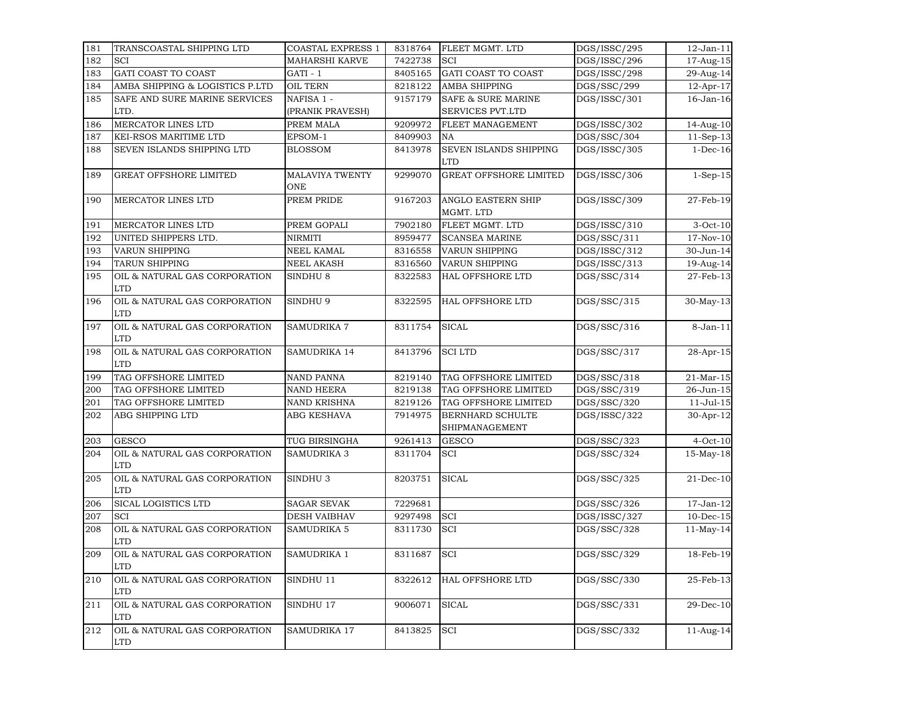| 181 | TRANSCOASTAL SHIPPING LTD                   | <b>COASTAL EXPRESS 1</b>      | 8318764 | FLEET MGMT. LTD                      | DGS/ISSC/295 | $12$ -Jan- $11$  |
|-----|---------------------------------------------|-------------------------------|---------|--------------------------------------|--------------|------------------|
| 182 | SCI                                         | <b>MAHARSHI KARVE</b>         | 7422738 | SCI                                  | DGS/ISSC/296 | 17-Aug-15        |
| 183 | GATI COAST TO COAST                         | $GATI - 1$                    | 8405165 | <b>GATI COAST TO COAST</b>           | DGS/ISSC/298 | 29-Aug-14        |
| 184 | AMBA SHIPPING & LOGISTICS P.LTD             | <b>OIL TERN</b>               | 8218122 | AMBA SHIPPING                        | DGS/SSC/299  | 12-Apr-17        |
| 185 | SAFE AND SURE MARINE SERVICES               | NAFISA 1 -                    | 9157179 | <b>SAFE &amp; SURE MARINE</b>        | DGS/ISSC/301 | 16-Jan-16        |
|     | LTD.                                        | (PRANIK PRAVESH)              |         | SERVICES PVT.LTD                     |              |                  |
| 186 | MERCATOR LINES LTD                          | PREM MALA                     | 9209972 | FLEET MANAGEMENT                     | DGS/ISSC/302 | 14-Aug-10        |
| 187 | KEI-RSOS MARITIME LTD                       | EPSOM-1                       | 8409903 | <b>NA</b>                            | DGS/SSC/304  | 11-Sep-13        |
| 188 | SEVEN ISLANDS SHIPPING LTD                  | <b>BLOSSOM</b>                | 8413978 | SEVEN ISLANDS SHIPPING<br><b>LTD</b> | DGS/ISSC/305 | $1-Dec-16$       |
| 189 | <b>GREAT OFFSHORE LIMITED</b>               | <b>MALAVIYA TWENTY</b><br>ONE | 9299070 | <b>GREAT OFFSHORE LIMITED</b>        | DGS/ISSC/306 | $1-Sep-15$       |
| 190 | <b>MERCATOR LINES LTD</b>                   | PREM PRIDE                    | 9167203 | ANGLO EASTERN SHIP<br>MGMT. LTD      | DGS/ISSC/309 | 27-Feb-19        |
| 191 | <b>MERCATOR LINES LTD</b>                   | PREM GOPALI                   | 7902180 | FLEET MGMT. LTD                      | DGS/ISSC/310 | $3-Oct-10$       |
| 192 | UNITED SHIPPERS LTD.                        | <b>NIRMITI</b>                | 8959477 | <b>SCANSEA MARINE</b>                | DGS/SSC/311  | 17-Nov-10        |
| 193 | VARUN SHIPPING                              | NEEL KAMAL                    | 8316558 | VARUN SHIPPING                       | DGS/ISSC/312 | 30-Jun-14        |
| 194 | <b>TARUN SHIPPING</b>                       | <b>NEEL AKASH</b>             | 8316560 | VARUN SHIPPING                       | DGS/ISSC/313 | 19-Aug-14        |
| 195 | OIL & NATURAL GAS CORPORATION<br><b>LTD</b> | SINDHU <sub>8</sub>           | 8322583 | <b>HAL OFFSHORE LTD</b>              | DGS/SSC/314  | 27-Feb-13        |
| 196 | OIL & NATURAL GAS CORPORATION<br><b>LTD</b> | SINDHU 9                      | 8322595 | <b>HAL OFFSHORE LTD</b>              | DGS/SSC/315  | 30-May-13        |
| 197 | OIL & NATURAL GAS CORPORATION<br><b>LTD</b> | <b>SAMUDRIKA 7</b>            | 8311754 | <b>SICAL</b>                         | DGS/SSC/316  | $8-Jan-11$       |
| 198 | OIL & NATURAL GAS CORPORATION<br><b>LTD</b> | SAMUDRIKA 14                  | 8413796 | <b>SCILTD</b>                        | DGS/SSC/317  | 28-Apr-15        |
| 199 | TAG OFFSHORE LIMITED                        | <b>NAND PANNA</b>             | 8219140 | TAG OFFSHORE LIMITED                 | DGS/SSC/318  | $21-Mar-15$      |
| 200 | TAG OFFSHORE LIMITED                        | <b>NAND HEERA</b>             | 8219138 | TAG OFFSHORE LIMITED                 | DGS/SSC/319  | 26-Jun-15        |
| 201 | TAG OFFSHORE LIMITED                        | NAND KRISHNA                  | 8219126 | TAG OFFSHORE LIMITED                 | DGS/SSC/320  | $11 -$ Jul $-15$ |
| 202 | ABG SHIPPING LTD                            | ABG KESHAVA                   | 7914975 | BERNHARD SCHULTE<br>SHIPMANAGEMENT   | DGS/ISSC/322 | 30-Apr-12        |
| 203 | <b>GESCO</b>                                | TUG BIRSINGHA                 | 9261413 | <b>GESCO</b>                         | DGS/SSC/323  | $4-Oct-10$       |
| 204 | OIL & NATURAL GAS CORPORATION<br><b>LTD</b> | <b>SAMUDRIKA 3</b>            | 8311704 | SCI                                  | DGS/SSC/324  | 15-May-18        |
| 205 | OIL & NATURAL GAS CORPORATION<br><b>LTD</b> | SINDHU <sub>3</sub>           | 8203751 | <b>SICAL</b>                         | DGS/SSC/325  | $21$ -Dec-10     |
| 206 | <b>SICAL LOGISTICS LTD</b>                  | <b>SAGAR SEVAK</b>            | 7229681 |                                      | DGS/SSC/326  | $17-Jan-12$      |
| 207 | <b>SCI</b>                                  | <b>DESH VAIBHAV</b>           | 9297498 | SCI                                  | DGS/ISSC/327 | $10$ -Dec- $15$  |
| 208 | OIL & NATURAL GAS CORPORATION<br><b>LTD</b> | SAMUDRIKA 5                   | 8311730 | SCI                                  | DGS/SSC/328  | $11-May-14$      |
| 209 | OIL & NATURAL GAS CORPORATION<br><b>LTD</b> | SAMUDRIKA 1                   | 8311687 | <b>SCI</b>                           | DGS/SSC/329  | 18-Feb-19        |
| 210 | OIL & NATURAL GAS CORPORATION<br><b>LTD</b> | SINDHU 11                     | 8322612 | HAL OFFSHORE LTD                     | DGS/SSC/330  | 25-Feb-13        |
| 211 | OIL & NATURAL GAS CORPORATION<br><b>LTD</b> | SINDHU 17                     | 9006071 | <b>SICAL</b>                         | DGS/SSC/331  | 29-Dec-10        |
| 212 | OIL & NATURAL GAS CORPORATION<br><b>LTD</b> | SAMUDRIKA 17                  | 8413825 | SCI                                  | DGS/SSC/332  | $11$ -Aug-14     |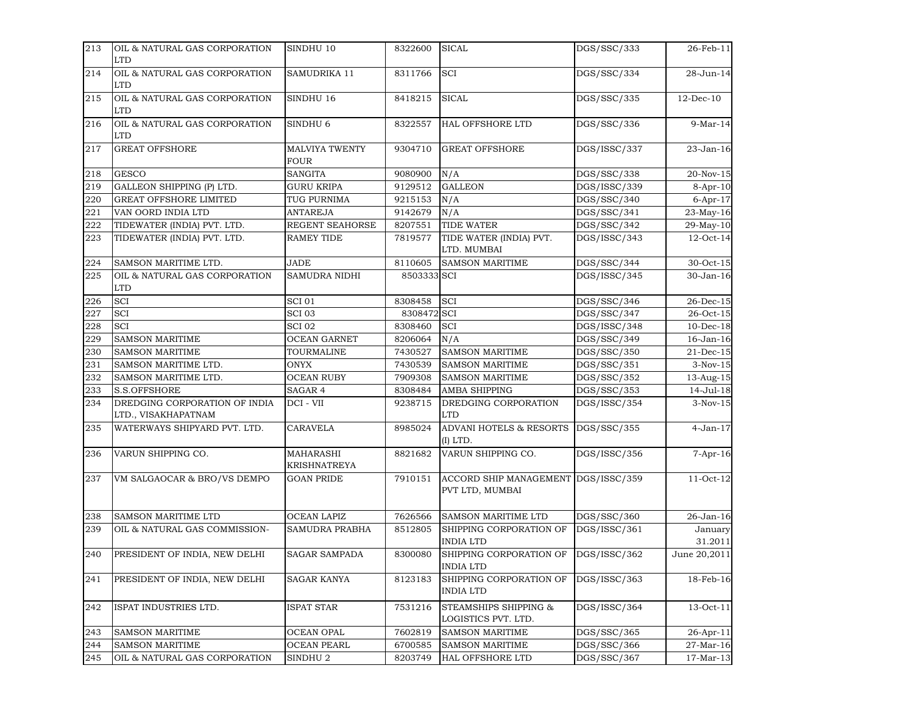| 213 | OIL & NATURAL GAS CORPORATION<br><b>LTD</b>          | SINDHU 10                 | 8322600     | <b>SICAL</b>                                           | DGS/SSC/333  | 26-Feb-11          |
|-----|------------------------------------------------------|---------------------------|-------------|--------------------------------------------------------|--------------|--------------------|
| 214 | OIL & NATURAL GAS CORPORATION<br><b>LTD</b>          | SAMUDRIKA 11              | 8311766     | SCI                                                    | DGS/SSC/334  | 28-Jun-14          |
| 215 | OIL & NATURAL GAS CORPORATION<br><b>LTD</b>          | SINDHU 16                 | 8418215     | <b>SICAL</b>                                           | DGS/SSC/335  | $12$ -Dec-10       |
| 216 | OIL & NATURAL GAS CORPORATION<br><b>LTD</b>          | SINDHU <sub>6</sub>       | 8322557     | <b>HAL OFFSHORE LTD</b>                                | DGS/SSC/336  | $9-Mar-14$         |
| 217 | <b>GREAT OFFSHORE</b>                                | MALVIYA TWENTY<br>FOUR    | 9304710     | <b>GREAT OFFSHORE</b>                                  | DGS/ISSC/337 | 23-Jan-16          |
| 218 | <b>GESCO</b>                                         | SANGITA                   | 9080900     | N/A                                                    | DGS/SSC/338  | 20-Nov-15          |
| 219 | GALLEON SHIPPING (P) LTD.                            | <b>GURU KRIPA</b>         | 9129512     | <b>GALLEON</b>                                         | DGS/ISSC/339 | $8-Apr-10$         |
| 220 | <b>GREAT OFFSHORE LIMITED</b>                        | TUG PURNIMA               | 9215153     | N/A                                                    | DGS/SSC/340  | $6$ -Apr-17        |
| 221 | VAN OORD INDIA LTD                                   | ANTAREJA                  | 9142679     | N/A                                                    | DGS/SSC/341  | 23-May-16          |
| 222 | TIDEWATER (INDIA) PVT. LTD.                          | REGENT SEAHORSE           | 8207551     | <b>TIDE WATER</b>                                      | DGS/SSC/342  | 29-May-10          |
| 223 | TIDEWATER (INDIA) PVT. LTD.                          | <b>RAMEY TIDE</b>         | 7819577     | TIDE WATER (INDIA) PVT.<br>LTD. MUMBAI                 | DGS/ISSC/343 | 12-Oct-14          |
| 224 | SAMSON MARITIME LTD.                                 | <b>JADE</b>               | 8110605     | <b>SAMSON MARITIME</b>                                 | DGS/SSC/344  | 30-Oct-15          |
| 225 | OIL & NATURAL GAS CORPORATION<br><b>LTD</b>          | <b>SAMUDRA NIDHI</b>      | 8503333 SCI |                                                        | DGS/ISSC/345 | 30-Jan-16          |
| 226 | <b>SCI</b>                                           | <b>SCI 01</b>             | 8308458     | <b>SCI</b>                                             | DGS/SSC/346  | 26-Dec-15          |
| 227 | SCI                                                  | SCI 03                    | 8308472 SCI |                                                        | DGS/SSC/347  | 26-Oct-15          |
| 228 | SCI                                                  | SCI 02                    | 8308460     | <b>SCI</b>                                             | DGS/ISSC/348 | $10$ -Dec- $18$    |
| 229 | <b>SAMSON MARITIME</b>                               | <b>OCEAN GARNET</b>       | 8206064     | N/A                                                    | DGS/SSC/349  | 16-Jan-16          |
| 230 | <b>SAMSON MARITIME</b>                               | TOURMALINE                | 7430527     | <b>SAMSON MARITIME</b>                                 | DGS/SSC/350  | $21$ -Dec-15       |
| 231 | SAMSON MARITIME LTD.                                 | ONYX                      | 7430539     | <b>SAMSON MARITIME</b>                                 | DGS/SSC/351  | $3-Nov-15$         |
| 232 | SAMSON MARITIME LTD.                                 | <b>OCEAN RUBY</b>         | 7909308     | <b>SAMSON MARITIME</b>                                 | DGS/SSC/352  | 13-Aug-15          |
| 233 | <b>S.S.OFFSHORE</b>                                  | SAGAR 4                   | 8308484     | <b>AMBA SHIPPING</b>                                   | DGS/SSC/353  | 14-Jul-18          |
| 234 | DREDGING CORPORATION OF INDIA<br>LTD., VISAKHAPATNAM | DCI - VII                 | 9238715     | DREDGING CORPORATION<br><b>LTD</b>                     | DGS/ISSC/354 | $3-Nov-15$         |
| 235 | WATERWAYS SHIPYARD PVT. LTD.                         | CARAVELA                  | 8985024     | ADVANI HOTELS & RESORTS<br>(I) LTD.                    | DGS/SSC/355  | $4-Jan-17$         |
| 236 | VARUN SHIPPING CO.                                   | MAHARASHI<br>KRISHNATREYA | 8821682     | VARUN SHIPPING CO.                                     | DGS/ISSC/356 | $7 - Apr - 16$     |
| 237 | VM SALGAOCAR & BRO/VS DEMPO                          | <b>GOAN PRIDE</b>         | 7910151     | ACCORD SHIP MANAGEMENT DGS/ISSC/359<br>PVT LTD, MUMBAI |              | 11-Oct-12          |
| 238 | <b>SAMSON MARITIME LTD</b>                           | <b>OCEAN LAPIZ</b>        | 7626566     | <b>SAMSON MARITIME LTD</b>                             | DGS/SSC/360  | 26-Jan-16          |
| 239 | OIL & NATURAL GAS COMMISSION-                        | <b>SAMUDRA PRABHA</b>     | 8512805     | SHIPPING CORPORATION OF<br><b>INDIA LTD</b>            | DGS/ISSC/361 | January<br>31.2011 |
| 240 | PRESIDENT OF INDIA, NEW DELHI                        | <b>SAGAR SAMPADA</b>      | 8300080     | SHIPPING CORPORATION OF<br><b>INDIA LTD</b>            | DGS/ISSC/362 | June 20,2011       |
| 241 | PRESIDENT OF INDIA, NEW DELHI                        | <b>SAGAR KANYA</b>        | 8123183     | SHIPPING CORPORATION OF<br><b>INDIA LTD</b>            | DGS/ISSC/363 | 18-Feb-16          |
| 242 | ISPAT INDUSTRIES LTD.                                | ISPAT STAR                | 7531216     | STEAMSHIPS SHIPPING &<br>LOGISTICS PVT. LTD.           | DGS/ISSC/364 | 13-Oct-11          |
| 243 | <b>SAMSON MARITIME</b>                               | OCEAN OPAL                | 7602819     | <b>SAMSON MARITIME</b>                                 | DGS/SSC/365  | 26-Apr-11          |
| 244 | <b>SAMSON MARITIME</b>                               | OCEAN PEARL               | 6700585     | SAMSON MARITIME                                        | DGS/SSC/366  | 27-Mar-16          |
| 245 | OIL & NATURAL GAS CORPORATION                        | SINDHU 2                  | 8203749     | <b>HAL OFFSHORE LTD</b>                                | DGS/SSC/367  | 17-Mar-13          |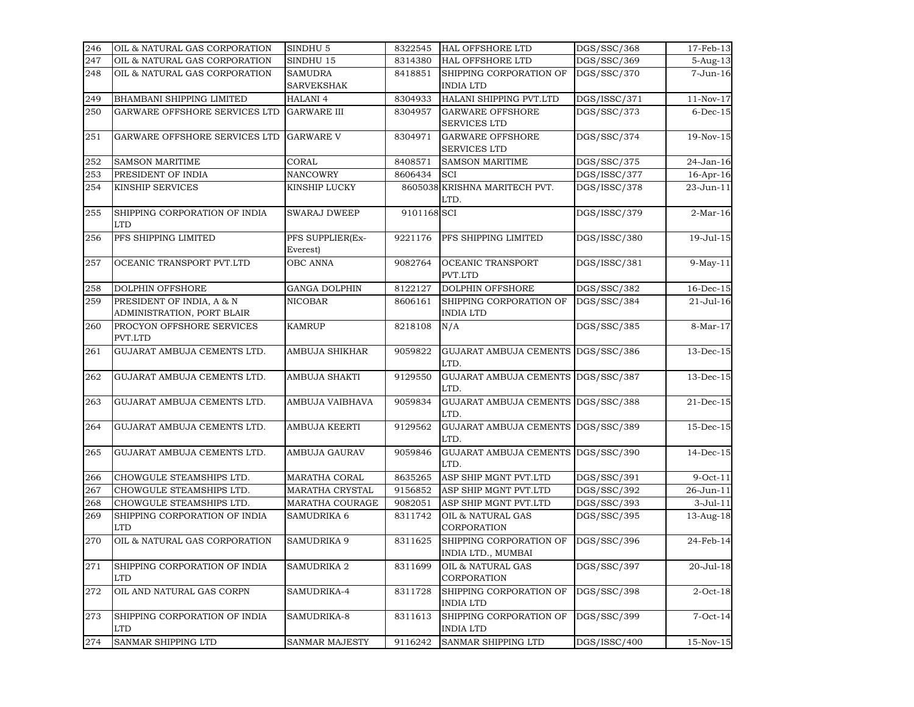| 246 | OIL & NATURAL GAS CORPORATION               | SINDHU <sub>5</sub>   | 8322545     | <b>HAL OFFSHORE LTD</b>                       | DGS/SSC/368  | 17-Feb-13       |
|-----|---------------------------------------------|-----------------------|-------------|-----------------------------------------------|--------------|-----------------|
| 247 | OIL & NATURAL GAS CORPORATION               | SINDHU 15             | 8314380     | HAL OFFSHORE LTD                              | DGS/SSC/369  | $5-Aug-13$      |
| 248 | OIL & NATURAL GAS CORPORATION               | <b>SAMUDRA</b>        | 8418851     | SHIPPING CORPORATION OF                       | DGS/SSC/370  | 7-Jun-16        |
|     |                                             | SARVEKSHAK            |             | <b>INDIA LTD</b>                              |              |                 |
| 249 | BHAMBANI SHIPPING LIMITED                   | <b>HALANI 4</b>       | 8304933     | HALANI SHIPPING PVT.LTD                       | DGS/ISSC/371 | $11-Nov-17$     |
| 250 | GARWARE OFFSHORE SERVICES LTD               | <b>GARWARE III</b>    | 8304957     | <b>GARWARE OFFSHORE</b>                       | DGS/SSC/373  | $6$ -Dec- $15$  |
|     |                                             |                       |             | <b>SERVICES LTD</b>                           |              |                 |
| 251 | GARWARE OFFSHORE SERVICES LTD               | <b>GARWARE V</b>      | 8304971     | <b>GARWARE OFFSHORE</b>                       | DGS/SSC/374  | 19-Nov-15       |
|     |                                             |                       |             | <b>SERVICES LTD</b>                           |              |                 |
| 252 | <b>SAMSON MARITIME</b>                      | CORAL                 | 8408571     | <b>SAMSON MARITIME</b>                        | DGS/SSC/375  | 24-Jan-16       |
| 253 | PRESIDENT OF INDIA                          | <b>NANCOWRY</b>       | 8606434     | <b>SCI</b>                                    | DGS/ISSC/377 | 16-Apr-16       |
| 254 | KINSHIP SERVICES                            | KINSHIP LUCKY         |             | 8605038 KRISHNA MARITECH PVT.                 | DGS/ISSC/378 | 23-Jun-11       |
|     |                                             |                       |             | LTD.                                          |              |                 |
| 255 | SHIPPING CORPORATION OF INDIA<br><b>LTD</b> | <b>SWARAJ DWEEP</b>   | 9101168 SCI |                                               | DGS/ISSC/379 | $2-Mar-16$      |
| 256 | PFS SHIPPING LIMITED                        | PFS SUPPLIER(Ex-      | 9221176     | PFS SHIPPING LIMITED                          | DGS/ISSC/380 | 19-Jul-15       |
|     |                                             | Everest)              |             |                                               |              |                 |
| 257 | OCEANIC TRANSPORT PVT.LTD                   | <b>OBC ANNA</b>       | 9082764     | OCEANIC TRANSPORT                             | DGS/ISSC/381 | $9-May-11$      |
|     |                                             |                       |             | PVT.LTD                                       |              |                 |
| 258 | <b>DOLPHIN OFFSHORE</b>                     | <b>GANGA DOLPHIN</b>  | 8122127     | <b>DOLPHIN OFFSHORE</b>                       | DGS/SSC/382  | $16$ -Dec- $15$ |
| 259 | PRESIDENT OF INDIA, A & N                   | <b>NICOBAR</b>        | 8606161     | SHIPPING CORPORATION OF                       | DGS/SSC/384  | 21-Jul-16       |
|     | ADMINISTRATION, PORT BLAIR                  |                       |             | <b>INDIA LTD</b>                              |              |                 |
| 260 | PROCYON OFFSHORE SERVICES<br>PVT.LTD        | <b>KAMRUP</b>         | 8218108     | N/A                                           | DGS/SSC/385  | 8-Mar-17        |
| 261 | GUJARAT AMBUJA CEMENTS LTD.                 | AMBUJA SHIKHAR        | 9059822     | GUJARAT AMBUJA CEMENTS DGS/SSC/386<br>LTD.    |              | 13-Dec-15       |
| 262 | GUJARAT AMBUJA CEMENTS LTD.                 | AMBUJA SHAKTI         | 9129550     | <b>GUJARAT AMBUJA CEMENTS</b><br>LTD.         | DGS/SSC/387  | 13-Dec-15       |
| 263 | GUJARAT AMBUJA CEMENTS LTD.                 | AMBUJA VAIBHAVA       | 9059834     | GUJARAT AMBUJA CEMENTS DGS/SSC/388<br>LTD.    |              | 21-Dec-15       |
| 264 | GUJARAT AMBUJA CEMENTS LTD.                 | AMBUJA KEERTI         | 9129562     | GUJARAT AMBUJA CEMENTS DGS/SSC/389<br>LTD.    |              | 15-Dec-15       |
| 265 | GUJARAT AMBUJA CEMENTS LTD.                 | AMBUJA GAURAV         | 9059846     | GUJARAT AMBUJA CEMENTS DGS/SSC/390<br>LTD.    |              | $14$ -Dec-15    |
| 266 | CHOWGULE STEAMSHIPS LTD.                    | MARATHA CORAL         | 8635265     | ASP SHIP MGNT PVT.LTD                         | DGS/SSC/391  | $9$ -Oct-11     |
| 267 | CHOWGULE STEAMSHIPS LTD.                    | MARATHA CRYSTAL       | 9156852     | ASP SHIP MGNT PVT.LTD                         | DGS/SSC/392  | 26-Jun-11       |
| 268 | CHOWGULE STEAMSHIPS LTD.                    | MARATHA COURAGE       | 9082051     | ASP SHIP MGNT PVT.LTD                         | DGS/SSC/393  | $3-Jul-11$      |
| 269 | SHIPPING CORPORATION OF INDIA<br><b>LTD</b> | SAMUDRIKA 6           | 8311742     | OIL & NATURAL GAS<br>CORPORATION              | DGS/SSC/395  | 13-Aug-18       |
| 270 | OIL & NATURAL GAS CORPORATION               | SAMUDRIKA 9           | 8311625     | SHIPPING CORPORATION OF<br>INDIA LTD., MUMBAI | DGS/SSC/396  | 24-Feb-14       |
| 271 | SHIPPING CORPORATION OF INDIA<br><b>LTD</b> | SAMUDRIKA 2           | 8311699     | OIL & NATURAL GAS<br>CORPORATION              | DGS/SSC/397  | 20-Jul-18       |
| 272 | OIL AND NATURAL GAS CORPN                   | SAMUDRIKA-4           | 8311728     | SHIPPING CORPORATION OF<br><b>INDIA LTD</b>   | DGS/SSC/398  | $2$ -Oct-18     |
| 273 | SHIPPING CORPORATION OF INDIA<br><b>LTD</b> | SAMUDRIKA-8           | 8311613     | SHIPPING CORPORATION OF<br><b>INDIA LTD</b>   | DGS/SSC/399  | $7$ -Oct-14     |
| 274 | <b>SANMAR SHIPPING LTD</b>                  | <b>SANMAR MAJESTY</b> | 9116242     | <b>SANMAR SHIPPING LTD</b>                    | DGS/ISSC/400 | 15-Nov-15       |
|     |                                             |                       |             |                                               |              |                 |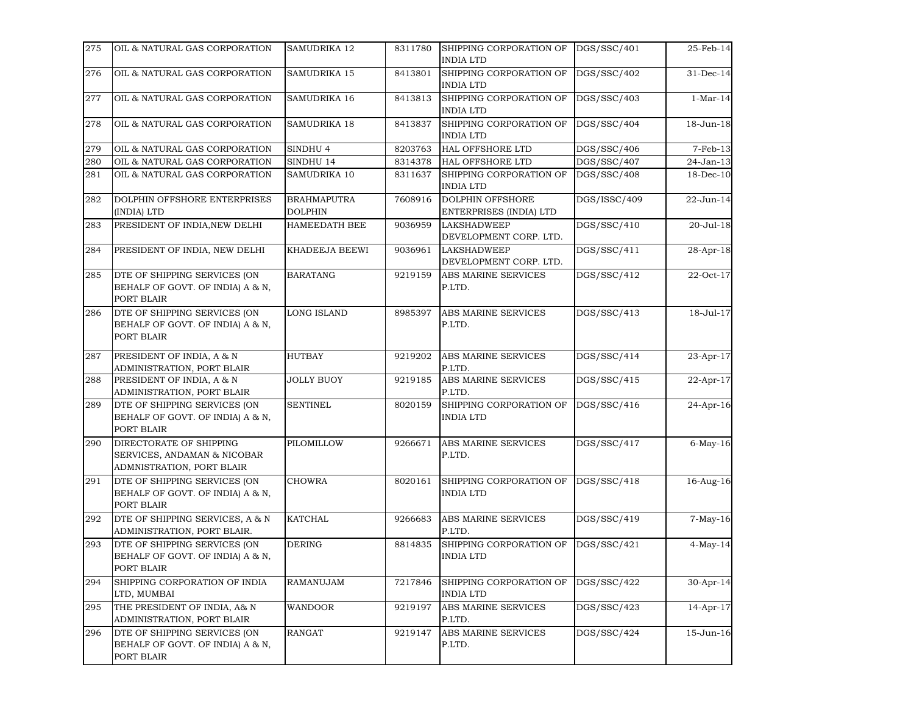| 275 | OIL & NATURAL GAS CORPORATION                                                       | SAMUDRIKA 12                         | 8311780 | SHIPPING CORPORATION OF<br><b>INDIA LTD</b>        | DGS/SSC/401  | 25-Feb-14    |
|-----|-------------------------------------------------------------------------------------|--------------------------------------|---------|----------------------------------------------------|--------------|--------------|
| 276 | OIL & NATURAL GAS CORPORATION                                                       | <b>SAMUDRIKA 15</b>                  | 8413801 | SHIPPING CORPORATION OF<br><b>INDIA LTD</b>        | DGS/SSC/402  | 31-Dec-14    |
| 277 | OIL & NATURAL GAS CORPORATION                                                       | SAMUDRIKA 16                         | 8413813 | SHIPPING CORPORATION OF<br><b>INDIA LTD</b>        | DGS/SSC/403  | $1-Mar-14$   |
| 278 | OIL & NATURAL GAS CORPORATION                                                       | <b>SAMUDRIKA 18</b>                  | 8413837 | SHIPPING CORPORATION OF<br><b>INDIA LTD</b>        | DGS/SSC/404  | 18-Jun-18    |
| 279 | OIL & NATURAL GAS CORPORATION                                                       | SINDHU 4                             | 8203763 | <b>HAL OFFSHORE LTD</b>                            | DGS/SSC/406  | $7-Feb-13$   |
| 280 | OIL & NATURAL GAS CORPORATION                                                       | SINDHU 14                            | 8314378 | <b>HAL OFFSHORE LTD</b>                            | DGS/SSC/407  | 24-Jan-13    |
| 281 | OIL & NATURAL GAS CORPORATION                                                       | SAMUDRIKA 10                         | 8311637 | SHIPPING CORPORATION OF<br><b>INDIA LTD</b>        | DGS/SSC/408  | 18-Dec-10    |
| 282 | DOLPHIN OFFSHORE ENTERPRISES<br>(INDIA) LTD                                         | <b>BRAHMAPUTRA</b><br><b>DOLPHIN</b> | 7608916 | <b>DOLPHIN OFFSHORE</b><br>ENTERPRISES (INDIA) LTD | DGS/ISSC/409 | 22-Jun-14    |
| 283 | PRESIDENT OF INDIA, NEW DELHI                                                       | <b>HAMEEDATH BEE</b>                 | 9036959 | <b>LAKSHADWEEP</b><br>DEVELOPMENT CORP. LTD.       | DGS/SSC/410  | 20-Jul-18    |
| 284 | PRESIDENT OF INDIA, NEW DELHI                                                       | KHADEEJA BEEWI                       | 9036961 | <b>LAKSHADWEEP</b><br>DEVELOPMENT CORP. LTD.       | DGS/SSC/411  | 28-Apr-18    |
| 285 | DTE OF SHIPPING SERVICES (ON<br>BEHALF OF GOVT. OF INDIA) A & N,<br>PORT BLAIR      | <b>BARATANG</b>                      | 9219159 | <b>ABS MARINE SERVICES</b><br>P.LTD.               | DGS/SSC/412  | 22-Oct-17    |
| 286 | DTE OF SHIPPING SERVICES (ON<br>BEHALF OF GOVT. OF INDIA) A & N,<br>PORT BLAIR      | <b>LONG ISLAND</b>                   | 8985397 | ABS MARINE SERVICES<br>P.LTD.                      | DGS/SSC/413  | 18-Jul-17    |
| 287 | PRESIDENT OF INDIA, A & N<br>ADMINISTRATION, PORT BLAIR                             | <b>HUTBAY</b>                        | 9219202 | ABS MARINE SERVICES<br>P.LTD.                      | DGS/SSC/414  | 23-Apr-17    |
| 288 | PRESIDENT OF INDIA, A & N<br>ADMINISTRATION, PORT BLAIR                             | <b>JOLLY BUOY</b>                    | 9219185 | ABS MARINE SERVICES<br>P.LTD.                      | DGS/SSC/415  | $22$ -Apr-17 |
| 289 | DTE OF SHIPPING SERVICES (ON<br>BEHALF OF GOVT. OF INDIA) A & N,<br>PORT BLAIR      | <b>SENTINEL</b>                      | 8020159 | SHIPPING CORPORATION OF<br><b>INDIA LTD</b>        | DGS/SSC/416  | 24-Apr-16    |
| 290 | DIRECTORATE OF SHIPPING<br>SERVICES, ANDAMAN & NICOBAR<br>ADMNISTRATION, PORT BLAIR | PILOMILLOW                           | 9266671 | ABS MARINE SERVICES<br>P.LTD.                      | DGS/SSC/417  | $6$ -May-16  |
| 291 | DTE OF SHIPPING SERVICES (ON<br>BEHALF OF GOVT. OF INDIA) A & N,<br>PORT BLAIR      | <b>CHOWRA</b>                        | 8020161 | SHIPPING CORPORATION OF<br><b>INDIA LTD</b>        | DGS/SSC/418  | 16-Aug-16    |
| 292 | DTE OF SHIPPING SERVICES, A & N<br>ADMINISTRATION, PORT BLAIR.                      | <b>KATCHAL</b>                       | 9266683 | ABS MARINE SERVICES<br>P.LTD.                      | DGS/SSC/419  | $7-May-16$   |
| 293 | DTE OF SHIPPING SERVICES (ON<br>BEHALF OF GOVT. OF INDIA) A & N,<br>PORT BLAIR      | <b>DERING</b>                        | 8814835 | SHIPPING CORPORATION OF<br><b>INDIA LTD</b>        | DGS/SSC/421  | $4-May-14$   |
| 294 | SHIPPING CORPORATION OF INDIA<br>LTD, MUMBAI                                        | RAMANUJAM                            | 7217846 | SHIPPING CORPORATION OF<br><b>INDIA LTD</b>        | DGS/SSC/422  | 30-Apr-14    |
| 295 | THE PRESIDENT OF INDIA, A& N<br>ADMINISTRATION, PORT BLAIR                          | <b>WANDOOR</b>                       | 9219197 | <b>ABS MARINE SERVICES</b><br>P.LTD.               | DGS/SSC/423  | 14-Apr-17    |
| 296 | DTE OF SHIPPING SERVICES (ON<br>BEHALF OF GOVT. OF INDIA) A & N,<br>PORT BLAIR      | RANGAT                               | 9219147 | ABS MARINE SERVICES<br>P.LTD.                      | DGS/SSC/424  | 15-Jun-16    |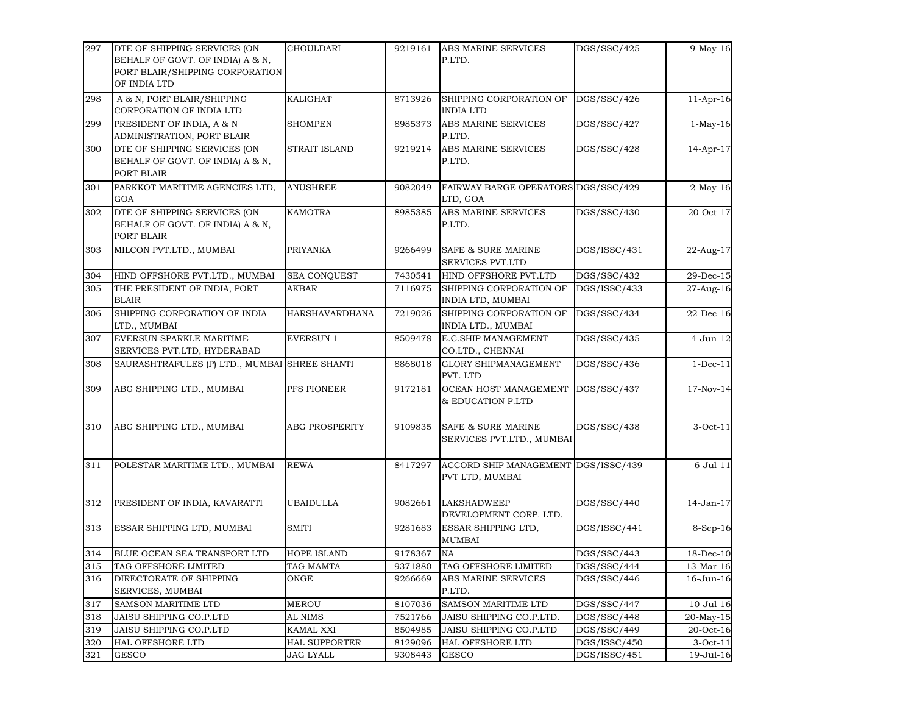| 297 | DTE OF SHIPPING SERVICES (ON<br>BEHALF OF GOVT. OF INDIA) A & N,<br>PORT BLAIR/SHIPPING CORPORATION<br>OF INDIA LTD | CHOULDARI             | 9219161 | ABS MARINE SERVICES<br>P.LTD.                              | DGS/SSC/425  | 9-May-16        |
|-----|---------------------------------------------------------------------------------------------------------------------|-----------------------|---------|------------------------------------------------------------|--------------|-----------------|
| 298 | A & N, PORT BLAIR/SHIPPING<br>CORPORATION OF INDIA LTD                                                              | KALIGHAT              | 8713926 | SHIPPING CORPORATION OF<br><b>INDIA LTD</b>                | DGS/SSC/426  | $11-Apr-16$     |
| 299 | PRESIDENT OF INDIA, A & N<br>ADMINISTRATION, PORT BLAIR                                                             | <b>SHOMPEN</b>        | 8985373 | ABS MARINE SERVICES<br>P.LTD.                              | DGS/SSC/427  | $1-May-16$      |
| 300 | DTE OF SHIPPING SERVICES (ON<br>BEHALF OF GOVT. OF INDIA) A & N,<br>PORT BLAIR                                      | <b>STRAIT ISLAND</b>  | 9219214 | ABS MARINE SERVICES<br>P.LTD.                              | DGS/SSC/428  | $14-Apr-17$     |
| 301 | PARKKOT MARITIME AGENCIES LTD,<br>GOA                                                                               | <b>ANUSHREE</b>       | 9082049 | FAIRWAY BARGE OPERATORS DGS/SSC/429<br>LTD, GOA            |              | $2-May-16$      |
| 302 | DTE OF SHIPPING SERVICES (ON<br>BEHALF OF GOVT. OF INDIA) A & N,<br>PORT BLAIR                                      | <b>KAMOTRA</b>        | 8985385 | ABS MARINE SERVICES<br>P.LTD.                              | DGS/SSC/430  | 20-Oct-17       |
| 303 | MILCON PVT.LTD., MUMBAI                                                                                             | PRIYANKA              | 9266499 | <b>SAFE &amp; SURE MARINE</b><br><b>SERVICES PVT.LTD</b>   | DGS/ISSC/431 | 22-Aug-17       |
| 304 | HIND OFFSHORE PVT.LTD., MUMBAI                                                                                      | SEA CONQUEST          | 7430541 | HIND OFFSHORE PVT.LTD                                      | DGS/SSC/432  | 29-Dec-15       |
| 305 | THE PRESIDENT OF INDIA, PORT<br><b>BLAIR</b>                                                                        | AKBAR                 | 7116975 | SHIPPING CORPORATION OF<br>INDIA LTD, MUMBAI               | DGS/ISSC/433 | 27-Aug-16       |
| 306 | SHIPPING CORPORATION OF INDIA<br>LTD., MUMBAI                                                                       | <b>HARSHAVARDHANA</b> | 7219026 | SHIPPING CORPORATION OF<br>INDIA LTD., MUMBAI              | DGS/SSC/434  | 22-Dec-16       |
| 307 | EVERSUN SPARKLE MARITIME<br>SERVICES PVT.LTD, HYDERABAD                                                             | <b>EVERSUN 1</b>      | 8509478 | E.C.SHIP MANAGEMENT<br>CO.LTD., CHENNAI                    | DGS/SSC/435  | 4-Jun-12        |
| 308 | SAURASHTRAFULES (P) LTD., MUMBAI SHREE SHANTI                                                                       |                       | 8868018 | <b>GLORY SHIPMANAGEMENT</b><br>PVT. LTD                    | DGS/SSC/436  | $1-Dec-11$      |
| 309 | ABG SHIPPING LTD., MUMBAI                                                                                           | PFS PIONEER           | 9172181 | OCEAN HOST MANAGEMENT<br>& EDUCATION P.LTD                 | DGS/SSC/437  | 17-Nov-14       |
| 310 | ABG SHIPPING LTD., MUMBAI                                                                                           | <b>ABG PROSPERITY</b> | 9109835 | <b>SAFE &amp; SURE MARINE</b><br>SERVICES PVT.LTD., MUMBAI | DGS/SSC/438  | $3-Oct-11$      |
| 311 | POLESTAR MARITIME LTD., MUMBAI                                                                                      | <b>REWA</b>           | 8417297 | ACCORD SHIP MANAGEMENT DGS/ISSC/439<br>PVT LTD, MUMBAI     |              | $6$ -Jul- $11$  |
| 312 | PRESIDENT OF INDIA, KAVARATTI                                                                                       | <b>UBAIDULLA</b>      | 9082661 | <b>LAKSHADWEEP</b><br>DEVELOPMENT CORP. LTD.               | DGS/SSC/440  | 14-Jan-17       |
| 313 | ESSAR SHIPPING LTD, MUMBAI                                                                                          | <b>SMITI</b>          | 9281683 | ESSAR SHIPPING LTD,<br><b>MUMBAI</b>                       | DGS/ISSC/441 | 8-Sep-16        |
| 314 | BLUE OCEAN SEA TRANSPORT LTD                                                                                        | <b>HOPE ISLAND</b>    | 9178367 | $_{\rm NA}$                                                | DGS/SSC/443  | 18-Dec-10       |
| 315 | TAG OFFSHORE LIMITED                                                                                                | TAG MAMTA             | 9371880 | TAG OFFSHORE LIMITED                                       | DGS/SSC/444  | 13-Mar-16       |
| 316 | DIRECTORATE OF SHIPPING<br>SERVICES, MUMBAI                                                                         | ONGE                  | 9266669 | ABS MARINE SERVICES<br>P.LTD.                              | DGS/SSC/446  | 16-Jun-16       |
| 317 | <b>SAMSON MARITIME LTD</b>                                                                                          | <b>MEROU</b>          | 8107036 | <b>SAMSON MARITIME LTD</b>                                 | DGS/SSC/447  | $10$ -Jul- $16$ |
| 318 | JAISU SHIPPING CO.P.LTD                                                                                             | AL NIMS               | 7521766 | JAISU SHIPPING CO.P.LTD.                                   | DGS/SSC/448  | 20-May-15       |
| 319 | JAISU SHIPPING CO.P.LTD                                                                                             | KAMAL XXI             | 8504985 | JAISU SHIPPING CO.P.LTD                                    | DGS/SSC/449  | 20-Oct-16       |
| 320 | <b>HAL OFFSHORE LTD</b>                                                                                             | <b>HAL SUPPORTER</b>  | 8129096 | <b>HAL OFFSHORE LTD</b>                                    | DGS/ISSC/450 | $3-Oct-11$      |
| 321 | <b>GESCO</b>                                                                                                        | JAG LYALL             | 9308443 | <b>GESCO</b>                                               | DGS/ISSC/451 | 19-Jul-16       |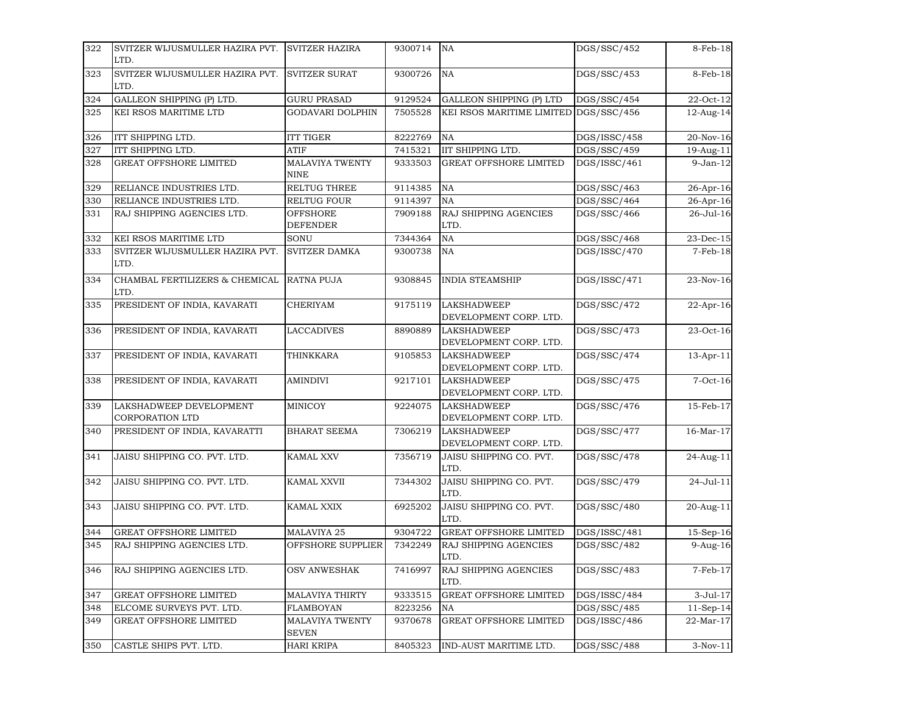| 322 | SVITZER WIJUSMULLER HAZIRA PVT.                   | <b>SVITZER HAZIRA</b>                  | 9300714 | NA                                           | DGS/SSC/452  | 8-Feb-18    |
|-----|---------------------------------------------------|----------------------------------------|---------|----------------------------------------------|--------------|-------------|
|     | LTD.                                              |                                        |         |                                              |              |             |
| 323 | SVITZER WIJUSMULLER HAZIRA PVT.<br>LTD.           | <b>SVITZER SURAT</b>                   | 9300726 | NA                                           | DGS/SSC/453  | 8-Feb-18    |
| 324 | GALLEON SHIPPING (P) LTD.                         | <b>GURU PRASAD</b>                     | 9129524 | <b>GALLEON SHIPPING (P) LTD</b>              | DGS/SSC/454  | 22-Oct-12   |
| 325 | KEI RSOS MARITIME LTD                             | <b>GODAVARI DOLPHIN</b>                | 7505528 | KEI RSOS MARITIME LIMITED                    | DGS/SSC/456  | 12-Aug-14   |
| 326 | ITT SHIPPING LTD.                                 | <b>ITT TIGER</b>                       | 8222769 | NA                                           | DGS/ISSC/458 | 20-Nov-16   |
| 327 | ITT SHIPPING LTD.                                 | <b>ATIF</b>                            | 7415321 | IIT SHIPPING LTD.                            | DGS/SSC/459  | 19-Aug-11   |
| 328 | <b>GREAT OFFSHORE LIMITED</b>                     | MALAVIYA TWENTY<br><b>NINE</b>         | 9333503 | <b>GREAT OFFSHORE LIMITED</b>                | DGS/ISSC/461 | $9-Jan-12$  |
| 329 | RELIANCE INDUSTRIES LTD.                          | RELTUG THREE                           | 9114385 | NA                                           | DGS/SSC/463  | 26-Apr-16   |
| 330 | RELIANCE INDUSTRIES LTD.                          | RELTUG FOUR                            | 9114397 | NA                                           | DGS/SSC/464  | 26-Apr-16   |
| 331 | RAJ SHIPPING AGENCIES LTD.                        | <b>OFFSHORE</b>                        | 7909188 | RAJ SHIPPING AGENCIES                        | DGS/SSC/466  | 26-Jul-16   |
|     |                                                   | <b>DEFENDER</b>                        |         | LTD.                                         |              |             |
| 332 | KEI RSOS MARITIME LTD                             | SONU                                   | 7344364 | NA                                           | DGS/SSC/468  | 23-Dec-15   |
| 333 | SVITZER WIJUSMULLER HAZIRA PVT.<br>LTD.           | <b>SVITZER DAMKA</b>                   | 9300738 | NA                                           | DGS/ISSC/470 | $7-Feb-18$  |
| 334 | CHAMBAL FERTILIZERS & CHEMICAL<br>LTD.            | <b>RATNA PUJA</b>                      | 9308845 | <b>INDIA STEAMSHIP</b>                       | DGS/ISSC/471 | 23-Nov-16   |
| 335 | PRESIDENT OF INDIA, KAVARATI                      | <b>CHERIYAM</b>                        | 9175119 | <b>LAKSHADWEEP</b><br>DEVELOPMENT CORP. LTD. | DGS/SSC/472  | 22-Apr-16   |
| 336 | PRESIDENT OF INDIA, KAVARATI                      | <b>LACCADIVES</b>                      | 8890889 | <b>LAKSHADWEEP</b><br>DEVELOPMENT CORP. LTD. | DGS/SSC/473  | 23-Oct-16   |
| 337 | PRESIDENT OF INDIA, KAVARATI                      | THINKKARA                              | 9105853 | <b>LAKSHADWEEP</b><br>DEVELOPMENT CORP. LTD. | DGS/SSC/474  | 13-Apr-11   |
| 338 | PRESIDENT OF INDIA, KAVARATI                      | AMINDIVI                               | 9217101 | <b>LAKSHADWEEP</b><br>DEVELOPMENT CORP. LTD. | DGS/SSC/475  | $7-Oct-16$  |
| 339 | LAKSHADWEEP DEVELOPMENT<br><b>CORPORATION LTD</b> | MINICOY                                | 9224075 | <b>LAKSHADWEEP</b><br>DEVELOPMENT CORP. LTD. | DGS/SSC/476  | 15-Feb-17   |
| 340 | PRESIDENT OF INDIA, KAVARATTI                     | <b>BHARAT SEEMA</b>                    | 7306219 | <b>LAKSHADWEEP</b><br>DEVELOPMENT CORP. LTD. | DGS/SSC/477  | 16-Mar-17   |
| 341 | JAISU SHIPPING CO. PVT. LTD.                      | KAMAL XXV                              | 7356719 | JAISU SHIPPING CO. PVT.<br>LTD.              | DGS/SSC/478  | 24-Aug-11   |
| 342 | JAISU SHIPPING CO. PVT. LTD.                      | KAMAL XXVII                            | 7344302 | JAISU SHIPPING CO. PVT.<br>LTD.              | DGS/SSC/479  | 24-Jul-11   |
| 343 | JAISU SHIPPING CO. PVT. LTD.                      | KAMAL XXIX                             | 6925202 | JAISU SHIPPING CO. PVT.<br>LTD.              | DGS/SSC/480  | 20-Aug-11   |
| 344 | <b>GREAT OFFSHORE LIMITED</b>                     | MALAVIYA 25                            | 9304722 | <b>GREAT OFFSHORE LIMITED</b>                | DGS/ISSC/481 | 15-Sep-16   |
| 345 | RAJ SHIPPING AGENCIES LTD.                        | OFFSHORE SUPPLIER                      | 7342249 | RAJ SHIPPING AGENCIES<br>LTD.                | DGS/SSC/482  | $9-Aug-16$  |
| 346 | RAJ SHIPPING AGENCIES LTD.                        | <b>OSV ANWESHAK</b>                    | 7416997 | RAJ SHIPPING AGENCIES<br>LTD.                | DGS/SSC/483  | 7-Feb-17    |
| 347 | GREAT OFFSHORE LIMITED                            | <b>MALAVIYA THIRTY</b>                 | 9333515 | <b>GREAT OFFSHORE LIMITED</b>                | DGS/ISSC/484 | 3-Jul-17    |
| 348 | ELCOME SURVEYS PVT. LTD.                          | <b>FLAMBOYAN</b>                       | 8223256 | NA                                           | DGS/SSC/485  | $11-Sep-14$ |
| 349 | <b>GREAT OFFSHORE LIMITED</b>                     | <b>MALAVIYA TWENTY</b><br><b>SEVEN</b> | 9370678 | <b>GREAT OFFSHORE LIMITED</b>                | DGS/ISSC/486 | 22-Mar-17   |
| 350 | CASTLE SHIPS PVT. LTD.                            | HARI KRIPA                             | 8405323 | IND-AUST MARITIME LTD.                       | DGS/SSC/488  | $3-Nov-11$  |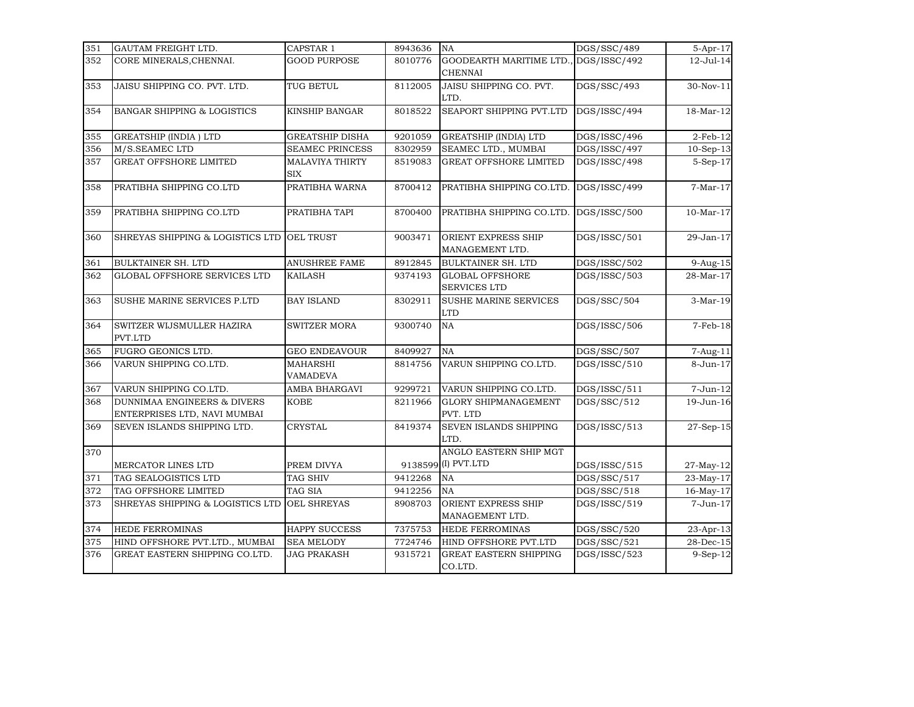| 351 | GAUTAM FREIGHT LTD.                                                    | CAPSTAR 1                     | 8943636 | NA                                                      | DGS/SSC/489  | 5-Apr-17                |
|-----|------------------------------------------------------------------------|-------------------------------|---------|---------------------------------------------------------|--------------|-------------------------|
| 352 | CORE MINERALS, CHENNAI.                                                | <b>GOOD PURPOSE</b>           | 8010776 | GOODEARTH MARITIME LTD., DGS/ISSC/492<br><b>CHENNAI</b> |              | 12-Jul-14               |
| 353 | JAISU SHIPPING CO. PVT. LTD.                                           | TUG BETUL                     | 8112005 | JAISU SHIPPING CO. PVT.<br>LTD.                         | DGS/SSC/493  | 30-Nov-11               |
| 354 | <b>BANGAR SHIPPING &amp; LOGISTICS</b>                                 | <b>KINSHIP BANGAR</b>         | 8018522 | SEAPORT SHIPPING PVT.LTD                                | DGS/ISSC/494 | 18-Mar-12               |
| 355 | <b>GREATSHIP (INDIA) LTD</b>                                           | <b>GREATSHIP DISHA</b>        | 9201059 | <b>GREATSHIP (INDIA) LTD</b>                            | DGS/ISSC/496 | $2$ -Feb- $12$          |
| 356 | M/S.SEAMEC LTD                                                         | <b>SEAMEC PRINCESS</b>        | 8302959 | SEAMEC LTD., MUMBAI                                     | DGS/ISSC/497 | $10-Sep-13$             |
| 357 | <b>GREAT OFFSHORE LIMITED</b>                                          | MALAVIYA THIRTY<br><b>SIX</b> | 8519083 | GREAT OFFSHORE LIMITED                                  | DGS/ISSC/498 | 5-Sep-17                |
| 358 | PRATIBHA SHIPPING CO.LTD                                               | PRATIBHA WARNA                | 8700412 | PRATIBHA SHIPPING CO.LTD.                               | DGS/ISSC/499 | $7-Mar-17$              |
| 359 | PRATIBHA SHIPPING CO.LTD                                               | PRATIBHA TAPI                 | 8700400 | PRATIBHA SHIPPING CO.LTD.                               | DGS/ISSC/500 | $10-Mar-17$             |
| 360 | SHREYAS SHIPPING & LOGISTICS LTD                                       | OEL TRUST                     | 9003471 | ORIENT EXPRESS SHIP<br>MANAGEMENT LTD.                  | DGS/ISSC/501 | 29-Jan-17               |
| 361 | <b>BULKTAINER SH. LTD</b>                                              | ANUSHREE FAME                 | 8912845 | <b>BULKTAINER SH. LTD</b>                               | DGS/ISSC/502 | 9-Aug-15                |
| 362 | GLOBAL OFFSHORE SERVICES LTD                                           | KAILASH                       | 9374193 | <b>GLOBAL OFFSHORE</b><br><b>SERVICES LTD</b>           | DGS/ISSC/503 | 28-Mar-17               |
| 363 | SUSHE MARINE SERVICES P.LTD                                            | <b>BAY ISLAND</b>             | 8302911 | SUSHE MARINE SERVICES<br><b>LTD</b>                     | DGS/SSC/504  | $3-Mar-19$              |
| 364 | SWITZER WIJSMULLER HAZIRA<br>PVT.LTD                                   | <b>SWITZER MORA</b>           | 9300740 | <b>NA</b>                                               | DGS/ISSC/506 | $7-Feb-18$              |
| 365 | FUGRO GEONICS LTD.                                                     | <b>GEO ENDEAVOUR</b>          | 8409927 | <b>NA</b>                                               | DGS/SSC/507  | 7-Aug-11                |
| 366 | VARUN SHIPPING CO.LTD.                                                 | MAHARSHI<br>VAMADEVA          | 8814756 | VARUN SHIPPING CO.LTD.                                  | DGS/ISSC/510 | 8-Jun-17                |
| 367 | VARUN SHIPPING CO.LTD.                                                 | AMBA BHARGAVI                 | 9299721 | VARUN SHIPPING CO.LTD.                                  | DGS/ISSC/511 | 7-Jun-12                |
| 368 | <b>DUNNIMAA ENGINEERS &amp; DIVERS</b><br>ENTERPRISES LTD, NAVI MUMBAI | <b>KOBE</b>                   | 8211966 | <b>GLORY SHIPMANAGEMENT</b><br>PVT. LTD                 | DGS/SSC/512  | 19-Jun-16               |
| 369 | SEVEN ISLANDS SHIPPING LTD.                                            | CRYSTAL                       | 8419374 | SEVEN ISLANDS SHIPPING<br>LTD.                          | DGS/ISSC/513 | $27-Sep-15$             |
| 370 | MERCATOR LINES LTD                                                     | PREM DIVYA                    |         | ANGLO EASTERN SHIP MGT<br>9138599 (I) PVT.LTD           | DGS/ISSC/515 | 27-May-12               |
| 371 | TAG SEALOGISTICS LTD                                                   | <b>TAG SHIV</b>               | 9412268 | <b>NA</b>                                               | DGS/SSC/517  | 23-May-17               |
| 372 | TAG OFFSHORE LIMITED                                                   | TAG SIA                       | 9412256 | <b>NA</b>                                               | DGS/SSC/518  | 16-May-17               |
| 373 | SHREYAS SHIPPING & LOGISTICS LTD                                       | OEL SHREYAS                   | 8908703 | ORIENT EXPRESS SHIP<br>MANAGEMENT LTD.                  | DGS/ISSC/519 | 7-Jun-17                |
| 374 | <b>HEDE FERROMINAS</b>                                                 | HAPPY SUCCESS                 | 7375753 | <b>HEDE FERROMINAS</b>                                  | DGS/SSC/520  | $\overline{2}$ 3-Apr-13 |
| 375 | HIND OFFSHORE PVT.LTD., MUMBAI                                         | <b>SEA MELODY</b>             | 7724746 | HIND OFFSHORE PVT.LTD                                   | DGS/SSC/521  | 28-Dec-15               |
| 376 | GREAT EASTERN SHIPPING CO.LTD.                                         | <b>JAG PRAKASH</b>            | 9315721 | <b>GREAT EASTERN SHIPPING</b><br>CO.LTD.                | DGS/ISSC/523 | 9-Sep-12                |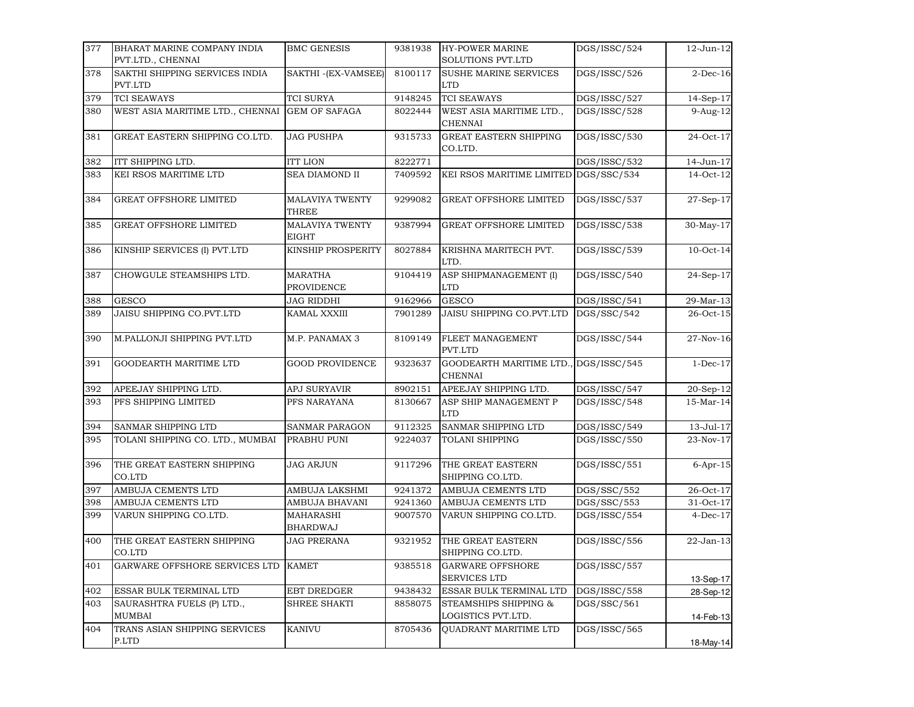| 377 | BHARAT MARINE COMPANY INDIA                             | <b>BMC GENESIS</b>                  | 9381938 | <b>HY-POWER MARINE</b>                         | DGS/ISSC/524 | 12-Jun-12       |
|-----|---------------------------------------------------------|-------------------------------------|---------|------------------------------------------------|--------------|-----------------|
|     | PVT.LTD., CHENNAI                                       |                                     |         | SOLUTIONS PVT.LTD                              |              |                 |
| 378 | SAKTHI SHIPPING SERVICES INDIA<br>PVT.LTD               | SAKTHI -(EX-VAMSEE)                 | 8100117 | <b>SUSHE MARINE SERVICES</b><br><b>LTD</b>     | DGS/ISSC/526 | $2$ -Dec-16     |
| 379 | <b>TCI SEAWAYS</b>                                      | TCI SURYA                           | 9148245 | <b>TCI SEAWAYS</b>                             | DGS/ISSC/527 | 14-Sep-17       |
| 380 | WEST ASIA MARITIME LTD., CHENNAI                        | <b>GEM OF SAFAGA</b>                | 8022444 | WEST ASIA MARITIME LTD.,<br><b>CHENNAI</b>     | DGS/ISSC/528 | 9-Aug-12        |
| 381 | GREAT EASTERN SHIPPING CO.LTD.                          | <b>JAG PUSHPA</b>                   | 9315733 | <b>GREAT EASTERN SHIPPING</b><br>CO.LTD.       | DGS/ISSC/530 | 24-Oct-17       |
| 382 | ITT SHIPPING LTD.                                       | <b>ITT LION</b>                     | 8222771 |                                                | DGS/ISSC/532 | 14-Jun-17       |
| 383 | KEI RSOS MARITIME LTD                                   | <b>SEA DIAMOND II</b>               | 7409592 | KEI RSOS MARITIME LIMITED                      | DGS/SSC/534  | 14-Oct-12       |
| 384 | <b>GREAT OFFSHORE LIMITED</b>                           | MALAVIYA TWENTY<br>THREE            | 9299082 | GREAT OFFSHORE LIMITED                         | DGS/ISSC/537 | 27-Sep-17       |
| 385 | GREAT OFFSHORE LIMITED                                  | <b>MALAVIYA TWENTY</b><br>EIGHT     | 9387994 | <b>GREAT OFFSHORE LIMITED</b>                  | DGS/ISSC/538 | 30-May-17       |
| 386 | KINSHIP SERVICES (I) PVT.LTD                            | KINSHIP PROSPERITY                  | 8027884 | KRISHNA MARITECH PVT.<br>LTD.                  | DGS/ISSC/539 | $10$ -Oct- $14$ |
| 387 | CHOWGULE STEAMSHIPS LTD.                                | <b>MARATHA</b><br>PROVIDENCE        | 9104419 | ASP SHIPMANAGEMENT (I)<br><b>LTD</b>           | DGS/ISSC/540 | 24-Sep-17       |
| 388 | <b>GESCO</b>                                            | <b>JAG RIDDHI</b>                   | 9162966 | GESCO                                          | DGS/ISSC/541 | 29-Mar-13       |
| 389 | JAISU SHIPPING CO.PVT.LTD                               | KAMAL XXXIII                        | 7901289 | JAISU SHIPPING CO.PVT.LTD                      | DGS/SSC/542  | 26-Oct-15       |
| 390 | M.PALLONJI SHIPPING PVT.LTD                             | M.P. PANAMAX 3                      | 8109149 | FLEET MANAGEMENT<br>PVT.LTD                    | DGS/ISSC/544 | 27-Nov-16       |
| 391 | GOODEARTH MARITIME LTD                                  | <b>GOOD PROVIDENCE</b>              | 9323637 | GOODEARTH MARITIME LTD.<br><b>CHENNAI</b>      | DGS/ISSC/545 | $1-Dec-17$      |
| 392 | APEEJAY SHIPPING LTD.                                   | APJ SURYAVIR                        | 8902151 | APEEJAY SHIPPING LTD.                          | DGS/ISSC/547 | 20-Sep-12       |
| 393 | PFS SHIPPING LIMITED                                    | PFS NARAYANA                        | 8130667 | ASP SHIP MANAGEMENT P<br>LTD                   | DGS/ISSC/548 | 15-Mar-14       |
| 394 | SANMAR SHIPPING LTD                                     | SANMAR PARAGON                      | 9112325 | SANMAR SHIPPING LTD                            | DGS/ISSC/549 | 13-Jul-17       |
| 395 | TOLANI SHIPPING CO. LTD., MUMBAI                        | PRABHU PUNI                         | 9224037 | <b>TOLANI SHIPPING</b>                         | DGS/ISSC/550 | 23-Nov-17       |
| 396 | THE GREAT EASTERN SHIPPING<br>CO.LTD                    | <b>JAG ARJUN</b>                    | 9117296 | THE GREAT EASTERN<br>SHIPPING CO.LTD.          | DGS/ISSC/551 | $6$ -Apr-15     |
| 397 | AMBUJA CEMENTS LTD                                      | AMBUJA LAKSHMI                      | 9241372 | AMBUJA CEMENTS LTD                             | DGS/SSC/552  | 26-Oct-17       |
| 398 | AMBUJA CEMENTS LTD                                      | AMBUJA BHAVANI                      | 9241360 | AMBUJA CEMENTS LTD                             | DGS/SSC/553  | 31-Oct-17       |
| 399 | VARUN SHIPPING CO.LTD.                                  | <b>MAHARASHI</b><br><b>BHARDWAJ</b> | 9007570 | VARUN SHIPPING CO.LTD.                         | DGS/ISSC/554 | $4$ -Dec-17     |
| 400 | THE GREAT EASTERN SHIPPING<br>CO.LTD                    | JAG PRERANA                         | 9321952 | THE GREAT EASTERN<br>SHIPPING CO.LTD.          | DGS/ISSC/556 | 22-Jan-13       |
| 401 | GARWARE OFFSHORE SERVICES LTD                           | <b>KAMET</b>                        | 9385518 | <b>GARWARE OFFSHORE</b><br><b>SERVICES LTD</b> | DGS/ISSC/557 | 13-Sep-17       |
| 402 | ESSAR BULK TERMINAL LTD                                 | EBT DREDGER                         | 9438432 | ESSAR BULK TERMINAL LTD                        | DGS/ISSC/558 | 28-Sep-12       |
| 403 | SAURASHTRA FUELS (P) LTD.,<br>MUMBAI                    | SHREE SHAKTI                        | 8858075 | STEAMSHIPS SHIPPING &<br>LOGISTICS PVT.LTD.    | DGS/SSC/561  | 14-Feb-13       |
| 404 | TRANS ASIAN SHIPPING SERVICES<br>$\operatorname{P.LTD}$ | <b>KANIVU</b>                       | 8705436 | QUADRANT MARITIME LTD                          | DGS/ISSC/565 | 18-May-14       |
|     |                                                         |                                     |         |                                                |              |                 |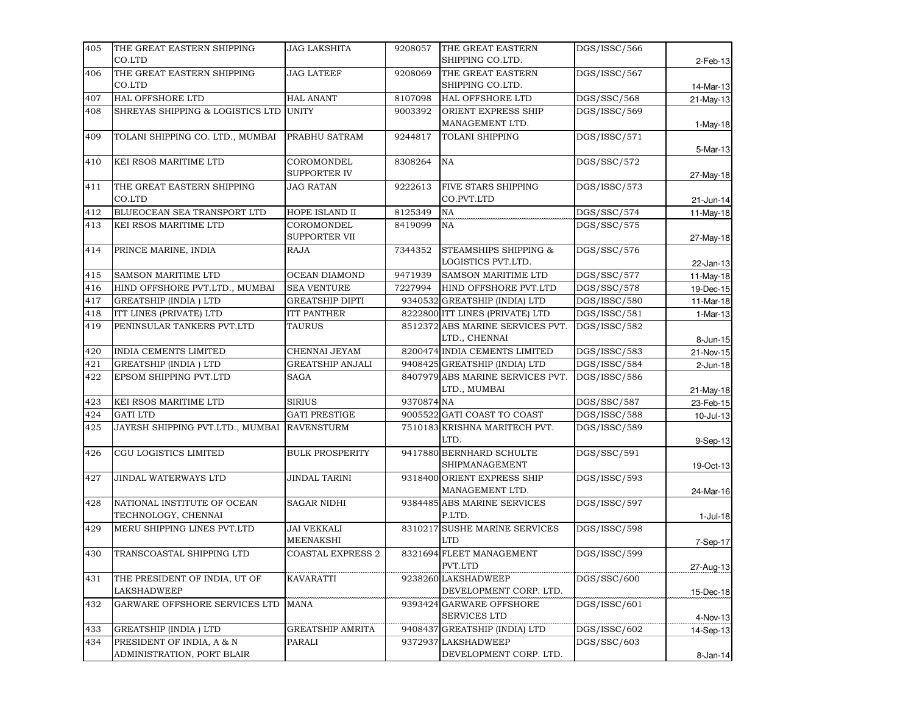| 405 | THE GREAT EASTERN SHIPPING                  | <b>JAG LAKSHITA</b>      | 9208057    | THE GREAT EASTERN                | DGS/ISSC/566 |             |
|-----|---------------------------------------------|--------------------------|------------|----------------------------------|--------------|-------------|
|     | CO.LTD                                      |                          |            | SHIPPING CO.LTD.                 |              | 2-Feb-13    |
| 406 | THE GREAT EASTERN SHIPPING                  | <b>JAG LATEEF</b>        | 9208069    | THE GREAT EASTERN                | DGS/ISSC/567 |             |
|     | CO.LTD                                      |                          |            | SHIPPING CO.LTD.                 |              | 14-Mar-13   |
| 407 | HAL OFFSHORE LTD                            | <b>HAL ANANT</b>         | 8107098    | HAL OFFSHORE LTD                 | DGS/SSC/568  | 21-May-13   |
| 408 | SHREYAS SHIPPING & LOGISTICS LTD            | <b>UNITY</b>             | 9003392    | ORIENT EXPRESS SHIP              | DGS/ISSC/569 |             |
|     |                                             |                          |            | MANAGEMENT LTD.                  |              | 1-May-18    |
| 409 | TOLANI SHIPPING CO. LTD., MUMBAI            | PRABHU SATRAM            | 9244817    | <b>TOLANI SHIPPING</b>           | DGS/ISSC/571 |             |
|     |                                             |                          |            |                                  |              | 5-Mar-13    |
| 410 | KEI RSOS MARITIME LTD                       | COROMONDEL               | 8308264    | NA                               | DGS/SSC/572  |             |
|     |                                             | SUPPORTER IV             |            |                                  |              | 27-May-18   |
| 411 | THE GREAT EASTERN SHIPPING                  | <b>JAG RATAN</b>         | 9222613    | FIVE STARS SHIPPING              | DGS/ISSC/573 |             |
|     | CO.LTD                                      |                          |            | CO.PVT.LTD                       |              | 21-Jun-14   |
| 412 | BLUEOCEAN SEA TRANSPORT LTD                 | HOPE ISLAND II           | 8125349    | NA                               | DGS/SSC/574  | 11-May-18   |
| 413 | KEI RSOS MARITIME LTD                       | COROMONDEL               | 8419099    | NA                               | DGS/SSC/575  |             |
|     |                                             | SUPPORTER VII            |            |                                  |              | 27-May-18   |
| 414 | PRINCE MARINE, INDIA                        | RAJA                     | 7344352    | STEAMSHIPS SHIPPING &            | DGS/SSC/576  |             |
|     |                                             |                          |            | LOGISTICS PVT.LTD.               |              | 22-Jan-13   |
| 415 | <b>SAMSON MARITIME LTD</b>                  | OCEAN DIAMOND            | 9471939    | <b>SAMSON MARITIME LTD</b>       | DGS/SSC/577  | 11-May-18   |
| 416 | HIND OFFSHORE PVT.LTD., MUMBAI              | <b>SEA VENTURE</b>       | 7227994    | HIND OFFSHORE PVT.LTD            | DGS/SSC/578  | 19-Dec-15   |
| 417 | <b>GREATSHIP (INDIA) LTD</b>                | <b>GREATSHIP DIPTI</b>   |            | 9340532 GREATSHIP (INDIA) LTD    | DGS/ISSC/580 | 11-Mar-18   |
| 418 | ITT LINES (PRIVATE) LTD                     | <b>ITT PANTHER</b>       |            | 8222800 ITT LINES (PRIVATE) LTD  | DGS/ISSC/581 | 1-Mar-13    |
| 419 | PENINSULAR TANKERS PVT.LTD                  | TAURUS                   |            | 8512372 ABS MARINE SERVICES PVT. | DGS/ISSC/582 |             |
|     |                                             |                          |            | LTD., CHENNAI                    |              | 8-Jun-15    |
| 420 | INDIA CEMENTS LIMITED                       | CHENNAI JEYAM            |            | 8200474 INDIA CEMENTS LIMITED    | DGS/ISSC/583 | 21-Nov-15   |
| 421 | <b>GREATSHIP (INDIA) LTD</b>                | <b>GREATSHIP ANJALI</b>  |            | 9408425 GREATSHIP (INDIA) LTD    | DGS/ISSC/584 | $2$ -Jun-18 |
| 422 | EPSOM SHIPPING PVT.LTD                      | <b>SAGA</b>              |            | 8407979 ABS MARINE SERVICES PVT. | DGS/ISSC/586 |             |
| 423 | KEI RSOS MARITIME LTD                       | <b>SIRIUS</b>            | 9370874 NA | LTD., MUMBAI                     | DGS/SSC/587  | 21-May-18   |
| 424 | <b>GATI LTD</b>                             | <b>GATI PRESTIGE</b>     |            | 9005522 GATI COAST TO COAST      | DGS/ISSC/588 | 23-Feb-15   |
| 425 | JAYESH SHIPPING PVT.LTD., MUMBAI RAVENSTURM |                          |            | 7510183 KRISHNA MARITECH PVT.    | DGS/ISSC/589 | 10-Jul-13   |
|     |                                             |                          |            | LTD.                             |              |             |
| 426 | CGU LOGISTICS LIMITED                       | <b>BULK PROSPERITY</b>   |            | 9417880 BERNHARD SCHULTE         | DGS/SSC/591  | 9-Sep-13    |
|     |                                             |                          |            | SHIPMANAGEMENT                   |              | 19-Oct-13   |
| 427 | JINDAL WATERWAYS LTD                        | <b>JINDAL TARINI</b>     |            | 9318400 ORIENT EXPRESS SHIP      | DGS/ISSC/593 |             |
|     |                                             |                          |            | MANAGEMENT LTD.                  |              | 24-Mar-16   |
| 428 | NATIONAL INSTITUTE OF OCEAN                 | <b>SAGAR NIDHI</b>       |            | 9384485 ABS MARINE SERVICES      | DGS/ISSC/597 |             |
|     | TECHNOLOGY, CHENNAI                         |                          |            | P.LTD.                           |              | $1-Jul-18$  |
| 429 | MERU SHIPPING LINES PVT.LTD                 | JAI VEKKALI              |            | 8310217 SUSHE MARINE SERVICES    | DGS/ISSC/598 |             |
|     |                                             | <b>MEENAKSHI</b>         |            | <b>LTD</b>                       |              | 7-Sep-17    |
| 430 | TRANSCOASTAL SHIPPING LTD                   | <b>COASTAL EXPRESS 2</b> |            | 8321694 FLEET MANAGEMENT         | DGS/ISSC/599 |             |
|     |                                             |                          |            | PVT.LTD                          |              | 27-Aug-13   |
| 431 | THE PRESIDENT OF INDIA, UT OF               | <b>KAVARATTI</b>         |            | 9238260 LAKSHADWEEP              | DGS/SSC/600  |             |
|     | LAKSHADWEEP                                 |                          |            | DEVELOPMENT CORP. LTD.           |              | 15-Dec-18   |
| 432 | GARWARE OFFSHORE SERVICES LTD               | MANA                     |            | 9393424 GARWARE OFFSHORE         | DGS/ISSC/601 |             |
|     |                                             |                          |            | SERVICES LTD                     |              | 4-Nov-13    |
| 433 | <b>GREATSHIP (INDIA) LTD</b>                | <b>GREATSHIP AMRITA</b>  |            | 9408437 GREATSHIP (INDIA) LTD    | DGS/ISSC/602 | 14-Sep-13   |
| 434 | PRESIDENT OF INDIA, A & N                   | PARALI                   |            | 9372937 LAKSHADWEEP              | DGS/SSC/603  |             |
|     | ADMINISTRATION, PORT BLAIR                  |                          |            | DEVELOPMENT CORP. LTD.           |              | $8-Jan-14$  |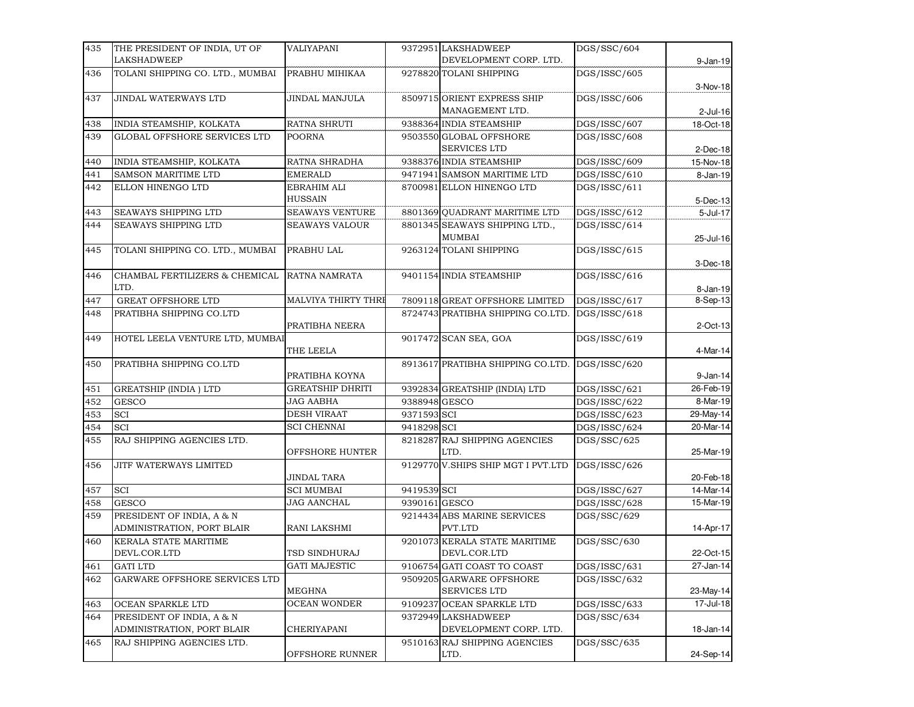| 435 | THE PRESIDENT OF INDIA, UT OF                  | VALIYAPANI                 |               | 9372951 LAKSHADWEEP                | DGS/SSC/604  |             |
|-----|------------------------------------------------|----------------------------|---------------|------------------------------------|--------------|-------------|
|     | <b>LAKSHADWEEP</b>                             |                            |               | DEVELOPMENT CORP. LTD.             |              | 9-Jan-19    |
| 436 | TOLANI SHIPPING CO. LTD., MUMBAI               | PRABHU MIHIKAA             |               | 9278820 TOLANI SHIPPING            | DGS/ISSC/605 |             |
|     |                                                |                            |               |                                    |              | 3-Nov-18    |
| 437 | JINDAL WATERWAYS LTD                           | JINDAL MANJULA             |               | 8509715 ORIENT EXPRESS SHIP        | DGS/ISSC/606 |             |
|     |                                                |                            |               | MANAGEMENT LTD.                    |              | $2$ -Jul-16 |
| 438 | INDIA STEAMSHIP, KOLKATA                       | <b>RATNA SHRUTI</b>        |               | 9388364 INDIA STEAMSHIP            | DGS/ISSC/607 | 18-Oct-18   |
| 439 | GLOBAL OFFSHORE SERVICES LTD                   | POORNA                     |               | 9503550 GLOBAL OFFSHORE            | DGS/ISSC/608 |             |
|     |                                                |                            |               | <b>SERVICES LTD</b>                |              | $2$ -Dec-18 |
| 440 | INDIA STEAMSHIP, KOLKATA                       | RATNA SHRADHA              |               | 9388376 INDIA STEAMSHIP            | DGS/ISSC/609 | 15-Nov-18   |
| 441 | SAMSON MARITIME LTD                            | <b>EMERALD</b>             |               | 9471941 SAMSON MARITIME LTD        | DGS/ISSC/610 | 8-Jan-19    |
| 442 | ELLON HINENGO LTD                              | EBRAHIM ALI                |               | 8700981 ELLON HINENGO LTD          | DGS/ISSC/611 |             |
|     |                                                | <b>HUSSAIN</b>             |               |                                    |              | 5-Dec-13    |
| 443 | SEAWAYS SHIPPING LTD                           | SEAWAYS VENTURE            |               | 8801369 QUADRANT MARITIME LTD      | DGS/ISSC/612 | 5-Jul-17    |
| 444 | SEAWAYS SHIPPING LTD                           | <b>SEAWAYS VALOUR</b>      |               | 8801345 SEAWAYS SHIPPING LTD.,     | DGS/ISSC/614 |             |
|     |                                                |                            |               | MUMBAI                             |              | 25-Jul-16   |
| 445 | TOLANI SHIPPING CO. LTD., MUMBAI               | PRABHU LAL                 |               | 9263124 TOLANI SHIPPING            | DGS/ISSC/615 |             |
|     |                                                |                            |               |                                    |              | 3-Dec-18    |
| 446 | CHAMBAL FERTILIZERS & CHEMICAL<br>LTD.         | <b>RATNA NAMRATA</b>       |               | 9401154 INDIA STEAMSHIP            | DGS/ISSC/616 |             |
|     |                                                |                            |               |                                    |              | 8-Jan-19    |
| 447 | GREAT OFFSHORE LTD<br>PRATIBHA SHIPPING CO.LTD | <b>MALVIYA THIRTY THRE</b> |               | 7809118 GREAT OFFSHORE LIMITED     | DGS/ISSC/617 | 8-Sep-13    |
| 448 |                                                | PRATIBHA NEERA             |               | 8724743 PRATIBHA SHIPPING CO.LTD.  | DGS/ISSC/618 | 2-Oct-13    |
| 449 | HOTEL LEELA VENTURE LTD, MUMBAI                |                            |               | 9017472 SCAN SEA, GOA              | DGS/ISSC/619 |             |
|     |                                                | THE LEELA                  |               |                                    |              | 4-Mar-14    |
| 450 | PRATIBHA SHIPPING CO.LTD                       |                            |               | 8913617 PRATIBHA SHIPPING CO.LTD.  | DGS/ISSC/620 |             |
|     |                                                | PRATIBHA KOYNA             |               |                                    |              | $9$ -Jan-14 |
| 451 | <b>GREATSHIP (INDIA) LTD</b>                   | <b>GREATSHIP DHRITI</b>    |               | 9392834 GREATSHIP (INDIA) LTD      | DGS/ISSC/621 | 26-Feb-19   |
| 452 | <b>GESCO</b>                                   | JAG AABHA                  | 9388948 GESCO |                                    | DGS/ISSC/622 | 8-Mar-19    |
| 453 | SCI                                            | <b>DESH VIRAAT</b>         | 9371593 SCI   |                                    | DGS/ISSC/623 | 29-May-14   |
| 454 | SCI                                            | <b>SCI CHENNAI</b>         | 9418298 SCI   |                                    | DGS/ISSC/624 | 20-Mar-14   |
| 455 | RAJ SHIPPING AGENCIES LTD.                     |                            |               | 8218287 RAJ SHIPPING AGENCIES      | DGS/SSC/625  |             |
|     |                                                | OFFSHORE HUNTER            |               | LTD.                               |              | 25-Mar-19   |
| 456 | JITF WATERWAYS LIMITED                         |                            |               | 9129770 V.SHIPS SHIP MGT I PVT.LTD | DGS/ISSC/626 |             |
|     |                                                | JINDAL TARA                |               |                                    |              | 20-Feb-18   |
| 457 | <b>SCI</b>                                     | <b>SCI MUMBAI</b>          | 9419539 SCI   |                                    | DGS/ISSC/627 | 14-Mar-14   |
| 458 | <b>GESCO</b>                                   | JAG AANCHAL                | 9390161GESCO  |                                    | DGS/ISSC/628 | 15-Mar-19   |
| 459 | PRESIDENT OF INDIA, A & N                      |                            |               | 9214434 ABS MARINE SERVICES        | DGS/SSC/629  |             |
|     | ADMINISTRATION, PORT BLAIR                     | RANI LAKSHMI               |               | PVT.LTD                            |              | 14-Apr-17   |
| 460 | KERALA STATE MARITIME                          |                            |               | 9201073 KERALA STATE MARITIME      | DGS/SSC/630  |             |
|     | DEVL.COR.LTD                                   | TSD SINDHURAJ              |               | DEVL.COR.LTD                       |              | 22-Oct-15   |
| 461 | <b>GATI LTD</b>                                | <b>GATI MAJESTIC</b>       |               | 9106754 GATI COAST TO COAST        | DGS/ISSC/631 | 27-Jan-14   |
| 462 | GARWARE OFFSHORE SERVICES LTD                  |                            |               | 9509205 GARWARE OFFSHORE           | DGS/ISSC/632 |             |
|     |                                                | MEGHNA                     |               | SERVICES LTD                       |              | 23-May-14   |
| 463 | OCEAN SPARKLE LTD                              | <b>OCEAN WONDER</b>        |               | 9109237 OCEAN SPARKLE LTD          | DGS/ISSC/633 | 17-Jul-18   |
| 464 | PRESIDENT OF INDIA, A & N                      |                            |               | 9372949 LAKSHADWEEP                | DGS/SSC/634  |             |
|     | ADMINISTRATION, PORT BLAIR                     | CHERIYAPANI                |               | DEVELOPMENT CORP. LTD.             |              | 18-Jan-14   |
| 465 | RAJ SHIPPING AGENCIES LTD.                     |                            |               | 9510163 RAJ SHIPPING AGENCIES      | DGS/SSC/635  |             |
|     |                                                | OFFSHORE RUNNER            |               | LTD.                               |              | 24-Sep-14   |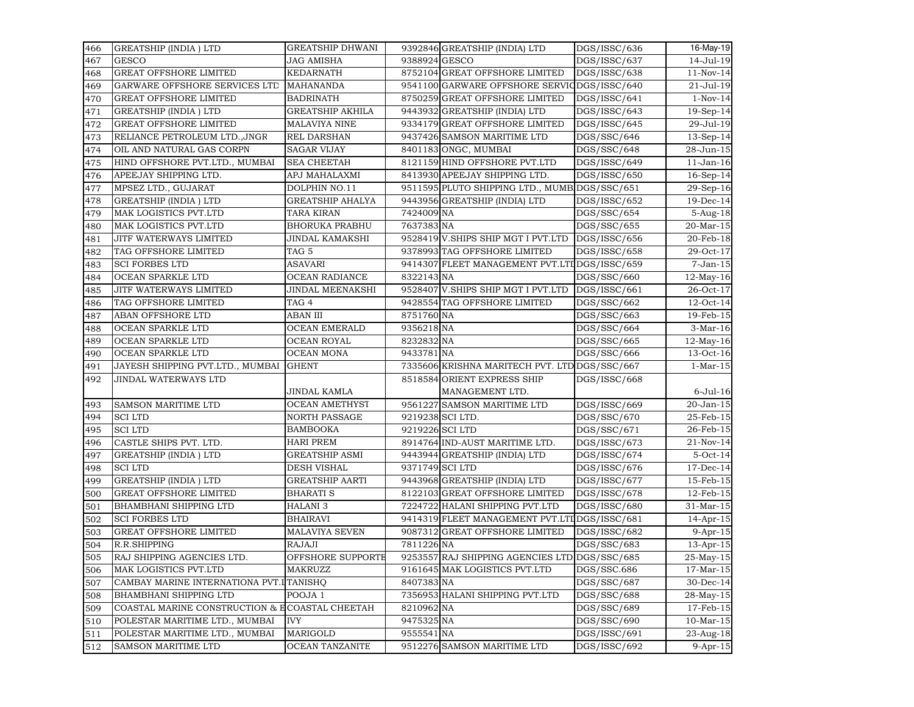| 466 | <b>GREATSHIP (INDIA) LTD</b>                   | <b>GREATSHIP DHWANI</b> |                 | 9392846 GREATSHIP (INDIA) LTD                                                  | DGS/ISSC/636                 | 16-May-19                 |
|-----|------------------------------------------------|-------------------------|-----------------|--------------------------------------------------------------------------------|------------------------------|---------------------------|
| 467 | <b>GESCO</b>                                   | JAG AMISHA              | 9388924 GESCO   |                                                                                | DGS/ISSC/637                 | 14-Jul-19                 |
| 468 | <b>GREAT OFFSHORE LIMITED</b>                  | KEDARNATH               |                 | 8752104 GREAT OFFSHORE LIMITED                                                 | DGS/ISSC/638                 | $11-Nov-14$               |
| 469 | GARWARE OFFSHORE SERVICES LTD                  | <b>MAHANANDA</b>        |                 | 9541100 GARWARE OFFSHORE SERVIODGS/ISSC/640                                    |                              | 21-Jul-19                 |
| 470 | <b>GREAT OFFSHORE LIMITED</b>                  | <b>BADRINATH</b>        |                 | 8750259 GREAT OFFSHORE LIMITED                                                 | DGS/ISSC/641                 | $1-Nov-14$                |
| 471 | <b>GREATSHIP (INDIA) LTD</b>                   | <b>GREATSHIP AKHILA</b> |                 | 9443932 GREATSHIP (INDIA) LTD                                                  | DGS/ISSC/643                 | $19-Sep-14$               |
| 472 | <b>GREAT OFFSHORE LIMITED</b>                  | <b>MALAVIYA NINE</b>    |                 | 9334179 GREAT OFFSHORE LIMITED                                                 | DGS/ISSC/645                 | 29-Jul-19                 |
| 473 | RELIANCE PETROLEUM LTD., JNGR                  | <b>REL DARSHAN</b>      |                 | 9437426 SAMSON MARITIME LTD                                                    | DGS/SSC/646                  | $13-Sep-14$               |
| 474 | OIL AND NATURAL GAS CORPN                      | SAGAR VIJAY             |                 | 8401183 ONGC, MUMBAI                                                           | DGS/SSC/648                  | 28-Jun-15                 |
| 475 | HIND OFFSHORE PVT.LTD., MUMBAI                 | <b>SEA CHEETAH</b>      |                 | 8121159 HIND OFFSHORE PVT.LTD                                                  | DGS/ISSC/649                 | $11$ -Jan- $16$           |
| 476 | APEEJAY SHIPPING LTD.                          | APJ MAHALAXMI           |                 | 8413930 APEEJAY SHIPPING LTD.                                                  | DGS/ISSC/650                 | $16-Sep-14$               |
| 477 | MPSEZ LTD., GUJARAT                            | DOLPHIN NO.11           |                 | 9511595 PLUTO SHIPPING LTD., MUMB DGS/SSC/651                                  |                              | 29-Sep-16                 |
| 478 | <b>GREATSHIP (INDIA) LTD</b>                   | <b>GREATSHIP AHALYA</b> |                 | 9443956 GREATSHIP (INDIA) LTD                                                  | DGS/ISSC/652                 | 19-Dec-14                 |
| 479 | MAK LOGISTICS PVT.LTD                          | <b>TARA KIRAN</b>       | 7424009 NA      |                                                                                | DGS/SSC/654                  | 5-Aug-18                  |
| 480 | MAK LOGISTICS PVT.LTD                          | BHORUKA PRABHU          | 7637383 NA      |                                                                                | DGS/SSC/655                  | 20-Mar-15                 |
| 481 | JITF WATERWAYS LIMITED                         | JINDAL KAMAKSHI         |                 | 9528419 V.SHIPS SHIP MGT I PVT.LTD                                             | DGS/ISSC/656                 | 20-Feb-18                 |
| 482 | TAG OFFSHORE LIMITED                           | TAG 5                   |                 | 9378993 TAG OFFSHORE LIMITED                                                   | DGS/ISSC/658                 | 29-Oct-17                 |
| 483 | <b>SCI FORBES LTD</b>                          | ASAVARI                 |                 | 9414307 FLEET MANAGEMENT PVT.LTI DGS/ISSC/659                                  |                              | $7-Jan-15$                |
| 484 | OCEAN SPARKLE LTD                              | <b>OCEAN RADIANCE</b>   | 8322143 NA      |                                                                                | DGS/SSC/660                  | $12$ -May-16              |
| 485 | JITF WATERWAYS LIMITED                         | JINDAL MEENAKSHI        |                 | 9528407 V.SHIPS SHIP MGT I PVT.LTD                                             | DGS/ISSC/661                 | 26-Oct-17                 |
| 486 | TAG OFFSHORE LIMITED                           | TAG <sub>4</sub>        |                 | 9428554 TAG OFFSHORE LIMITED                                                   | DGS/SSC/662                  | $12$ -Oct-14              |
| 487 | ABAN OFFSHORE LTD                              | ABAN III                | 8751760 NA      |                                                                                | DGS/SSC/663                  | 19-Feb-15                 |
| 488 | OCEAN SPARKLE LTD                              | <b>OCEAN EMERALD</b>    | 9356218 NA      |                                                                                | DGS/SSC/664                  | $3-Mar-16$                |
| 489 | OCEAN SPARKLE LTD                              | <b>OCEAN ROYAL</b>      | 8232832 NA      |                                                                                | DGS/SSC/665                  | $12$ -May-16              |
| 490 | OCEAN SPARKLE LTD                              | <b>OCEAN MONA</b>       | 9433781 NA      |                                                                                | $\overline{DGS}/SSC/666$     | 13-Oct-16                 |
| 491 | JAYESH SHIPPING PVT.LTD., MUMBAI               | <b>GHENT</b>            |                 | 7335606 KRISHNA MARITECH PVT. LTD DGS/SSC/667                                  |                              | $1-Mar-15$                |
| 492 | <b>JINDAL WATERWAYS LTD</b>                    |                         |                 | 8518584 ORIENT EXPRESS SHIP                                                    | DGS/ISSC/668                 |                           |
|     |                                                | JINDAL KAMLA            |                 | MANAGEMENT LTD.                                                                |                              | 6-Jul-16                  |
| 493 | SAMSON MARITIME LTD                            | <b>OCEAN AMETHYST</b>   |                 | 9561227 SAMSON MARITIME LTD                                                    | DGS/ISSC/669                 | 20-Jan-15                 |
| 494 | <b>SCILTD</b>                                  | <b>NORTH PASSAGE</b>    |                 | 9219238 SCI LTD.                                                               | DGS/SSC/670                  | 25-Feb-15                 |
| 495 | <b>SCILTD</b>                                  | BAMBOOKA                | 9219226 SCI LTD |                                                                                | DGS/SSC/671                  | 26-Feb-15                 |
| 496 | CASTLE SHIPS PVT. LTD.                         | <b>HARI PREM</b>        |                 | 8914764 IND-AUST MARITIME LTD.                                                 | DGS/ISSC/673                 | 21-Nov-14                 |
|     | <b>GREATSHIP (INDIA) LTD</b>                   | <b>GREATSHIP ASMI</b>   |                 | 9443944 GREATSHIP (INDIA) LTD                                                  | DGS/ISSC/674                 | $5-Oct-14$                |
| 497 | <b>SCILTD</b>                                  | DESH VISHAL             | 9371749 SCI LTD |                                                                                |                              |                           |
| 498 | <b>GREATSHIP (INDIA) LTD</b>                   | <b>GREATSHIP AARTI</b>  |                 | 9443968 GREATSHIP (INDIA) LTD                                                  | DGS/ISSC/676<br>DGS/ISSC/677 | $17$ -Dec-14<br>15-Feb-15 |
| 499 | <b>GREAT OFFSHORE LIMITED</b>                  |                         |                 | 8122103 GREAT OFFSHORE LIMITED                                                 |                              |                           |
| 500 | <b>BHAMBHANI SHIPPING LTD</b>                  | <b>BHARATI S</b>        |                 | 7224722 HALANI SHIPPING PVT.LTD                                                | DGS/ISSC/678                 | 12-Feb-15                 |
| 501 |                                                | HALANI 3                |                 |                                                                                | DGS/ISSC/680                 | 31-Mar-15                 |
| 502 | <b>SCI FORBES LTD</b>                          | <b>BHAIRAVI</b>         |                 | 9414319 FLEET MANAGEMENT PVT.LTIDGS/ISSC/681<br>9087312 GREAT OFFSHORE LIMITED |                              | 14-Apr-15                 |
| 503 | <b>GREAT OFFSHORE LIMITED</b>                  | MALAVIYA SEVEN          |                 |                                                                                | DGS/ISSC/682                 | $9-Apr-15$                |
| 504 | R.R.SHIPPING                                   | RAJAJI                  | 7811226 NA      |                                                                                | DGS/SSC/683                  | $13$ -Apr- $15$           |
| 505 | RAJ SHIPPING AGENCIES LTD.                     | OFFSHORE SUPPORTE       |                 | 9253557 RAJ SHIPPING AGENCIES LTD DGS/SSC/685                                  |                              | 25-May-15                 |
| 506 | MAK LOGISTICS PVT.LTD                          | MAKRUZZ                 |                 | 9161645 MAK LOGISTICS PVT.LTD                                                  | DGS/SSC.686                  | $17-Mar-15$               |
| 507 | CAMBAY MARINE INTERNATIONA PVT.ITANISHO        |                         | 8407383 NA      |                                                                                | DGS/SSC/687                  | 30-Dec-14                 |
| 508 | <b>BHAMBHANI SHIPPING LTD</b>                  | POOJA 1                 |                 | 7356953 HALANI SHIPPING PVT.LTD                                                | DGS/SSC/688                  | 28-May-15                 |
| 509 | COASTAL MARINE CONSTRUCTION & ECOASTAL CHEETAH |                         | 8210962 NA      |                                                                                | DGS/SSC/689                  | 17-Feb-15                 |
| 510 | POLESTAR MARITIME LTD., MUMBAI                 | <b>IVY</b>              | 9475325 NA      |                                                                                | DGS/SSC/690                  | $10-Mar-15$               |
| 511 | POLESTAR MARITIME LTD., MUMBAI                 | MARIGOLD                | 9555541 NA      |                                                                                | DGS/ISSC/691                 | 23-Aug-18                 |
| 512 | SAMSON MARITIME LTD                            | <b>OCEAN TANZANITE</b>  |                 | 9512276 SAMSON MARITIME LTD                                                    | DGS/ISSC/692                 | $9-Apr-15$                |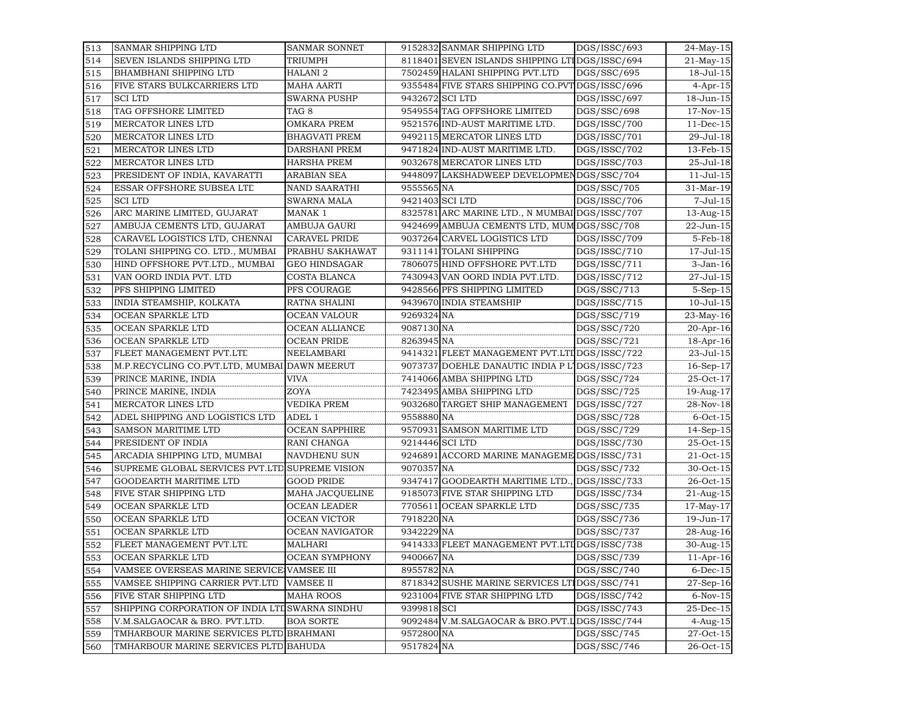| 513 | SANMAR SHIPPING LTD                             | SANMAR SONNET         |                 | 9152832 SANMAR SHIPPING LTD                     | DGS/ISSC/693                                | $24$ -May-15     |
|-----|-------------------------------------------------|-----------------------|-----------------|-------------------------------------------------|---------------------------------------------|------------------|
| 514 | SEVEN ISLANDS SHIPPING LTD                      | TRIUMPH               |                 | 8118401 SEVEN ISLANDS SHIPPING LTIDGS/ISSC/694  |                                             | $21$ -May-15     |
| 515 | <b>BHAMBHANI SHIPPING LTD</b>                   | <b>HALANI 2</b>       |                 | 7502459 HALANI SHIPPING PVT.LTD                 | DGS/SSC/695                                 | 18-Jul-15        |
| 516 | FIVE STARS BULKCARRIERS LTD                     | <b>MAHA AARTI</b>     |                 | 9355484 FIVE STARS SHIPPING CO.PVT DGS/ISSC/696 |                                             | $4$ -Apr-15      |
| 517 | <b>SCILTD</b>                                   | <b>SWARNA PUSHP</b>   | 9432672 SCI LTD |                                                 | $\overline{DGS}/\overline{\text{ISSC}}/697$ | 18-Jun-15        |
| 518 | TAG OFFSHORE LIMITED                            | TAG <sub>8</sub>      |                 | 9549554 TAG OFFSHORE LIMITED                    | DGS/SSC/698                                 | 17-Nov-15        |
| 519 | MERCATOR LINES LTD                              | <b>OMKARA PREM</b>    |                 | 9521576 IND-AUST MARITIME LTD.                  | DGS/ISSC/700                                | $11$ -Dec-15     |
| 520 | MERCATOR LINES LTD                              | <b>BHAGVATI PREM</b>  |                 | 9492115 MERCATOR LINES LTD                      | DGS/ISSC/701                                | 29-Jul-18        |
| 521 | MERCATOR LINES LTD                              | DARSHANI PREM         |                 | 9471824 IND-AUST MARITIME LTD.                  | DGS/ISSC/702                                | 13-Feb-15        |
| 522 | MERCATOR LINES LTD                              | HARSHA PREM           |                 | 9032678 MERCATOR LINES LTD                      | DGS/ISSC/703                                | 25-Jul-18        |
| 523 | PRESIDENT OF INDIA, KAVARATTI                   | <b>ARABIAN SEA</b>    |                 | 9448097 LAKSHADWEEP DEVELOPMENDGS/SSC/704       |                                             | $11 -$ Jul $-15$ |
| 524 | ESSAR OFFSHORE SUBSEA LTD                       | <b>NAND SAARATHI</b>  | 9555565 NA      |                                                 | DGS/SSC/705                                 | 31-Mar-19        |
| 525 | <b>SCILTD</b>                                   | <b>SWARNA MALA</b>    | 9421403 SCI LTD |                                                 | DGS/ISSC/706                                | $7 -$ Jul $-15$  |
| 526 | ARC MARINE LIMITED, GUJARAT                     | MANAK 1               |                 | 8325781 ARC MARINE LTD., N MUMBAI DGS/ISSC/707  |                                             | $13 - Aug - 15$  |
| 527 | AMBUJA CEMENTS LTD, GUJARAT                     | AMBUJA GAURI          |                 | 9424699 AMBUJA CEMENTS LTD, MUM DGS/SSC/708     |                                             | 22-Jun-15        |
| 528 | CARAVEL LOGISTICS LTD, CHENNAI                  | <b>CARAVEL PRIDE</b>  |                 | 9037264 CARVEL LOGISTICS LTD                    | DGS/ISSC/709                                | 5-Feb-18         |
| 529 | TOLANI SHIPPING CO. LTD., MUMBAI                | PRABHU SAKHAWAT       |                 | 9311141 TOLANI SHIPPING                         | DGS/ISSC/710                                | 17-Jul-15        |
| 530 | HIND OFFSHORE PVT.LTD., MUMBAI                  | <b>GEO HINDSAGAR</b>  |                 | 7806075 HIND OFFSHORE PVT.LTD                   | DGS/ISSC/711                                | 3-Jan-16         |
| 531 | VAN OORD INDIA PVT. LTD                         | COSTA BLANCA          |                 | 7430943 VAN OORD INDIA PVT.LTD.                 | DGS/ISSC/712                                | 27-Jul-15        |
| 532 | PFS SHIPPING LIMITED                            | PFS COURAGE           |                 | 9428566 PFS SHIPPING LIMITED                    | DGS/SSC/713                                 | $5-Sep-15$       |
| 533 | INDIA STEAMSHIP, KOLKATA                        | RATNA SHALINI         |                 | 9439670 INDIA STEAMSHIP                         | DGS/ISSC/715                                | $10 -$ Jul $-15$ |
| 534 | OCEAN SPARKLE LTD                               | OCEAN VALOUR          | 9269324 NA      |                                                 | DGS/SSC/719                                 | 23-May-16        |
| 535 | OCEAN SPARKLE LTD                               | OCEAN ALLIANCE        | 9087130 NA      |                                                 | DGS/SSC/720                                 | 20-Apr-16        |
| 536 | OCEAN SPARKLE LTD                               | <b>OCEAN PRIDE</b>    | 8263945 NA      |                                                 | DGS/SSC/721                                 | 18-Apr-16        |
| 537 | FLEET MANAGEMENT PVT.LTL                        | NEELAMBARI            |                 | 9414321 FLEET MANAGEMENT PVT.LTI DGS/ISSC/722   |                                             | 23-Jul-15        |
| 538 | M.P.RECYCLING CO.PVT.LTD, MUMBAI DAWN MEERUT    |                       |                 | 9073737 DOEHLE DANAUTIC INDIA P LIDGS/ISSC/723  |                                             | 16-Sep-17        |
| 539 | PRINCE MARINE, INDIA                            | <b>VIVA</b>           |                 | 7414066 AMBA SHIPPING LTD                       | DGS/SSC/724                                 | 25-Oct-17        |
| 540 | PRINCE MARINE, INDIA                            | ZOYA                  |                 | 7423495 AMBA SHIPPING LTD                       | DGS/SSC/725                                 | 19-Aug-17        |
| 541 | MERCATOR LINES LTD                              | VEDIKA PREM           |                 | 9032680 TARGET SHIP MANAGEMENT                  | DGS/ISSC/727                                | 28-Nov-18        |
| 542 | ADEL SHIPPING AND LOGISTICS LTD                 | ADEL 1                | 9558880 NA      |                                                 | DGS/SSC/728                                 | $6$ -Oct-15      |
| 543 | <b>SAMSON MARITIME LTD</b>                      | <b>OCEAN SAPPHIRE</b> |                 | 9570931 SAMSON MARITIME LTD                     | DGS/SSC/729                                 | $14-Sep-15$      |
| 544 | PRESIDENT OF INDIA                              | RANI CHANGA           | 9214446 SCI LTD |                                                 | DGS/ISSC/730                                | 25-Oct-15        |
| 545 | ARCADIA SHIPPING LTD, MUMBAI                    | NAVDHENU SUN          |                 | 9246891 ACCORD MARINE MANAGEME DGS/ISSC/731     |                                             | $21$ -Oct-15     |
| 546 | SUPREME GLOBAL SERVICES PVT.LTE SUPREME VISION  |                       | 9070357 NA      |                                                 | DGS/SSC/732                                 | $30$ -Oct-15     |
| 547 | GOODEARTH MARITIME LTD                          | <b>GOOD PRIDE</b>     |                 | 9347417 GOODEARTH MARITIME LTD.,                | DGS/ISSC/733                                | $26-Oct-15$      |
| 548 | FIVE STAR SHIPPING LTD                          | MAHA JACQUELINE       |                 | 9185073 FIVE STAR SHIPPING LTD                  | DGS/ISSC/734                                | $21$ -Aug- $15$  |
| 549 | OCEAN SPARKLE LTD                               | <b>OCEAN LEADER</b>   |                 | 7705611 OCEAN SPARKLE LTD                       | DGS/SSC/735                                 | 17-May-17        |
| 550 | OCEAN SPARKLE LTD                               | <b>OCEAN VICTOR</b>   | 7918220 NA      |                                                 | DGS/SSC/736                                 | 19-Jun-17        |
| 551 | OCEAN SPARKLE LTD                               | OCEAN NAVIGATOR       | 9342229 NA      |                                                 | DGS/SSC/737                                 | 28-Aug-16        |
| 552 | FLEET MANAGEMENT PVT.LTL                        | MALHARI               |                 | 9414333 FLEET MANAGEMENT PVT.LTIDGS/ISSC/738    |                                             | 30-Aug-15        |
| 553 | OCEAN SPARKLE LTD                               | OCEAN SYMPHONY        | 9400667 NA      |                                                 | DGS/SSC/739                                 | $11$ -Apr-16     |
| 554 | VAMSEE OVERSEAS MARINE SERVICE VAMSEE III       |                       | 8955782 NA      |                                                 | DGS/SSC/740                                 | $6$ -Dec- $15$   |
| 555 | VAMSEE SHIPPING CARRIER PVT.LTD                 | <b>VAMSEE II</b>      |                 | 8718342 SUSHE MARINE SERVICES LTIDGS/SSC/741    |                                             | 27-Sep-16        |
| 556 | FIVE STAR SHIPPING LTD                          | <b>MAHA ROOS</b>      |                 | 9231004 FIVE STAR SHIPPING LTD                  | DGS/ISSC/742                                | $6-Nov-15$       |
| 557 | SHIPPING CORPORATION OF INDIA LTL SWARNA SINDHU |                       | 9399818 SCI     |                                                 | DGS/ISSC/743                                | 25-Dec-15        |
| 558 | V.M.SALGAOCAR & BRO. PVT.LTD.                   | <b>BOA SORTE</b>      |                 | 9092484 V.M.SALGAOCAR & BRO.PVT.LDGS/ISSC/744   |                                             | $4 - Aug-15$     |
| 559 | TMHARBOUR MARINE SERVICES PLTD BRAHMANI         |                       | 9572800 NA      |                                                 | DGS/SSC/745                                 | 27-Oct-15        |
| 560 | TMHARBOUR MARINE SERVICES PLTD BAHUDA           |                       | 9517824 NA      |                                                 | DGS/SSC/746                                 | 26-Oct-15        |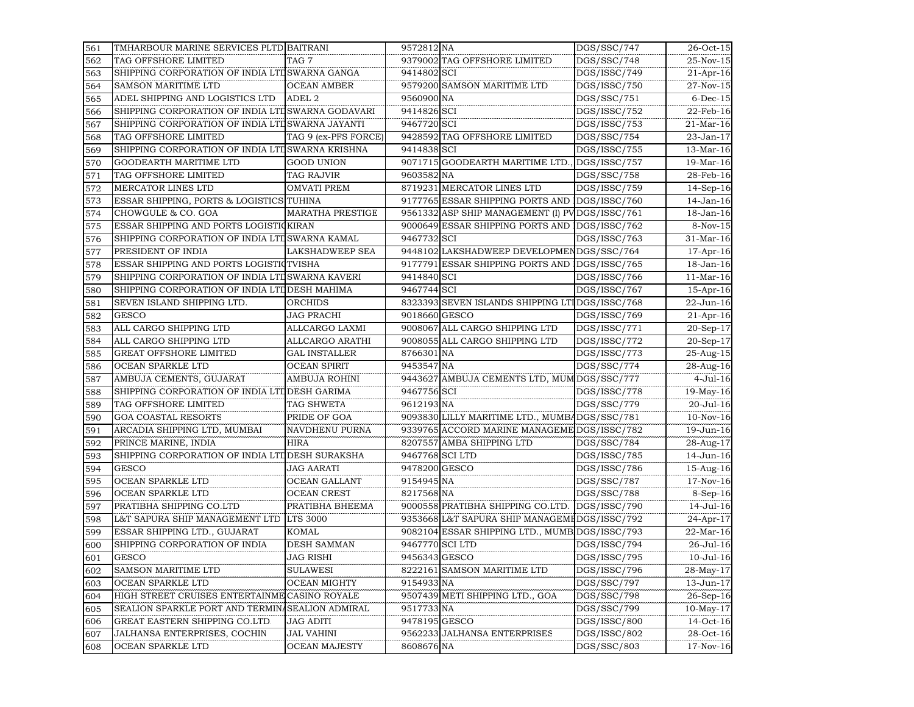| 561 | TMHARBOUR MARINE SERVICES PLTD BAITRANI           |                         | 9572812 NA    |                                                 | DGS/SSC/747   | $26-Oct-15$      |
|-----|---------------------------------------------------|-------------------------|---------------|-------------------------------------------------|---------------|------------------|
| 562 | TAG OFFSHORE LIMITED                              | TAG 7                   |               | 9379002 TAG OFFSHORE LIMITED                    | DGS/SSC/748   | 25-Nov-15        |
| 563 | SHIPPING CORPORATION OF INDIA LTL SWARNA GANGA    |                         | 9414802 SCI   |                                                 | DGS/ISSC/749  | $21-Apr-16$      |
| 564 | <b>SAMSON MARITIME LTD</b>                        | OCEAN AMBER             |               | 9579200 SAMSON MARITIME LTD                     | DGS/ISSC/750  | 27-Nov-15        |
| 565 | ADEL SHIPPING AND LOGISTICS LTD                   | ADEL <sub>2</sub>       | 9560900 NA    |                                                 | DGS/SSC/751   | $6$ -Dec-15      |
| 566 | SHIPPING CORPORATION OF INDIA LTL SWARNA GODAVARI |                         | 9414826 SCI   |                                                 | DGS/ISSC/752  | 22-Feb-16        |
| 567 | SHIPPING CORPORATION OF INDIA LTD SWARNA JAYANTI  |                         | 9467720 SCI   |                                                 | DGS/ISSC/753  | 21-Mar-16        |
| 568 | TAG OFFSHORE LIMITED                              | TAG 9 (ex-PFS FORCE)    |               | 9428592 TAG OFFSHORE LIMITED                    | DGS/SSC/754   | 23-Jan-17        |
| 569 | SHIPPING CORPORATION OF INDIA LTL SWARNA KRISHNA  |                         | 9414838 SCI   |                                                 | DGS/ISSC/755  | 13-Mar-16        |
| 570 | GOODEARTH MARITIME LTD                            | <b>GOOD UNION</b>       |               | 9071715 GOODEARTH MARITIME LTD.                 | DGS/ISSC/757  | 19-Mar-16        |
| 571 | TAG OFFSHORE LIMITED                              | TAG RAJVIR              | 9603582 NA    |                                                 | DGS/SSC/758   | 28-Feb-16        |
| 572 | MERCATOR LINES LTD                                | <b>OMVATI PREM</b>      |               | 8719231 MERCATOR LINES LTD                      | DGS/ISSC/759  | $14-Sep-16$      |
| 573 | ESSAR SHIPPING, PORTS & LOGISTICS TUHINA          |                         |               | 9177765 ESSAR SHIPPING PORTS AND DGS/ISSC/760   |               | 14-Jan-16        |
| 574 | CHOWGULE & CO. GOA                                | <b>MARATHA PRESTIGE</b> |               | 9561332 ASP SHIP MANAGEMENT (I) PV DGS/ISSC/761 |               | 18-Jan-16        |
| 575 | ESSAR SHIPPING AND PORTS LOGISTICKIRAN            |                         |               | 9000649 ESSAR SHIPPING PORTS AND                | IDGS/ISSC/762 | 8-Nov-15         |
| 576 | SHIPPING CORPORATION OF INDIA LTI SWARNA KAMAL    |                         | 9467732 SCI   |                                                 | DGS/ISSC/763  | 31-Mar-16        |
| 577 | PRESIDENT OF INDIA                                | LAKSHADWEEP SEA         |               | 9448102 LAKSHADWEEP DEVELOPMENDGS/SSC/764       |               | $17$ -Apr-16     |
| 578 | ESSAR SHIPPING AND PORTS LOGISTICTVISHA           |                         |               | 9177791 ESSAR SHIPPING PORTS AND IDGS/ISSC/765  |               | 18-Jan-16        |
| 579 | SHIPPING CORPORATION OF INDIA LTL SWARNA KAVERI   |                         | 9414840 SCI   |                                                 | DGS/ISSC/766  | $11-Mar-16$      |
| 580 | SHIPPING CORPORATION OF INDIA LTL DESH MAHIMA     |                         | 9467744 SCI   |                                                 | DGS/ISSC/767  | $15$ -Apr-16     |
| 581 | SEVEN ISLAND SHIPPING LTD.                        | ORCHIDS                 |               | 8323393 SEVEN ISLANDS SHIPPING LTIDGS/ISSC/768  |               | 22-Jun-16        |
| 582 | <b>GESCO</b>                                      | <b>JAG PRACHI</b>       | 9018660 GESCO |                                                 | DGS/ISSC/769  | $21-Apr-16$      |
| 583 | ALL CARGO SHIPPING LTD                            | ALLCARGO LAXMI          |               | 9008067 ALL CARGO SHIPPING LTD                  | DGS/ISSC/771  | $20$ -Sep-17     |
| 584 | ALL CARGO SHIPPING LTD                            | ALLCARGO ARATHI         |               | 9008055 ALL CARGO SHIPPING LTD                  | DGS/ISSC/772  | 20-Sep-17        |
| 585 | <b>GREAT OFFSHORE LIMITED</b>                     | <b>GAL INSTALLER</b>    | 8766301 NA    |                                                 | DGS/ISSC/773  | 25-Aug-15        |
| 586 | OCEAN SPARKLE LTD                                 | <b>OCEAN SPIRIT</b>     | 9453547 NA    |                                                 | DGS/SSC/774   | 28-Aug-16        |
| 587 | AMBUJA CEMENTS, GUJARAT                           | AMBUJA ROHINI           |               | 9443627 AMBUJA CEMENTS LTD, MUM DGS/SSC/777     |               | $4-Jul-16$       |
| 588 | SHIPPING CORPORATION OF INDIA LTL DESH GARIMA     |                         | 9467756 SCI   |                                                 | DGS/ISSC/778  | 19-May-16        |
| 589 | TAG OFFSHORE LIMITED                              | TAG SHWETA              | 9612193 NA    |                                                 | DGS/SSC/779   | 20-Jul-16        |
| 590 | <b>GOA COASTAL RESORTS</b>                        | PRIDE OF GOA            |               | 9093830 LILLY MARITIME LTD., MUMBADGS/SSC/781   |               | $10$ -Nov- $16$  |
| 591 | ARCADIA SHIPPING LTD, MUMBAI                      | NAVDHENU PURNA          |               | 9339765 ACCORD MARINE MANAGEME DGS/ISSC/782     |               | 19-Jun-16        |
| 592 | PRINCE MARINE, INDIA                              | <b>HIRA</b>             |               | 8207557 AMBA SHIPPING LTD                       | DGS/SSC/784   | 28-Aug-17        |
| 593 | SHIPPING CORPORATION OF INDIA LTL DESH SURAKSHA   |                         |               | 9467768 SCI LTD                                 | DGS/ISSC/785  | 14-Jun-16        |
| 594 | <b>GESCO</b>                                      | JAG AARATI              | 9478200 GESCO |                                                 | DGS/ISSC/786  | 15-Aug-16        |
| 595 | OCEAN SPARKLE LTD                                 | OCEAN GALLANT           | 9154945 NA    |                                                 | DGS/SSC/787   | 17-Nov-16        |
| 596 | OCEAN SPARKLE LTD                                 | <b>OCEAN CREST</b>      | 8217568 NA    |                                                 | DGS/SSC/788   | $8-Sep-16$       |
| 597 | PRATIBHA SHIPPING CO.LTD                          | PRATIBHA BHEEMA         |               | 9000558 PRATIBHA SHIPPING CO.LTD.               | DGS/ISSC/790  | 14-Jul-16        |
| 598 | L&T SAPURA SHIP MANAGEMENT LTD                    | <b>LTS 3000</b>         |               | 9353668 L&T SAPURA SHIP MANAGEMEDGS/ISSC/792    |               | 24-Apr-17        |
| 599 | ESSAR SHIPPING LTD., GUJARAT                      | KOMAL                   |               | 9082104 ESSAR SHIPPING LTD., MUMB DGS/ISSC/793  |               | 22-Mar-16        |
| 600 | SHIPPING CORPORATION OF INDIA                     | <b>DESH SAMMAN</b>      |               | 9467770 SCI LTD                                 | DGS/ISSC/794  | $26 -$ Jul- $16$ |
| 601 | <b>GESCO</b>                                      | <b>JAG RISHI</b>        | 9456343 GESCO |                                                 | DGS/ISSC/795  | 10-Jul-16        |
| 602 | SAMSON MARITIME LTD                               | <b>SULAWESI</b>         |               | 8222161 SAMSON MARITIME LTD                     | DGS/ISSC/796  | 28-May-17        |
| 603 | OCEAN SPARKLE LTD                                 | <b>OCEAN MIGHTY</b>     | 9154933 NA    |                                                 | DGS/SSC/797   | 13-Jun-17        |
| 604 | HIGH STREET CRUISES ENTERTAINME CASINO ROYALE     |                         |               | 9507439 METI SHIPPING LTD., GOA                 | DGS/SSC/798   | $26 - Sep-16$    |
| 605 | SEALION SPARKLE PORT AND TERMINASEALION ADMIRAL   |                         | 9517733 NA    |                                                 | DGS/SSC/799   | $10$ -May- $17$  |
| 606 | GREAT EASTERN SHIPPING CO.LTD.                    | <b>JAG ADITI</b>        | 9478195 GESCO |                                                 | DGS/ISSC/800  | $14-Oct-16$      |
| 607 | JALHANSA ENTERPRISES, COCHIN                      | <b>JAL VAHINI</b>       |               | 9562233 JALHANSA ENTERPRISES                    | DGS/ISSC/802  | 28-Oct-16        |
| 608 | OCEAN SPARKLE LTD                                 | <b>OCEAN MAJESTY</b>    | 8608676 NA    |                                                 | DGS/SSC/803   | 17-Nov-16        |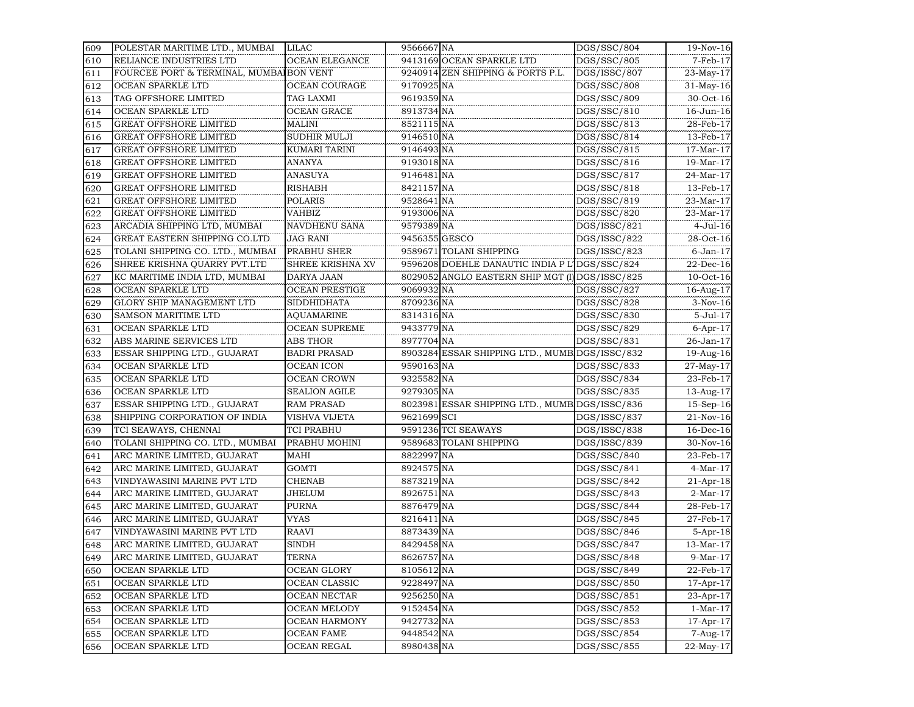| 609 | POLESTAR MARITIME LTD., MUMBAI          | <b>LILAC</b>          | 9566667 NA    |                                                 | DGS/SSC/804  | 19-Nov-16       |
|-----|-----------------------------------------|-----------------------|---------------|-------------------------------------------------|--------------|-----------------|
| 610 | RELIANCE INDUSTRIES LTD                 | <b>OCEAN ELEGANCE</b> |               | 9413169 OCEAN SPARKLE LTD                       | DGS/SSC/805  | 7-Feb-17        |
| 611 | FOURCEE PORT & TERMINAL, MUMBAIBON VENT |                       |               | 9240914 ZEN SHIPPING & PORTS P.L.               | DGS/ISSC/807 | 23-May-17       |
| 612 | OCEAN SPARKLE LTD                       | OCEAN COURAGE         | 9170925 NA    |                                                 | DGS/SSC/808  | $31$ -May-16    |
| 613 | TAG OFFSHORE LIMITED                    | TAG LAXMI             | 9619359 NA    |                                                 | DGS/SSC/809  | 30-Oct-16       |
| 614 | OCEAN SPARKLE LTD                       | <b>OCEAN GRACE</b>    | 8913734 NA    |                                                 | DGS/SSC/810  | 16-Jun-16       |
| 615 | <b>GREAT OFFSHORE LIMITED</b>           | MALINI                | 8521115 NA    |                                                 | DGS/SSC/813  | 28-Feb-17       |
| 616 | <b>GREAT OFFSHORE LIMITED</b>           | SUDHIR MULJI          | 9146510 NA    |                                                 | DGS/SSC/814  | 13-Feb-17       |
| 617 | <b>GREAT OFFSHORE LIMITED</b>           | KUMARI TARINI         | 9146493 NA    |                                                 | DGS/SSC/815  | $17$ -Mar- $17$ |
| 618 | <b>GREAT OFFSHORE LIMITED</b>           | ANANYA                | 9193018 NA    |                                                 | DGS/SSC/816  | 19-Mar-17       |
| 619 | <b>GREAT OFFSHORE LIMITED</b>           | ANASUYA               | 9146481 NA    |                                                 | DGS/SSC/817  | 24-Mar-17       |
| 620 | <b>GREAT OFFSHORE LIMITED</b>           | <b>RISHABH</b>        | 8421157 NA    |                                                 | DGS/SSC/818  | 13-Feb-17       |
| 621 | <b>GREAT OFFSHORE LIMITED</b>           | <b>POLARIS</b>        | 9528641 NA    |                                                 | DGS/SSC/819  | 23-Mar-17       |
| 622 | <b>GREAT OFFSHORE LIMITED</b>           | VAHBIZ                | 9193006 NA    |                                                 | DGS/SSC/820  | 23-Mar-17       |
| 623 | ARCADIA SHIPPING LTD, MUMBAI            | NAVDHENU SANA         | 9579389 NA    |                                                 | DGS/ISSC/821 | 4-Jul-16        |
| 624 | GREAT EASTERN SHIPPING CO.LTD           | JAG RANI              | 9456355 GESCO |                                                 | DGS/ISSC/822 | 28-Oct-16       |
| 625 | TOLANI SHIPPING CO. LTD., MUMBAI        | PRABHU SHER           |               | 9589671 TOLANI SHIPPING                         | DGS/ISSC/823 | $6$ -Jan- $17$  |
| 626 | SHREE KRISHNA QUARRY PVT.LTD            | SHREE KRISHNA XV      |               | 9596208 DOEHLE DANAUTIC INDIA P L'              | DGS/SSC/824  | 22-Dec-16       |
| 627 | KC MARITIME INDIA LTD, MUMBAI           | DARYA JAAN            |               | 8029052 ANGLO EASTERN SHIP MGT (I) DGS/ISSC/825 |              | $10$ -Oct- $16$ |
| 628 | OCEAN SPARKLE LTD                       | <b>OCEAN PRESTIGE</b> | 9069932 NA    |                                                 | DGS/SSC/827  | 16-Aug-17       |
| 629 | GLORY SHIP MANAGEMENT LTD               | <b>SIDDHIDHATA</b>    | 8709236 NA    |                                                 | DGS/SSC/828  | $3-Nov-16$      |
| 630 | <b>SAMSON MARITIME LTD</b>              | <b>AQUAMARINE</b>     | 8314316 NA    |                                                 | DGS/SSC/830  | 5-Jul-17        |
| 631 | OCEAN SPARKLE LTD                       | <b>OCEAN SUPREME</b>  | 9433779 NA    |                                                 | DGS/SSC/829  | $6$ -Apr-17     |
| 632 | ABS MARINE SERVICES LTD                 | <b>ABS THOR</b>       | 8977704 NA    |                                                 | DGS/SSC/831  | 26-Jan-17       |
| 633 | ESSAR SHIPPING LTD., GUJARAT            | <b>BADRI PRASAD</b>   |               | 8903284 ESSAR SHIPPING LTD., MUMB DGS/ISSC/832  |              | 19-Aug-16       |
| 634 | OCEAN SPARKLE LTD                       | <b>OCEAN ICON</b>     | 9590163 NA    |                                                 | DGS/SSC/833  | 27-May-17       |
| 635 | OCEAN SPARKLE LTD                       | <b>OCEAN CROWN</b>    | 9325582 NA    |                                                 | DGS/SSC/834  | 23-Feb-17       |
| 636 | OCEAN SPARKLE LTD                       | <b>SEALION AGILE</b>  | 9279305 NA    |                                                 | DGS/SSC/835  | 13-Aug-17       |
| 637 | ESSAR SHIPPING LTD., GUJARAT            | <b>RAM PRASAD</b>     |               | 8023981 ESSAR SHIPPING LTD., MUMB DGS/ISSC/836  |              | $15-Sep-16$     |
| 638 | SHIPPING CORPORATION OF INDIA           | VISHVA VIJETA         | 9621699 SCI   |                                                 | DGS/ISSC/837 | 21-Nov-16       |
| 639 | TCI SEAWAYS, CHENNAI                    | <b>TCI PRABHU</b>     |               | 9591236 TCI SEAWAYS                             | DGS/ISSC/838 | $16$ -Dec- $16$ |
| 640 | TOLANI SHIPPING CO. LTD., MUMBAI        | PRABHU MOHINI         |               | 9589683 TOLANI SHIPPING                         | DGS/ISSC/839 | 30-Nov-16       |
| 641 | ARC MARINE LIMITED, GUJARAT             | MAHI                  | 8822997 NA    |                                                 | DGS/SSC/840  | 23-Feb-17       |
| 642 | ARC MARINE LIMITED, GUJARAT             | <b>GOMTI</b>          | 8924575 NA    |                                                 | DGS/SSC/841  | 4-Mar-17        |
| 643 | VINDYAWASINI MARINE PVT LTD             | <b>CHENAB</b>         | 8873219 NA    |                                                 | DGS/SSC/842  | $21$ -Apr-18    |
| 644 | ARC MARINE LIMITED, GUJARAT             | JHELUM                | 8926751 NA    |                                                 | DGS/SSC/843  | $2-Mar-17$      |
| 645 | ARC MARINE LIMITED, GUJARAT             | <b>PURNA</b>          | 8876479 NA    |                                                 | DGS/SSC/844  | 28-Feb-17       |
| 646 | ARC MARINE LIMITED, GUJARAT             | VYAS                  | 8216411 NA    |                                                 | DGS/SSC/845  | 27-Feb-17       |
| 647 | VINDYAWASINI MARINE PVT LTD             | RAAVI                 | 8873439 NA    |                                                 | DGS/SSC/846  | $5-Apr-18$      |
| 648 | ARC MARINE LIMITED, GUJARAT             | <b>SINDH</b>          | 8429458 NA    |                                                 | DGS/SSC/847  | 13-Mar-17       |
| 649 | ARC MARINE LIMITED, GUJARAT             | <b>TERNA</b>          | 8626757 NA    |                                                 | DGS/SSC/848  | 9-Mar-17        |
| 650 | OCEAN SPARKLE LTD                       | OCEAN GLORY           | 8105612 NA    |                                                 | DGS/SSC/849  | 22-Feb-17       |
| 651 | OCEAN SPARKLE LTD                       | OCEAN CLASSIC         | 9228497 NA    |                                                 | DGS/SSC/850  | 17-Apr-17       |
| 652 | OCEAN SPARKLE LTD                       | OCEAN NECTAR          | 9256250 NA    |                                                 | DGS/SSC/851  | 23-Apr-17       |
| 653 | OCEAN SPARKLE LTD                       | OCEAN MELODY          | 9152454 NA    |                                                 | DGS/SSC/852  | $1-Mar-17$      |
| 654 | OCEAN SPARKLE LTD                       | <b>OCEAN HARMONY</b>  | 9427732 NA    |                                                 | DGS/SSC/853  | 17-Apr-17       |
| 655 | OCEAN SPARKLE LTD                       | <b>OCEAN FAME</b>     | 9448542 NA    |                                                 | DGS/SSC/854  | 7-Aug-17        |
| 656 | OCEAN SPARKLE LTD                       | OCEAN REGAL           | 8980438 NA    |                                                 | DGS/SSC/855  | 22-May-17       |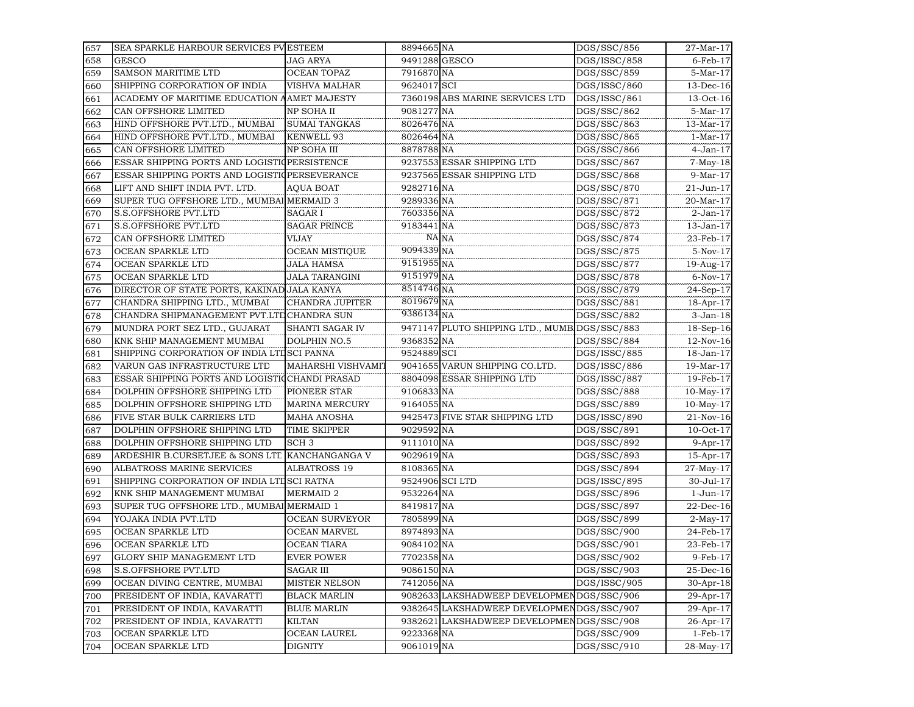| 657 | SEA SPARKLE HARBOUR SERVICES PV ESTEEM         |                       | 8894665 NA      |                                               | DGS/SSC/856              | 27-Mar-17       |
|-----|------------------------------------------------|-----------------------|-----------------|-----------------------------------------------|--------------------------|-----------------|
| 658 | <b>GESCO</b>                                   | JAG ARYA              | 9491288 GESCO   |                                               | DGS/ISSC/858             | $6$ -Feb- $17$  |
| 659 | <b>SAMSON MARITIME LTD</b>                     | <b>OCEAN TOPAZ</b>    | 7916870 NA      |                                               | DGS/SSC/859              | 5-Mar-17        |
| 660 | SHIPPING CORPORATION OF INDIA                  | VISHVA MALHAR         | 9624017 SCI     |                                               | DGS/ISSC/860             | 13-Dec-16       |
| 661 | ACADEMY OF MARITIME EDUCATION AAMET MAJESTY    |                       |                 | 7360198 ABS MARINE SERVICES LTD               | DGS/ISSC/861             | 13-Oct-16       |
| 662 | CAN OFFSHORE LIMITED                           | NP SOHA II            | 9081277 NA      |                                               | DGS/SSC/862              | 5-Mar-17        |
| 663 | HIND OFFSHORE PVT.LTD., MUMBAI                 | <b>SUMAI TANGKAS</b>  | 8026476 NA      |                                               | DGS/SSC/863              | $13-Mar-17$     |
| 664 | HIND OFFSHORE PVT.LTD., MUMBAI                 | KENWELL 93            | 8026464 NA      |                                               | DGS/SSC/865              | $1-Mar-17$      |
| 665 | CAN OFFSHORE LIMITED                           | NP SOHA III           | 8878788 NA      |                                               | DGS/SSC/866              | 4-Jan-17        |
| 666 | ESSAR SHIPPING PORTS AND LOGISTIQPERSISTENCE   |                       |                 | 9237553 ESSAR SHIPPING LTD                    | DGS/SSC/867              | $7-May-18$      |
| 667 | ESSAR SHIPPING PORTS AND LOGISTIQPERSEVERANCE  |                       |                 | 9237565 ESSAR SHIPPING LTD                    | DGS/SSC/868              | $9-Mar-17$      |
| 668 | LIFT AND SHIFT INDIA PVT. LTD.                 | <b>AQUA BOAT</b>      | 9282716 NA      |                                               | DGS/SSC/870              | 21-Jun-17       |
| 669 | SUPER TUG OFFSHORE LTD., MUMBAI MERMAID 3      |                       | 9289336 NA      |                                               | DGS/SSC/871              | 20-Mar-17       |
| 670 | S.S.OFFSHORE PVT.LTD                           | SAGAR I               | 7603356 NA      |                                               | DGS/SSC/872              | $2$ -Jan- $17$  |
| 671 | S.S.OFFSHORE PVT.LTD                           | <b>SAGAR PRINCE</b>   | 9183441 NA      |                                               | DGS/SSC/873              | $13$ -Jan- $17$ |
| 672 | CAN OFFSHORE LIMITED                           | VIJAY                 |                 | NA NA                                         | DGS/SSC/874              | 23-Feb-17       |
| 673 | OCEAN SPARKLE LTD                              | <b>OCEAN MISTIQUE</b> | 9094339 NA      |                                               | DGS/SSC/875              | $5-Nov-17$      |
| 674 | OCEAN SPARKLE LTD                              | JALA HAMSA            | 9151955 NA      |                                               | DGS/SSC/877              | 19-Aug-17       |
| 675 | OCEAN SPARKLE LTD                              | JALA TARANGINI        | 9151979 NA      |                                               | DGS/SSC/878              | $6-Nov-17$      |
| 676 | DIRECTOR OF STATE PORTS, KAKINAD JALA KANYA    |                       | 8514746 NA      |                                               | DGS/SSC/879              | 24-Sep-17       |
| 677 | CHANDRA SHIPPING LTD., MUMBAI                  | CHANDRA JUPITER       | 8019679 NA      |                                               | DGS/SSC/881              | 18-Apr-17       |
| 678 | CHANDRA SHIPMANAGEMENT PVT.LTDCHANDRA SUN      |                       | 9386134 NA      |                                               | DGS/SSC/882              | $3-Jan-18$      |
| 679 | MUNDRA PORT SEZ LTD., GUJARAT                  | SHANTI SAGAR IV       |                 | 9471147 PLUTO SHIPPING LTD., MUMB DGS/SSC/883 |                          | $18-Sep-16$     |
| 680 | KNK SHIP MANAGEMENT MUMBAI                     | DOLPHIN NO.5          | 9368352 NA      |                                               | DGS/SSC/884              | 12-Nov-16       |
| 681 | SHIPPING CORPORATION OF INDIA LTI SCI PANNA    |                       | 9524889 SCI     |                                               | DGS/ISSC/885             | 18-Jan-17       |
| 682 | VARUN GAS INFRASTRUCTURE LTD                   | MAHARSHI VISHVAMIT    |                 | 9041655 VARUN SHIPPING CO.LTD.                | DGS/ISSC/886             | 19-Mar-17       |
| 683 | ESSAR SHIPPING PORTS AND LOGISTIQCHANDI PRASAD |                       |                 | 8804098 ESSAR SHIPPING LTD                    | DGS/ISSC/887             | 19-Feb-17       |
| 684 | DOLPHIN OFFSHORE SHIPPING LTD                  | PIONEER STAR          | 9106833 NA      |                                               | DGS/SSC/888              | $10$ -May- $17$ |
| 685 | DOLPHIN OFFSHORE SHIPPING LTD                  | <b>MARINA MERCURY</b> | 9164055 NA      |                                               | DGS/SSC/889              | $10$ -May- $17$ |
| 686 | FIVE STAR BULK CARRIERS LTD                    | <b>MAHA ANOSHA</b>    |                 | 9425473 FIVE STAR SHIPPING LTD                | DGS/ISSC/890             | $21-Nov-16$     |
| 687 | DOLPHIN OFFSHORE SHIPPING LTD                  | <b>TIME SKIPPER</b>   | 9029592 NA      |                                               | DGS/SSC/891              | $10$ -Oct- $17$ |
| 688 | DOLPHIN OFFSHORE SHIPPING LTD                  | SCH <sub>3</sub>      | 9111010 NA      |                                               | DGS/SSC/892              | $9-Apr-17$      |
| 689 | ARDESHIR B.CURSETJEE & SONS LTD                | KANCHANGANGA V        | 9029619 NA      |                                               | DGS/SSC/893              | $15$ -Apr- $17$ |
| 690 | ALBATROSS MARINE SERVICES                      | <b>ALBATROSS 19</b>   | 8108365 NA      |                                               | DGS/SSC/894              | 27-May-17       |
| 691 | SHIPPING CORPORATION OF INDIA LTIJSCI RATNA    |                       | 9524906 SCI LTD |                                               | DGS/ISSC/895             | 30-Jul-17       |
| 692 | KNK SHIP MANAGEMENT MUMBAI                     | <b>MERMAID 2</b>      | 9532264 NA      |                                               | DGS/SSC/896              | 1-Jun-17        |
| 693 | SUPER TUG OFFSHORE LTD., MUMBAI MERMAID 1      |                       | 8419817 NA      |                                               | DGS/SSC/897              | 22-Dec-16       |
| 694 | YOJAKA INDIA PVT.LTD                           | <b>OCEAN SURVEYOR</b> | 7805899 NA      |                                               | DGS/SSC/899              | $2$ -May-17     |
| 695 | OCEAN SPARKLE LTD                              | <b>OCEAN MARVEL</b>   | 8974893 NA      |                                               | $\overline{DGS}/SSC/900$ | 24-Feb-17       |
| 696 | OCEAN SPARKLE LTD                              | OCEAN TIARA           | 9084102 NA      |                                               | DGS/SSC/901              | 23-Feb-17       |
| 697 | GLORY SHIP MANAGEMENT LTD                      | <b>EVER POWER</b>     | 7702358 NA      |                                               | DGS/SSC/902              | 9-Feb-17        |
| 698 | S.S.OFFSHORE PVT.LTD                           | SAGAR III             | 9086150 NA      |                                               | DGS/SSC/903              | 25-Dec-16       |
| 699 | OCEAN DIVING CENTRE, MUMBAI                    | MISTER NELSON         | 7412056 NA      |                                               | DGS/ISSC/905             | 30-Apr-18       |
| 700 | PRESIDENT OF INDIA, KAVARATTI                  | <b>BLACK MARLIN</b>   |                 | 9082633 LAKSHADWEEP DEVELOPMENDGS/SSC/906     |                          | 29-Apr-17       |
| 701 | PRESIDENT OF INDIA, KAVARATTI                  | <b>BLUE MARLIN</b>    |                 | 9382645 LAKSHADWEEP DEVELOPMEN                | DGS/SSC/907              | 29-Apr-17       |
| 702 | PRESIDENT OF INDIA, KAVARATTI                  | <b>KILTAN</b>         |                 | 9382621 LAKSHADWEEP DEVELOPMEN                | DGS/SSC/908              | 26-Apr-17       |
| 703 | OCEAN SPARKLE LTD                              | OCEAN LAUREL          | 9223368 NA      |                                               | DGS/SSC/909              | $1-Feb-17$      |
| 704 | OCEAN SPARKLE LTD                              | DIGNITY               | 9061019 NA      |                                               | DGS/SSC/910              | 28-May-17       |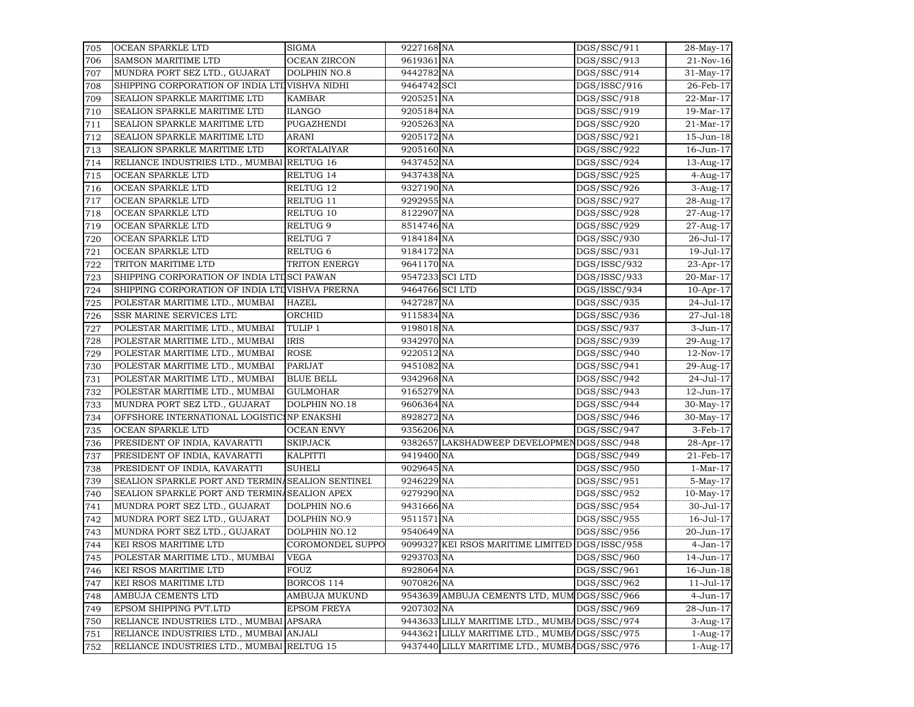| 705 | <b>OCEAN SPARKLE LTD</b>                         | SIGMA               | 9227168 NA      |                                                | DGS/SSC/911  | 28-May-17        |
|-----|--------------------------------------------------|---------------------|-----------------|------------------------------------------------|--------------|------------------|
| 706 | <b>SAMSON MARITIME LTD</b>                       | <b>OCEAN ZIRCON</b> | 9619361 NA      |                                                | DGS/SSC/913  | 21-Nov-16        |
| 707 | MUNDRA PORT SEZ LTD., GUJARAT                    | DOLPHIN NO.8        | 9442782 NA      |                                                | DGS/SSC/914  | 31-May-17        |
| 708 | SHIPPING CORPORATION OF INDIA LTD VISHVA NIDHI   |                     | 9464742 SCI     |                                                | DGS/ISSC/916 | 26-Feb-17        |
| 709 | SEALION SPARKLE MARITIME LTD                     | <b>KAMBAR</b>       | 9205251 NA      |                                                | DGS/SSC/918  | 22-Mar-17        |
| 710 | SEALION SPARKLE MARITIME LTD                     | <b>ILANGO</b>       | 9205184 NA      |                                                | DGS/SSC/919  | 19-Mar-17        |
| 711 | SEALION SPARKLE MARITIME LTD                     | PUGAZHENDI          | 9205263 NA      |                                                | DGS/SSC/920  | 21-Mar-17        |
| 712 | SEALION SPARKLE MARITIME LTD                     | ARANI               | 9205172 NA      |                                                | DGS/SSC/921  | 15-Jun-18        |
| 713 | SEALION SPARKLE MARITIME LTD                     | <b>KORTALAIYAR</b>  | 9205160 NA      |                                                | DGS/SSC/922  | 16-Jun-17        |
| 714 | RELIANCE INDUSTRIES LTD., MUMBAI                 | RELTUG 16           | 9437452 NA      |                                                | DGS/SSC/924  | 13-Aug-17        |
| 715 | OCEAN SPARKLE LTD                                | RELTUG 14           | 9437438 NA      |                                                | DGS/SSC/925  | 4-Aug-17         |
| 716 | OCEAN SPARKLE LTD                                | RELTUG 12           | 9327190 NA      |                                                | DGS/SSC/926  | 3-Aug-17         |
| 717 | OCEAN SPARKLE LTD                                | RELTUG 11           | 9292955 NA      |                                                | DGS/SSC/927  | 28-Aug-17        |
| 718 | OCEAN SPARKLE LTD                                | RELTUG 10           | 8122907 NA      |                                                | DGS/SSC/928  | 27-Aug-17        |
| 719 | OCEAN SPARKLE LTD                                | RELTUG <sub>9</sub> | 8514746 NA      |                                                | DGS/SSC/929  | 27-Aug-17        |
| 720 | OCEAN SPARKLE LTD                                | RELTUG <sub>7</sub> | 9184184 NA      |                                                | DGS/SSC/930  | 26-Jul-17        |
| 721 | OCEAN SPARKLE LTD                                | RELTUG <sub>6</sub> | 9184172 NA      |                                                | DGS/SSC/931  | 19-Jul-17        |
| 722 | TRITON MARITIME LTD                              | TRITON ENERGY       | 9641170 NA      |                                                | DGS/ISSC/932 | 23-Apr-17        |
| 723 | SHIPPING CORPORATION OF INDIA LTL SCI PAWAN      |                     | 9547233 SCI LTD |                                                | DGS/ISSC/933 | 20-Mar-17        |
| 724 | SHIPPING CORPORATION OF INDIA LTD VISHVA PRERNA  |                     | 9464766 SCI LTD |                                                | DGS/ISSC/934 | $10$ -Apr- $17$  |
| 725 | POLESTAR MARITIME LTD., MUMBAI                   | <b>HAZEL</b>        | 9427287 NA      |                                                | DGS/SSC/935  | 24-Jul-17        |
| 726 | SSR MARINE SERVICES LTD                          | ORCHID              | 9115834 NA      |                                                | DGS/SSC/936  | 27-Jul-18        |
| 727 | POLESTAR MARITIME LTD., MUMBAI                   | TULIP 1             | 9198018 NA      |                                                | DGS/SSC/937  | 3-Jun-17         |
| 728 | POLESTAR MARITIME LTD., MUMBAI                   | <b>IRIS</b>         | 9342970 NA      |                                                | DGS/SSC/939  | 29-Aug-17        |
| 729 | POLESTAR MARITIME LTD., MUMBAI                   | <b>ROSE</b>         | 9220512 NA      |                                                | DGS/SSC/940  | 12-Nov-17        |
| 730 | POLESTAR MARITIME LTD., MUMBAI                   | PARIJAT             | 9451082 NA      |                                                | DGS/SSC/941  | 29-Aug-17        |
| 731 | POLESTAR MARITIME LTD., MUMBAI                   | <b>BLUE BELL</b>    | 9342968 NA      |                                                | DGS/SSC/942  | 24-Jul-17        |
| 732 | POLESTAR MARITIME LTD., MUMBAI                   | <b>GULMOHAR</b>     | 9165279 NA      |                                                | DGS/SSC/943  | 12-Jun-17        |
| 733 | MUNDRA PORT SEZ LTD., GUJARAT                    | DOLPHIN NO.18       | 9606364 NA      |                                                | DGS/SSC/944  | 30-May-17        |
| 734 | OFFSHORE INTERNATIONAL LOGISTIC NP ENAKSHI       |                     | 8928272 NA      |                                                | DGS/SSC/946  | 30-May-17        |
| 735 | OCEAN SPARKLE LTD                                | <b>OCEAN ENVY</b>   | 9356206 NA      |                                                | DGS/SSC/947  | $3-Feb-17$       |
| 736 | PRESIDENT OF INDIA, KAVARATTI                    | <b>SKIPJACK</b>     |                 | 9382657 LAKSHADWEEP DEVELOPMENDGS/SSC/948      |              | 28-Apr-17        |
| 737 | PRESIDENT OF INDIA, KAVARATTI                    | KALPITTI            | 9419400 NA      |                                                | DGS/SSC/949  | 21-Feb-17        |
| 738 | PRESIDENT OF INDIA, KAVARATTI                    | <b>SUHELI</b>       | 9029645 NA      |                                                | DGS/SSC/950  | $1-Mar-17$       |
| 739 | SEALION SPARKLE PORT AND TERMINASEALION SENTINEL |                     | 9246229 NA      |                                                | DGS/SSC/951  | $5-May-17$       |
| 740 | SEALION SPARKLE PORT AND TERMINASEALION APEX     |                     | 9279290 NA      |                                                | DGS/SSC/952  | $10$ -May- $17$  |
| 741 | MUNDRA PORT SEZ LTD., GUJARAT                    | DOLPHIN NO.6        | 9431666 NA      |                                                | DGS/SSC/954  | 30-Jul-17        |
| 742 | MUNDRA PORT SEZ LTD., GUJARAT                    | <b>DOLPHIN NO.9</b> | 9511571 NA      |                                                | DGS/SSC/955  | 16-Jul-17        |
| 743 | MUNDRA PORT SEZ LTD., GUJARAT                    | DOLPHIN NO.12       | 9540649 NA      |                                                | DGS/SSC/956  | 20-Jun-17        |
| 744 | KEI RSOS MARITIME LTD                            | COROMONDEL SUPPO    |                 | 9099327 KEI RSOS MARITIME LIMITED DGS/ISSC/958 |              | $4-Jan-17$       |
| 745 | POLESTAR MARITIME LTD., MUMBAI                   | <b>VEGA</b>         | 9293703 NA      |                                                | DGS/SSC/960  | 14-Jun-17        |
| 746 | KEI RSOS MARITIME LTD                            | <b>FOUZ</b>         | 8928064 NA      |                                                | DGS/SSC/961  | 16-Jun-18        |
| 747 | KEI RSOS MARITIME LTD                            | BORCOS 114          | 9070826 NA      |                                                | DGS/SSC/962  | $11 -$ Jul $-17$ |
| 748 | AMBUJA CEMENTS LTD                               | AMBUJA MUKUND       |                 | 9543639 AMBUJA CEMENTS LTD, MUM DGS/SSC/966    |              | 4-Jun-17         |
| 749 | EPSOM SHIPPING PVT.LTD                           | <b>EPSOM FREYA</b>  | 9207302 NA      |                                                | DGS/SSC/969  | 28-Jun-17        |
| 750 | RELIANCE INDUSTRIES LTD., MUMBAI APSARA          |                     |                 | 9443633 LILLY MARITIME LTD., MUMBADGS/SSC/974  |              | 3-Aug-17         |
| 751 | RELIANCE INDUSTRIES LTD., MUMBAI ANJALI          |                     |                 | 9443621 LILLY MARITIME LTD., MUMBADGS/SSC/975  |              | $1-Aug-17$       |
| 752 | RELIANCE INDUSTRIES LTD., MUMBAI RELTUG 15       |                     |                 | 9437440 LILLY MARITIME LTD., MUMBADGS/SSC/976  |              | $1-Aug-17$       |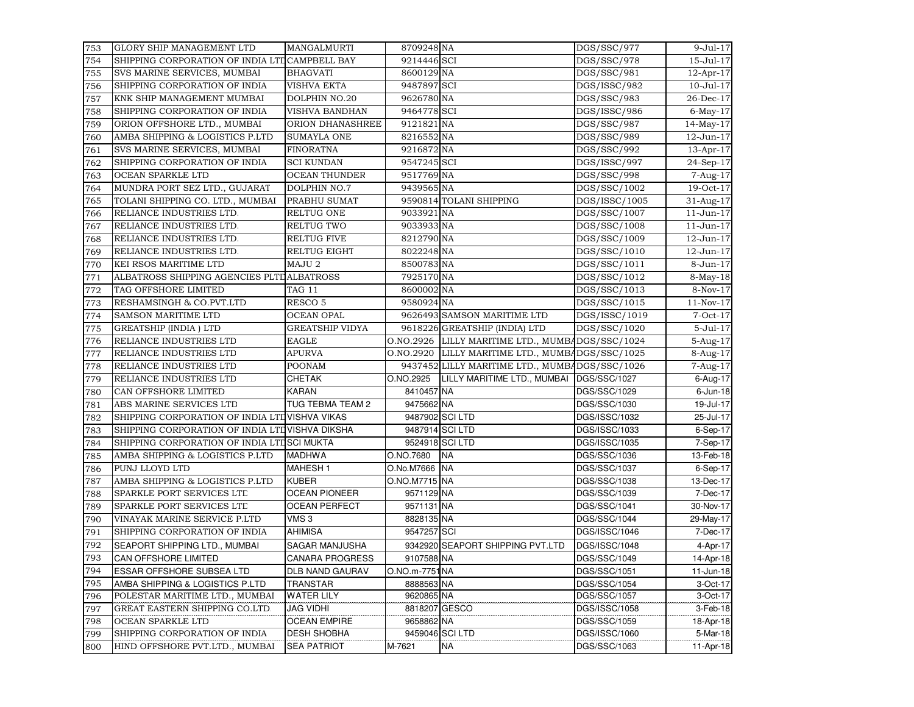| 753 | GLORY SHIP MANAGEMENT LTD                       | MANGALMURTI            | 8709248 NA    |                                                  | DGS/SSC/977               | 9-Jul-17                |
|-----|-------------------------------------------------|------------------------|---------------|--------------------------------------------------|---------------------------|-------------------------|
| 754 | SHIPPING CORPORATION OF INDIA LTD CAMPBELL BAY  |                        | 9214446 SCI   |                                                  | DGS/SSC/978               | 15-Jul-17               |
| 755 | SVS MARINE SERVICES, MUMBAI                     | <b>BHAGVATI</b>        | 8600129 NA    |                                                  | DGS/SSC/981               | 12-Apr-17               |
| 756 | SHIPPING CORPORATION OF INDIA                   | <b>VISHVA EKTA</b>     | 9487897 SCI   |                                                  | DGS/ISSC/982              | 10-Jul-17               |
| 757 | KNK SHIP MANAGEMENT MUMBAI                      | DOLPHIN NO.20          | 9626780 NA    |                                                  | DGS/SSC/983               | 26-Dec-17               |
| 758 | SHIPPING CORPORATION OF INDIA                   | VISHVA BANDHAN         | 9464778 SCI   |                                                  | DGS/ISSC/986              | $6$ -May- $17$          |
| 759 | ORION OFFSHORE LTD., MUMBAI                     | ORION DHANASHREE       | 9121821 NA    |                                                  | $\overline{DGS}$ /SSC/987 | $14$ -May-17            |
| 760 | AMBA SHIPPING & LOGISTICS P.LTD                 | <b>SUMAYLA ONE</b>     | 8216552 NA    |                                                  | DGS/SSC/989               | 12-Jun-17               |
| 761 | SVS MARINE SERVICES, MUMBAI                     | <b>FINORATNA</b>       | 9216872 NA    |                                                  | DGS/SSC/992               | $13$ -Apr- $17$         |
| 762 | SHIPPING CORPORATION OF INDIA                   | <b>SCI KUNDAN</b>      | 9547245 SCI   |                                                  | DGS/ISSC/997              | $\overline{2}$ 4-Sep-17 |
| 763 | OCEAN SPARKLE LTD                               | <b>OCEAN THUNDER</b>   | 9517769 NA    |                                                  | DGS/SSC/998               | 7-Aug-17                |
| 764 | MUNDRA PORT SEZ LTD., GUJARAT                   | DOLPHIN NO.7           | 9439565 NA    |                                                  | DGS/SSC/1002              | 19-Oct-17               |
| 765 | TOLANI SHIPPING CO. LTD., MUMBAI                | PRABHU SUMAT           |               | 9590814 TOLANI SHIPPING                          | DGS/ISSC/1005             | 31-Aug-17               |
| 766 | RELIANCE INDUSTRIES LTD.                        | RELTUG ONE             | 9033921 NA    |                                                  | DGS/SSC/1007              | $11-Jun-17$             |
| 767 | RELIANCE INDUSTRIES LTD.                        | RELTUG TWO             | 9033933 NA    |                                                  | DGS/SSC/1008              | $11-Jun-17$             |
| 768 | RELIANCE INDUSTRIES LTD.                        | <b>RELTUG FIVE</b>     | 8212790 NA    |                                                  | DGS/SSC/1009              | 12-Jun-17               |
| 769 | RELIANCE INDUSTRIES LTD.                        | RELTUG EIGHT           | 8022248 NA    |                                                  | DGS/SSC/1010              | 12-Jun-17               |
| 770 | KEI RSOS MARITIME LTD                           | MAJU <sub>2</sub>      | 8500783 NA    |                                                  | DGS/SSC/1011              | 8-Jun-17                |
| 771 | ALBATROSS SHIPPING AGENCIES PLTD ALBATROSS      |                        | 7925170 NA    |                                                  | DGS/SSC/1012              | 8-May-18                |
| 772 | TAG OFFSHORE LIMITED                            | TAG 11                 | 8600002 NA    |                                                  | DGS/SSC/1013              | 8-Nov-17                |
| 773 | RESHAMSINGH & CO.PVT.LTD                        | RESCO <sub>5</sub>     | 9580924 NA    |                                                  | DGS/SSC/1015              | $11-Nov-17$             |
| 774 | <b>SAMSON MARITIME LTD</b>                      | OCEAN OPAL             |               | 9626493 SAMSON MARITIME LTD                      | DGS/ISSC/1019             | $7-Oct-17$              |
| 775 | <b>GREATSHIP (INDIA) LTD</b>                    | <b>GREATSHIP VIDYA</b> |               | 9618226 GREATSHIP (INDIA) LTD                    | DGS/SSC/1020              | $5 -$ Jul $-17$         |
| 776 | RELIANCE INDUSTRIES LTD                         | <b>EAGLE</b>           |               | O.NO.2926 LILLY MARITIME LTD., MUMBADGS/SSC/1024 |                           | $5-Aug-17$              |
| 777 | RELIANCE INDUSTRIES LTD                         | <b>APURVA</b>          |               | O.NO.2920 LILLY MARITIME LTD., MUMBADGS/SSC/1025 |                           | 8-Aug-17                |
| 778 | RELIANCE INDUSTRIES LTD                         | <b>POONAM</b>          |               | 9437452 LILLY MARITIME LTD., MUMBADGS/SSC/1026   |                           | 7-Aug-17                |
| 779 | RELIANCE INDUSTRIES LTD                         | <b>CHETAK</b>          | O.NO.2925     | LILLY MARITIME LTD., MUMBAI                      | DGS/SSC/1027              | 6-Aug-17                |
| 780 | CAN OFFSHORE LIMITED                            | KARAN                  | 8410457 NA    |                                                  | DGS/SSC/1029              | $6$ -Jun-18             |
| 781 | ABS MARINE SERVICES LTD                         | TUG TEBMA TEAM 2       | 9475662 NA    |                                                  | DGS/SSC/1030              | 19-Jul-17               |
| 782 | SHIPPING CORPORATION OF INDIA LTD VISHVA VIKAS  |                        |               | 9487902 SCI LTD                                  | DGS/ISSC/1032             | 25-Jul-17               |
| 783 | SHIPPING CORPORATION OF INDIA LTD VISHVA DIKSHA |                        |               | 9487914 SCI LTD                                  | DGS/ISSC/1033             | 6-Sep-17                |
| 784 | SHIPPING CORPORATION OF INDIA LTL SCI MUKTA     |                        |               | 9524918 SCI LTD                                  | DGS/ISSC/1035             | 7-Sep-17                |
| 785 | AMBA SHIPPING & LOGISTICS P.LTD                 | <b>MADHWA</b>          | O.NO.7680     | <b>NA</b>                                        | DGS/SSC/1036              | 13-Feb-18               |
| 786 | PUNJ LLOYD LTD                                  | MAHESH 1               | O.No.M7666 NA |                                                  | DGS/SSC/1037              | 6-Sep-17                |
| 787 | AMBA SHIPPING & LOGISTICS P.LTD                 | <b>KUBER</b>           | O.NO.M7715 NA |                                                  | DGS/SSC/1038              | 13-Dec-17               |
| 788 | SPARKLE PORT SERVICES LTL                       | <b>OCEAN PIONEER</b>   | 9571129 NA    |                                                  | DGS/SSC/1039              | 7-Dec-17                |
| 789 | SPARKLE PORT SERVICES LTL                       | <b>OCEAN PERFECT</b>   | 9571131 NA    |                                                  | DGS/SSC/1041              | 30-Nov-17               |
| 790 | VINAYAK MARINE SERVICE P.LTD                    | VMS <sub>3</sub>       | 8828135 NA    |                                                  | DGS/SSC/1044              | 29-May-17               |
| 791 | SHIPPING CORPORATION OF INDIA                   | AHIMISA                | 9547257 SCI   |                                                  | DGS/ISSC/1046             | 7-Dec-17                |
| 792 | SEAPORT SHIPPING LTD., MUMBAI                   | SAGAR MANJUSHA         |               | 9342920 SEAPORT SHIPPING PVT.LTD                 | DGS/ISSC/1048             | 4-Apr-17                |
| 793 | <b>CAN OFFSHORE LIMITED</b>                     | <b>CANARA PROGRESS</b> | 9107588 NA    |                                                  | DGS/SSC/1049              | 14-Apr-18               |
| 794 | ESSAR OFFSHORE SUBSEA LTD                       | DLB NAND GAURAV        | O.NO.m-7751NA |                                                  | DGS/SSC/1051              | $11$ -Jun-18            |
| 795 | AMBA SHIPPING & LOGISTICS P.LTD                 | TRANSTAR               | 8888563 NA    |                                                  | DGS/SSC/1054              | 3-Oct-17                |
| 796 | POLESTAR MARITIME LTD., MUMBAI                  | <b>WATER LILY</b>      | 9620865 NA    |                                                  | DGS/SSC/1057              | 3-Oct-17                |
| 797 | GREAT EASTERN SHIPPING CO.LTD.                  | <b>JAG VIDHI</b>       | 8818207 GESCO |                                                  | DGS/ISSC/1058             | 3-Feb-18                |
| 798 | OCEAN SPARKLE LTD                               | <b>OCEAN EMPIRE</b>    | 9658862 NA    |                                                  | DGS/SSC/1059              | 18-Apr-18               |
| 799 | SHIPPING CORPORATION OF INDIA                   | DESH SHOBHA            |               | 9459046 SCI LTD                                  | DGS/ISSC/1060             | 5-Mar-18                |
| 800 | HIND OFFSHORE PVT.LTD., MUMBAI                  | SEA PATRIOT            | M-7621        | <b>NA</b>                                        | DGS/SSC/1063              | 11-Apr-18               |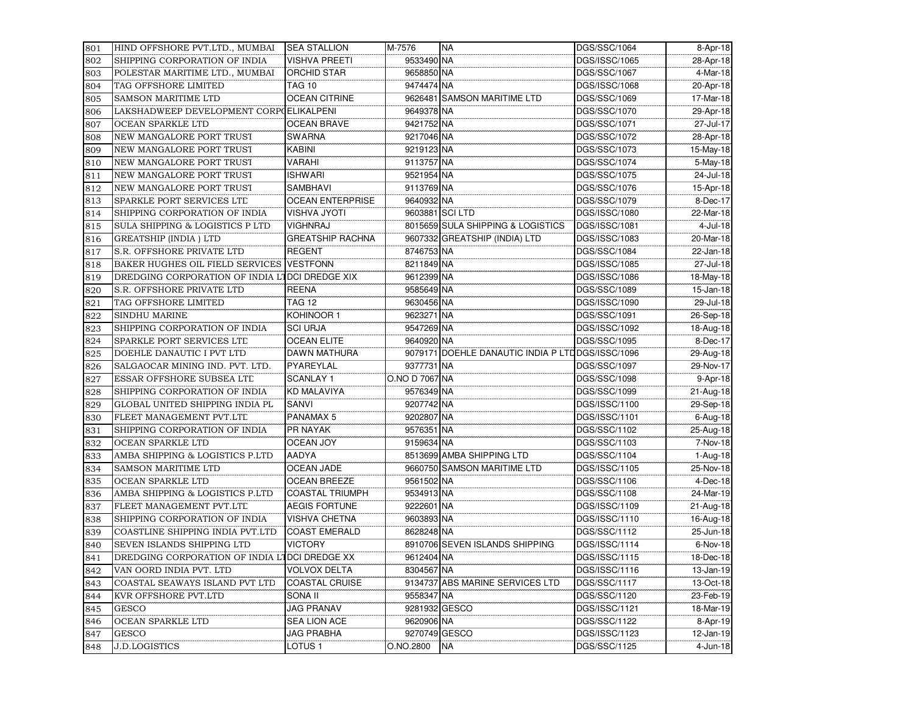| 801        | HIND OFFSHORE PVT.LTD., MUMBAI                 | <b>SEA STALLION</b>                     | M-7576                     | <b>NA</b>                                        | DGS/SSC/1064                  | 8-Apr-18              |
|------------|------------------------------------------------|-----------------------------------------|----------------------------|--------------------------------------------------|-------------------------------|-----------------------|
| 802        | SHIPPING CORPORATION OF INDIA                  | <b>VISHVA PREETI</b>                    | 9533490 NA                 |                                                  | DGS/ISSC/1065                 | 28-Apr-18             |
| 803        | POLESTAR MARITIME LTD., MUMBAI                 | <b>ORCHID STAR</b>                      | 9658850 NA                 |                                                  | DGS/SSC/1067                  | 4-Mar-18              |
| 804        | TAG OFFSHORE LIMITED                           | <b>TAG 10</b>                           | 9474474 NA                 |                                                  | DGS/ISSC/1068                 | 20-Apr-18             |
| 805        | SAMSON MARITIME LTD                            | <b>OCEAN CITRINE</b>                    |                            | 9626481 SAMSON MARITIME LTD                      | DGS/SSC/1069                  | 17-Mar-18             |
| 806        | LAKSHADWEEP DEVELOPMENT CORPOELIKALPENI        |                                         | 9649378 NA                 |                                                  | DGS/SSC/1070                  | 29-Apr-18             |
| 807        | OCEAN SPARKLE LTD                              | <b>OCEAN BRAVE</b>                      | 9421752 NA                 |                                                  | DGS/SSC/1071                  | 27-Jul-17             |
| 808        | NEW MANGALORE PORT TRUST                       | <b>SWARNA</b>                           | 9217046 NA                 |                                                  | DGS/SSC/1072                  | 28-Apr-18             |
| 809        | NEW MANGALORE PORT TRUST                       | <b>KABINI</b>                           | 9219123 NA                 |                                                  | DGS/SSC/1073                  | 15-May-18             |
| 810        | NEW MANGALORE PORT TRUST                       | VARAHI                                  | 9113757 NA                 |                                                  | DGS/SSC/1074                  | 5-May-18              |
| 811        | NEW MANGALORE PORT TRUST                       | <b>ISHWARI</b>                          | 9521954 NA                 |                                                  | DGS/SSC/1075                  | 24-Jul-18             |
| 812        | NEW MANGALORE PORT TRUST                       | SAMBHAVI                                | 9113769 NA                 |                                                  | DGS/SSC/1076                  | 15-Apr-18             |
| 813        | SPARKLE PORT SERVICES LTL                      | <b>OCEAN ENTERPRISE</b>                 | 9640932 NA                 |                                                  | DGS/SSC/1079                  | 8-Dec-17              |
| 814        | SHIPPING CORPORATION OF INDIA                  | <b>VISHVA JYOTI</b>                     |                            | 9603881 SCI LTD                                  | DGS/ISSC/1080                 | 22-Mar-18             |
| 815        | SULA SHIPPING & LOGISTICS P LTD                | <b>VIGHNRAJ</b>                         |                            | 8015659 SULA SHIPPING & LOGISTICS                | DGS/ISSC/1081                 | 4-Jul-18              |
| 816        | <b>GREATSHIP (INDIA) LTD</b>                   | <b>GREATSHIP RACHNA</b>                 |                            | 9607332 GREATSHIP (INDIA) LTD                    | DGS/ISSC/1083                 | 20-Mar-18             |
| 817        | S.R. OFFSHORE PRIVATE LTD                      | <b>REGENT</b>                           | 8746753 NA                 |                                                  | DGS/SSC/1084                  | 22-Jan-18             |
| 818        | BAKER HUGHES OIL FIELD SERVICES                | <b>VESTFONN</b>                         | 8211849 NA                 |                                                  | DGS/ISSC/1085                 | 27-Jul-18             |
| 819        | DREDGING CORPORATION OF INDIA LIDCI DREDGE XIX |                                         | 9612399 NA                 |                                                  | DGS/ISSC/1086                 | 18-May-18             |
| 820        | S.R. OFFSHORE PRIVATE LTD                      | <b>REENA</b>                            | 9585649 NA                 |                                                  | DGS/SSC/1089                  | 15-Jan-18             |
| 821        | TAG OFFSHORE LIMITED                           | <b>TAG 12</b>                           | 9630456 NA                 |                                                  | DGS/ISSC/1090                 | 29-Jul-18             |
| 822        | SINDHU MARINE                                  | KOHINOOR 1                              | 9623271 NA                 |                                                  | DGS/SSC/1091                  | 26-Sep-18             |
| 823        | SHIPPING CORPORATION OF INDIA                  | <b>SCI URJA</b>                         | 9547269 NA                 |                                                  | DGS/ISSC/1092                 | 18-Aug-18             |
| 824        | SPARKLE PORT SERVICES LTL                      | <b>OCEAN ELITE</b>                      | 9640920 NA                 |                                                  | DGS/SSC/1095                  | 8-Dec-17              |
| 825        | DOEHLE DANAUTIC I PVT LTD                      | DAWN MATHURA                            |                            | 9079171 DOEHLE DANAUTIC INDIA P LTDDGS/ISSC/1096 |                               | 29-Aug-18             |
| 826        | SALGAOCAR MINING IND. PVT. LTD.                | PYAREYLAL                               | 9377731 NA                 |                                                  | DGS/SSC/1097                  | 29-Nov-17             |
| 827        | ESSAR OFFSHORE SUBSEA LTD                      | <b>SCANLAY 1</b>                        | O.NO D 7067 NA             |                                                  | DGS/SSC/1098                  | 9-Apr-18              |
| 828        | SHIPPING CORPORATION OF INDIA                  | <b>KD MALAVIYA</b>                      | 9576349 NA                 |                                                  | DGS/SSC/1099                  | 21-Aug-18             |
|            | GLOBAL UNITED SHIPPING INDIA PL                | SANVI                                   | 9207742 NA                 |                                                  | DGS/ISSC/1100                 | 29-Sep-18             |
| 829        |                                                | PANAMAX 5                               |                            |                                                  |                               |                       |
| 830        | FLEET MANAGEMENT PVT.LTL                       |                                         | 9202807 NA                 |                                                  | DGS/ISSC/1101                 | 6-Aug-18              |
| 831        | SHIPPING CORPORATION OF INDIA                  | PR NAYAK                                | 9576351 NA                 |                                                  | DGS/SSC/1102                  | 25-Aug-18             |
| 832        | OCEAN SPARKLE LTD                              | <b>OCEAN JOY</b>                        | 9159634 NA                 |                                                  | DGS/SSC/1103                  | 7-Nov-18              |
| 833        | AMBA SHIPPING & LOGISTICS P.LTD                | AADYA                                   |                            | 8513699 AMBA SHIPPING LTD                        | DGS/SSC/1104                  | 1-Aug-18              |
| 834        | <b>SAMSON MARITIME LTD</b>                     | <b>OCEAN JADE</b>                       |                            | 9660750 SAMSON MARITIME LTD                      | DGS/ISSC/1105                 | 25-Nov-18             |
| 835        | OCEAN SPARKLE LTD                              | <b>OCEAN BREEZE</b>                     | 9561502 NA                 |                                                  | DGS/SSC/1106                  | 4-Dec-18              |
| 836        | AMBA SHIPPING & LOGISTICS P.LTD                | <b>COASTAL TRIUMPH</b>                  | 9534913 NA                 |                                                  | DGS/SSC/1108                  | 24-Mar-19             |
| 837        | FLEET MANAGEMENT PVT.LTL                       | <b>AEGIS FORTUNE</b>                    | 9222601 NA                 |                                                  | DGS/ISSC/1109                 | 21-Aug-18             |
| 838        | SHIPPING CORPORATION OF INDIA                  | <b>VISHVA CHETNA</b>                    | 9603893 NA                 |                                                  | DGS/ISSC/1110                 | 16-Aug-18             |
| 839        | COASTLINE SHIPPING INDIA PVT.LTD               | <b>COAST EMERALD</b>                    | 8628248 NA                 |                                                  | DGS/SSC/1112                  | 25-Jun-18             |
| 840        | SEVEN ISLANDS SHIPPING LTD                     | <b>VICTORY</b>                          |                            | 8910706 SEVEN ISLANDS SHIPPING                   | DGS/ISSC/1114                 | 6-Nov-18              |
| 841        | DREDGING CORPORATION OF INDIA LIDCI DREDGE XX  |                                         | 9612404 NA                 |                                                  | DGS/ISSC/1115                 | 18-Dec-18             |
| 842        | VAN OORD INDIA PVT. LTD                        | <b>VOLVOX DELTA</b>                     | 8304567 NA                 |                                                  | DGS/ISSC/1116                 | 13-Jan-19             |
| 843        | COASTAL SEAWAYS ISLAND PVT LTD                 | <b>COASTAL CRUISE</b>                   |                            | 9134737 ABS MARINE SERVICES LTD                  | DGS/SSC/1117                  | 13-Oct-18             |
| 844        | KVR OFFSHORE PVT.LTD                           | SONA II                                 | 9558347 NA                 |                                                  | DGS/SSC/1120                  | 23-Feb-19             |
| 845        | <b>GESCO</b>                                   | <b>JAG PRANAV</b>                       | 9281932 GESCO              |                                                  | DGS/ISSC/1121                 | 18-Mar-19             |
| 846        | OCEAN SPARKLE LTD                              | SEA LION ACE                            | 9620906 NA                 |                                                  | DGS/SSC/1122                  | 8-Apr-19              |
|            |                                                |                                         |                            |                                                  |                               |                       |
| 847<br>848 | <b>GESCO</b><br><b>J.D.LOGISTICS</b>           | <b>JAG PRABHA</b><br>LOTUS <sub>1</sub> | 9270749 GESCO<br>O.NO.2800 | <b>NA</b>                                        | DGS/ISSC/1123<br>DGS/SSC/1125 | 12-Jan-19<br>4-Jun-18 |